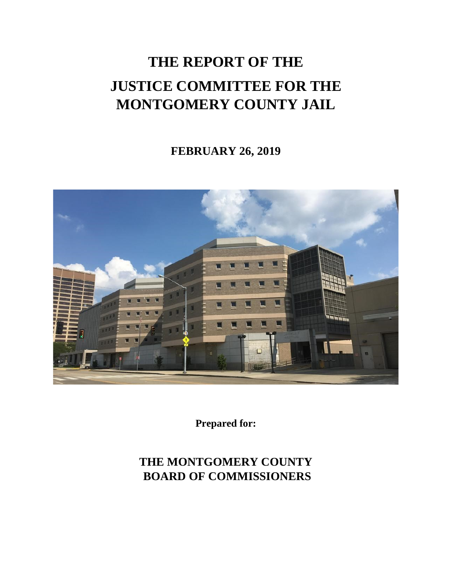### **THE REPORT OF THE JUSTICE COMMITTEE FOR THE MONTGOMERY COUNTY JAIL**

### **FEBRUARY 26, 2019**



**Prepared for:**

### **THE MONTGOMERY COUNTY BOARD OF COMMISSIONERS**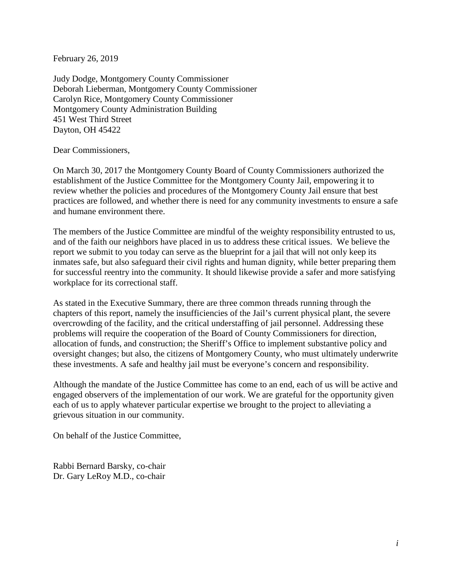February 26, 2019

Judy Dodge, Montgomery County Commissioner Deborah Lieberman, Montgomery County Commissioner Carolyn Rice, Montgomery County Commissioner Montgomery County Administration Building 451 West Third Street Dayton, OH 45422

Dear Commissioners,

On March 30, 2017 the Montgomery County Board of County Commissioners authorized the establishment of the Justice Committee for the Montgomery County Jail, empowering it to review whether the policies and procedures of the Montgomery County Jail ensure that best practices are followed, and whether there is need for any community investments to ensure a safe and humane environment there.

The members of the Justice Committee are mindful of the weighty responsibility entrusted to us, and of the faith our neighbors have placed in us to address these critical issues. We believe the report we submit to you today can serve as the blueprint for a jail that will not only keep its inmates safe, but also safeguard their civil rights and human dignity, while better preparing them for successful reentry into the community. It should likewise provide a safer and more satisfying workplace for its correctional staff.

As stated in the Executive Summary, there are three common threads running through the chapters of this report, namely the insufficiencies of the Jail's current physical plant, the severe overcrowding of the facility, and the critical understaffing of jail personnel. Addressing these problems will require the cooperation of the Board of County Commissioners for direction, allocation of funds, and construction; the Sheriff's Office to implement substantive policy and oversight changes; but also, the citizens of Montgomery County, who must ultimately underwrite these investments. A safe and healthy jail must be everyone's concern and responsibility.

Although the mandate of the Justice Committee has come to an end, each of us will be active and engaged observers of the implementation of our work. We are grateful for the opportunity given each of us to apply whatever particular expertise we brought to the project to alleviating a grievous situation in our community.

On behalf of the Justice Committee,

Rabbi Bernard Barsky, co-chair Dr. Gary LeRoy M.D., co-chair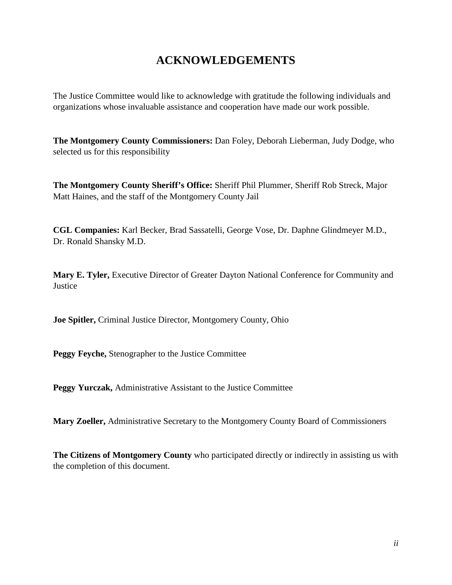### **ACKNOWLEDGEMENTS**

The Justice Committee would like to acknowledge with gratitude the following individuals and organizations whose invaluable assistance and cooperation have made our work possible.

**The Montgomery County Commissioners:** Dan Foley, Deborah Lieberman, Judy Dodge, who selected us for this responsibility

**The Montgomery County Sheriff's Office:** Sheriff Phil Plummer, Sheriff Rob Streck, Major Matt Haines, and the staff of the Montgomery County Jail

**CGL Companies:** Karl Becker, Brad Sassatelli, George Vose, Dr. Daphne Glindmeyer M.D., Dr. Ronald Shansky M.D.

**Mary E. Tyler,** Executive Director of Greater Dayton National Conference for Community and **Justice** 

**Joe Spitler,** Criminal Justice Director, Montgomery County, Ohio

**Peggy Feyche,** Stenographer to the Justice Committee

**Peggy Yurczak,** Administrative Assistant to the Justice Committee

**Mary Zoeller,** Administrative Secretary to the Montgomery County Board of Commissioners

**The Citizens of Montgomery County** who participated directly or indirectly in assisting us with the completion of this document.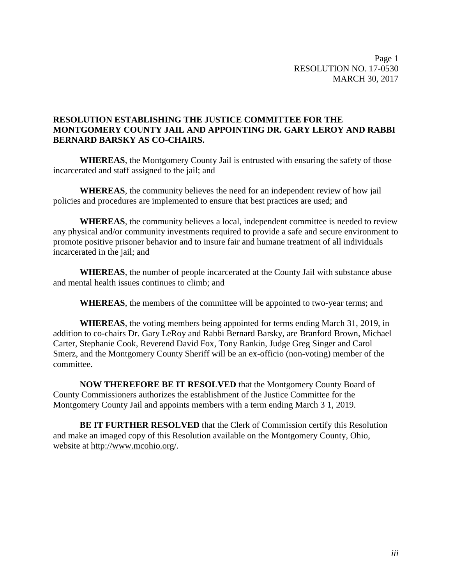Page 1 RESOLUTION NO. 17-0530 MARCH 30, 2017

### **RESOLUTION ESTABLISHING THE JUSTICE COMMITTEE FOR THE MONTGOMERY COUNTY JAIL AND APPOINTING DR. GARY LEROY AND RABBI BERNARD BARSKY AS CO-CHAIRS.**

**WHEREAS**, the Montgomery County Jail is entrusted with ensuring the safety of those incarcerated and staff assigned to the jail; and

**WHEREAS**, the community believes the need for an independent review of how jail policies and procedures are implemented to ensure that best practices are used; and

**WHEREAS**, the community believes a local, independent committee is needed to review any physical and/or community investments required to provide a safe and secure environment to promote positive prisoner behavior and to insure fair and humane treatment of all individuals incarcerated in the jail; and

**WHEREAS**, the number of people incarcerated at the County Jail with substance abuse and mental health issues continues to climb; and

**WHEREAS**, the members of the committee will be appointed to two-year terms; and

**WHEREAS**, the voting members being appointed for terms ending March 31, 2019, in addition to co-chairs Dr. Gary LeRoy and Rabbi Bernard Barsky, are Branford Brown, Michael Carter, Stephanie Cook, Reverend David Fox, Tony Rankin, Judge Greg Singer and Carol Smerz, and the Montgomery County Sheriff will be an ex-officio (non-voting) member of the committee.

**NOW THEREFORE BE IT RESOLVED** that the Montgomery County Board of County Commissioners authorizes the establishment of the Justice Committee for the Montgomery County Jail and appoints members with a term ending March 3 1, 2019.

**BE IT FURTHER RESOLVED** that the Clerk of Commission certify this Resolution and make an imaged copy of this Resolution available on the Montgomery County, Ohio, website at [http://www.mcohio.org/.](http://www.mcohio.org/)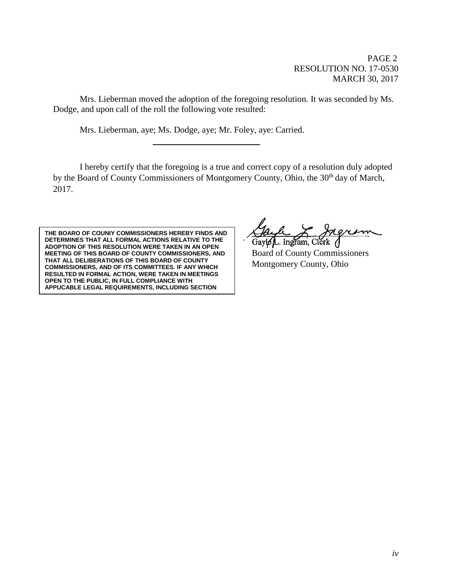PAGE 2 RESOLUTION NO. 17-0530 MARCH 30, 2017

Mrs. Lieberman moved the adoption of the foregoing resolution. It was seconded by Ms. Dodge, and upon call of the roll the following vote resulted:

Mrs. Lieberman, aye; Ms. Dodge, aye; Mr. Foley, aye: Carried.

I hereby certify that the foregoing is a true and correct copy of a resolution duly adopted by the Board of County Commissioners of Montgomery County, Ohio, the 30<sup>th</sup> day of March, 2017.

**THE BOARO OF COUNIY COMMISSIONERS HEREBY FINDS AND DETERMINES THAT ALL FORMAL ACTIONS RELATIVE TO THE ADOPTION OF THIS RESOLUTION WERE TAKEN IN AN OPEN MEETING OF THIS BOARD OF COUNTY COMMISSIONERS, AND THAT ALL DELIBERATIONS OF THIS BOARD OF COUNTY COMMISSIONERS, AND OF ITS COMMITTEES. IF ANY WHICH RESULTED IN FORMAL ACTION, WERE TAKEN IN MEETINGS OPEN TO THE PUBLIC, IN FULL COMPLIANCE WITH APPUCABLE LEGAL REQUIREMENTS, INCLUDING SECTION** 

Gayle L. Ingram, Clerk Board of County Commissioners Montgomery County, Ohio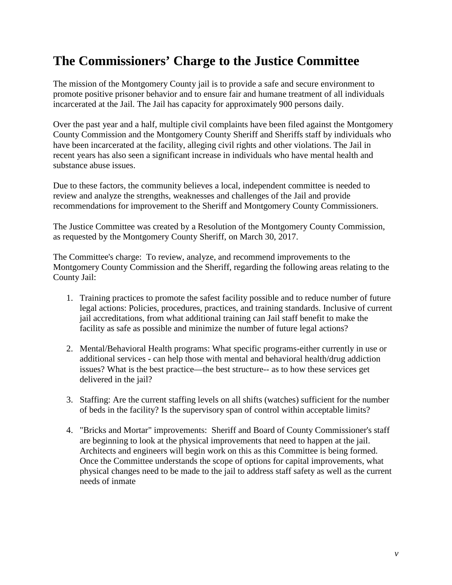### **The Commissioners' Charge to the Justice Committee**

The mission of the Montgomery County jail is to provide a safe and secure environment to promote positive prisoner behavior and to ensure fair and humane treatment of all individuals incarcerated at the Jail. The Jail has capacity for approximately 900 persons daily.

Over the past year and a half, multiple civil complaints have been filed against the Montgomery County Commission and the Montgomery County Sheriff and Sheriffs staff by individuals who have been incarcerated at the facility, alleging civil rights and other violations. The Jail in recent years has also seen a significant increase in individuals who have mental health and substance abuse issues.

Due to these factors, the community believes a local, independent committee is needed to review and analyze the strengths, weaknesses and challenges of the Jail and provide recommendations for improvement to the Sheriff and Montgomery County Commissioners.

The Justice Committee was created by a Resolution of the Montgomery County Commission, as requested by the Montgomery County Sheriff, on March 30, 2017.

The Committee's charge: To review, analyze, and recommend improvements to the Montgomery County Commission and the Sheriff, regarding the following areas relating to the County Jail:

- 1. Training practices to promote the safest facility possible and to reduce number of future legal actions: Policies, procedures, practices, and training standards. Inclusive of current jail accreditations, from what additional training can Jail staff benefit to make the facility as safe as possible and minimize the number of future legal actions?
- 2. Mental/Behavioral Health programs: What specific programs-either currently in use or additional services - can help those with mental and behavioral health/drug addiction issues? What is the best practice—the best structure-- as to how these services get delivered in the jail?
- 3. Staffing: Are the current staffing levels on all shifts (watches) sufficient for the number of beds in the facility? Is the supervisory span of control within acceptable limits?
- 4. "Bricks and Mortar" improvements: Sheriff and Board of County Commissioner's staff are beginning to look at the physical improvements that need to happen at the jail. Architects and engineers will begin work on this as this Committee is being formed. Once the Committee understands the scope of options for capital improvements, what physical changes need to be made to the jail to address staff safety as well as the current needs of inmate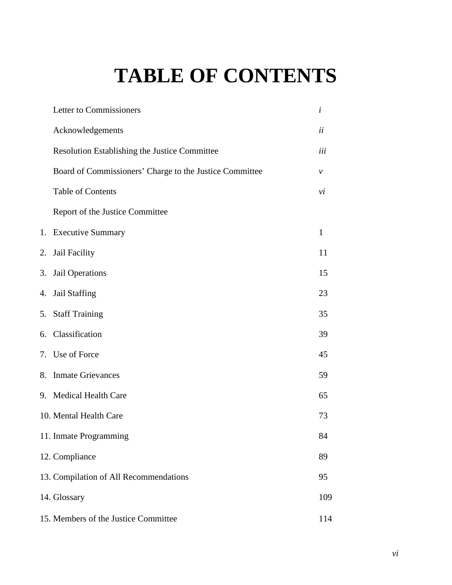## **TABLE OF CONTENTS**

|    | Letter to Commissioners                                 | $\dot{i}$    |
|----|---------------------------------------------------------|--------------|
|    | Acknowledgements                                        | ii           |
|    | <b>Resolution Establishing the Justice Committee</b>    | iii          |
|    | Board of Commissioners' Charge to the Justice Committee | ν            |
|    | <b>Table of Contents</b>                                | νi           |
|    | Report of the Justice Committee                         |              |
|    | 1. Executive Summary                                    | $\mathbf{1}$ |
| 2. | Jail Facility                                           | 11           |
|    | 3. Jail Operations                                      | 15           |
|    | 4. Jail Staffing                                        | 23           |
|    | 5. Staff Training                                       | 35           |
|    | 6. Classification                                       | 39           |
|    | 7. Use of Force                                         | 45           |
|    | 8. Inmate Grievances                                    | 59           |
|    | 9. Medical Health Care                                  | 65           |
|    | 10. Mental Health Care                                  | 73           |
|    | 11. Inmate Programming                                  | 84           |
|    | 12. Compliance                                          | 89           |
|    | 13. Compilation of All Recommendations                  | 95           |
|    | 14. Glossary                                            | 109          |
|    | 15. Members of the Justice Committee                    | 114          |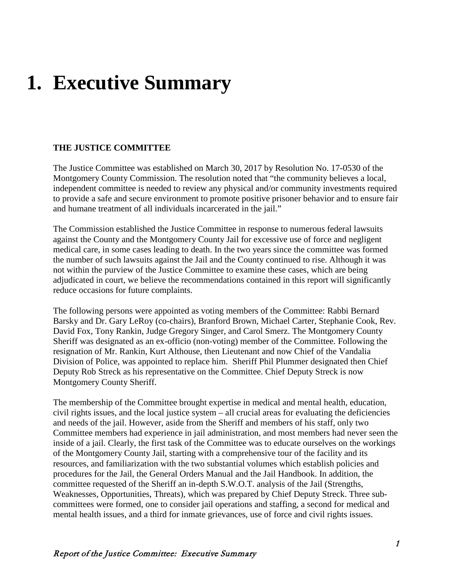## **1. Executive Summary**

### **THE JUSTICE COMMITTEE**

The Justice Committee was established on March 30, 2017 by Resolution No. 17-0530 of the Montgomery County Commission. The resolution noted that "the community believes a local, independent committee is needed to review any physical and/or community investments required to provide a safe and secure environment to promote positive prisoner behavior and to ensure fair and humane treatment of all individuals incarcerated in the jail."

The Commission established the Justice Committee in response to numerous federal lawsuits against the County and the Montgomery County Jail for excessive use of force and negligent medical care, in some cases leading to death. In the two years since the committee was formed the number of such lawsuits against the Jail and the County continued to rise. Although it was not within the purview of the Justice Committee to examine these cases, which are being adjudicated in court, we believe the recommendations contained in this report will significantly reduce occasions for future complaints.

The following persons were appointed as voting members of the Committee: Rabbi Bernard Barsky and Dr. Gary LeRoy (co-chairs), Branford Brown, Michael Carter, Stephanie Cook, Rev. David Fox, Tony Rankin, Judge Gregory Singer, and Carol Smerz. The Montgomery County Sheriff was designated as an ex-officio (non-voting) member of the Committee. Following the resignation of Mr. Rankin, Kurt Althouse, then Lieutenant and now Chief of the Vandalia Division of Police, was appointed to replace him. Sheriff Phil Plummer designated then Chief Deputy Rob Streck as his representative on the Committee. Chief Deputy Streck is now Montgomery County Sheriff.

The membership of the Committee brought expertise in medical and mental health, education, civil rights issues, and the local justice system – all crucial areas for evaluating the deficiencies and needs of the jail. However, aside from the Sheriff and members of his staff, only two Committee members had experience in jail administration, and most members had never seen the inside of a jail. Clearly, the first task of the Committee was to educate ourselves on the workings of the Montgomery County Jail, starting with a comprehensive tour of the facility and its resources, and familiarization with the two substantial volumes which establish policies and procedures for the Jail, the General Orders Manual and the Jail Handbook. In addition, the committee requested of the Sheriff an in-depth S.W.O.T. analysis of the Jail (Strengths, Weaknesses, Opportunities, Threats), which was prepared by Chief Deputy Streck. Three subcommittees were formed, one to consider jail operations and staffing, a second for medical and mental health issues, and a third for inmate grievances, use of force and civil rights issues.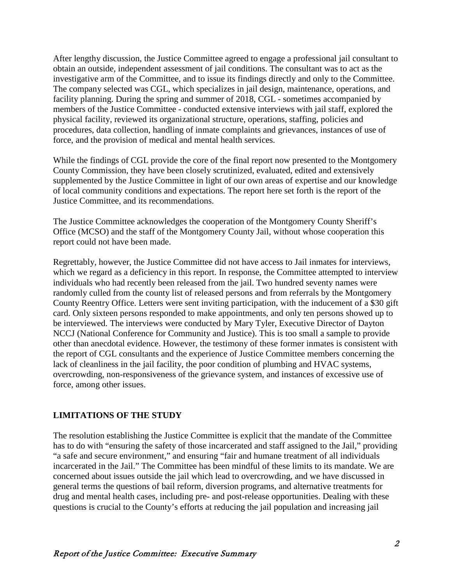After lengthy discussion, the Justice Committee agreed to engage a professional jail consultant to obtain an outside, independent assessment of jail conditions. The consultant was to act as the investigative arm of the Committee, and to issue its findings directly and only to the Committee. The company selected was CGL, which specializes in jail design, maintenance, operations, and facility planning. During the spring and summer of 2018, CGL - sometimes accompanied by members of the Justice Committee - conducted extensive interviews with jail staff, explored the physical facility, reviewed its organizational structure, operations, staffing, policies and procedures, data collection, handling of inmate complaints and grievances, instances of use of force, and the provision of medical and mental health services.

While the findings of CGL provide the core of the final report now presented to the Montgomery County Commission, they have been closely scrutinized, evaluated, edited and extensively supplemented by the Justice Committee in light of our own areas of expertise and our knowledge of local community conditions and expectations. The report here set forth is the report of the Justice Committee, and its recommendations.

The Justice Committee acknowledges the cooperation of the Montgomery County Sheriff's Office (MCSO) and the staff of the Montgomery County Jail, without whose cooperation this report could not have been made.

Regrettably, however, the Justice Committee did not have access to Jail inmates for interviews, which we regard as a deficiency in this report. In response, the Committee attempted to interview individuals who had recently been released from the jail. Two hundred seventy names were randomly culled from the county list of released persons and from referrals by the Montgomery County Reentry Office. Letters were sent inviting participation, with the inducement of a \$30 gift card. Only sixteen persons responded to make appointments, and only ten persons showed up to be interviewed. The interviews were conducted by Mary Tyler, Executive Director of Dayton NCCJ (National Conference for Community and Justice). This is too small a sample to provide other than anecdotal evidence. However, the testimony of these former inmates is consistent with the report of CGL consultants and the experience of Justice Committee members concerning the lack of cleanliness in the jail facility, the poor condition of plumbing and HVAC systems, overcrowding, non-responsiveness of the grievance system, and instances of excessive use of force, among other issues.

#### **LIMITATIONS OF THE STUDY**

The resolution establishing the Justice Committee is explicit that the mandate of the Committee has to do with "ensuring the safety of those incarcerated and staff assigned to the Jail," providing "a safe and secure environment," and ensuring "fair and humane treatment of all individuals incarcerated in the Jail." The Committee has been mindful of these limits to its mandate. We are concerned about issues outside the jail which lead to overcrowding, and we have discussed in general terms the questions of bail reform, diversion programs, and alternative treatments for drug and mental health cases, including pre- and post-release opportunities. Dealing with these questions is crucial to the County's efforts at reducing the jail population and increasing jail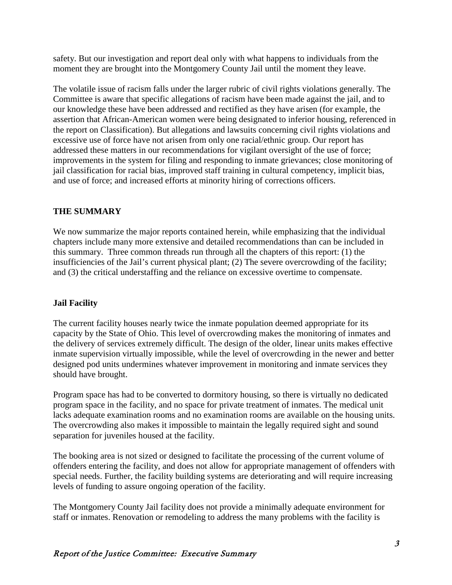safety. But our investigation and report deal only with what happens to individuals from the moment they are brought into the Montgomery County Jail until the moment they leave.

The volatile issue of racism falls under the larger rubric of civil rights violations generally. The Committee is aware that specific allegations of racism have been made against the jail, and to our knowledge these have been addressed and rectified as they have arisen (for example, the assertion that African-American women were being designated to inferior housing, referenced in the report on Classification). But allegations and lawsuits concerning civil rights violations and excessive use of force have not arisen from only one racial/ethnic group. Our report has addressed these matters in our recommendations for vigilant oversight of the use of force; improvements in the system for filing and responding to inmate grievances; close monitoring of jail classification for racial bias, improved staff training in cultural competency, implicit bias, and use of force; and increased efforts at minority hiring of corrections officers.

### **THE SUMMARY**

We now summarize the major reports contained herein, while emphasizing that the individual chapters include many more extensive and detailed recommendations than can be included in this summary. Three common threads run through all the chapters of this report: (1) the insufficiencies of the Jail's current physical plant; (2) The severe overcrowding of the facility; and (3) the critical understaffing and the reliance on excessive overtime to compensate.

### **Jail Facility**

The current facility houses nearly twice the inmate population deemed appropriate for its capacity by the State of Ohio. This level of overcrowding makes the monitoring of inmates and the delivery of services extremely difficult. The design of the older, linear units makes effective inmate supervision virtually impossible, while the level of overcrowding in the newer and better designed pod units undermines whatever improvement in monitoring and inmate services they should have brought.

Program space has had to be converted to dormitory housing, so there is virtually no dedicated program space in the facility, and no space for private treatment of inmates. The medical unit lacks adequate examination rooms and no examination rooms are available on the housing units. The overcrowding also makes it impossible to maintain the legally required sight and sound separation for juveniles housed at the facility.

The booking area is not sized or designed to facilitate the processing of the current volume of offenders entering the facility, and does not allow for appropriate management of offenders with special needs. Further, the facility building systems are deteriorating and will require increasing levels of funding to assure ongoing operation of the facility.

The Montgomery County Jail facility does not provide a minimally adequate environment for staff or inmates. Renovation or remodeling to address the many problems with the facility is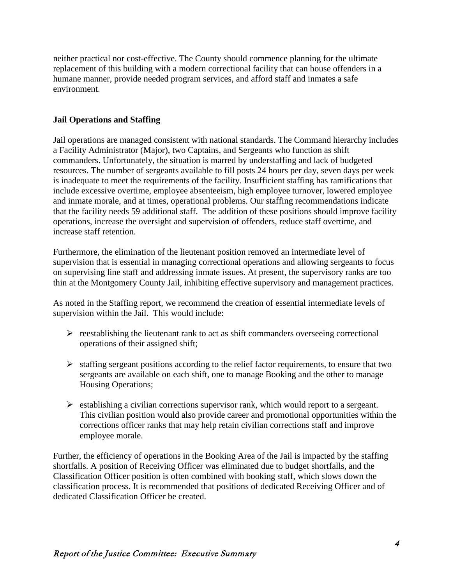neither practical nor cost-effective. The County should commence planning for the ultimate replacement of this building with a modern correctional facility that can house offenders in a humane manner, provide needed program services, and afford staff and inmates a safe environment.

### **Jail Operations and Staffing**

Jail operations are managed consistent with national standards. The Command hierarchy includes a Facility Administrator (Major), two Captains, and Sergeants who function as shift commanders. Unfortunately, the situation is marred by understaffing and lack of budgeted resources. The number of sergeants available to fill posts 24 hours per day, seven days per week is inadequate to meet the requirements of the facility. Insufficient staffing has ramifications that include excessive overtime, employee absenteeism, high employee turnover, lowered employee and inmate morale, and at times, operational problems. Our staffing recommendations indicate that the facility needs 59 additional staff. The addition of these positions should improve facility operations, increase the oversight and supervision of offenders, reduce staff overtime, and increase staff retention.

Furthermore, the elimination of the lieutenant position removed an intermediate level of supervision that is essential in managing correctional operations and allowing sergeants to focus on supervising line staff and addressing inmate issues. At present, the supervisory ranks are too thin at the Montgomery County Jail, inhibiting effective supervisory and management practices.

As noted in the Staffing report, we recommend the creation of essential intermediate levels of supervision within the Jail. This would include:

- $\triangleright$  reestablishing the lieutenant rank to act as shift commanders overseeing correctional operations of their assigned shift;
- $\triangleright$  staffing sergeant positions according to the relief factor requirements, to ensure that two sergeants are available on each shift, one to manage Booking and the other to manage Housing Operations;
- $\triangleright$  establishing a civilian corrections supervisor rank, which would report to a sergeant. This civilian position would also provide career and promotional opportunities within the corrections officer ranks that may help retain civilian corrections staff and improve employee morale.

Further, the efficiency of operations in the Booking Area of the Jail is impacted by the staffing shortfalls. A position of Receiving Officer was eliminated due to budget shortfalls, and the Classification Officer position is often combined with booking staff, which slows down the classification process. It is recommended that positions of dedicated Receiving Officer and of dedicated Classification Officer be created.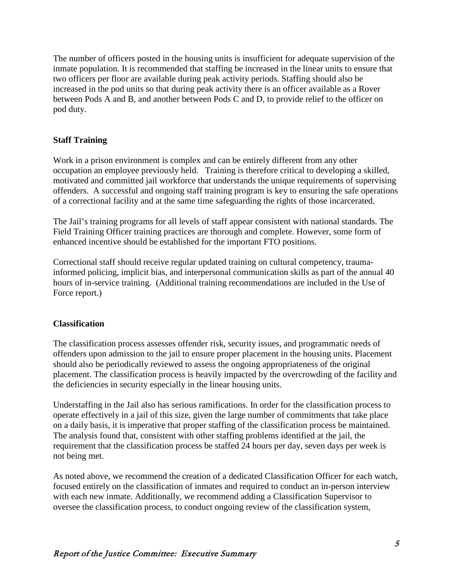The number of officers posted in the housing units is insufficient for adequate supervision of the inmate population. It is recommended that staffing be increased in the linear units to ensure that two officers per floor are available during peak activity periods. Staffing should also be increased in the pod units so that during peak activity there is an officer available as a Rover between Pods A and B, and another between Pods C and D, to provide relief to the officer on pod duty.

### **Staff Training**

Work in a prison environment is complex and can be entirely different from any other occupation an employee previously held. Training is therefore critical to developing a skilled, motivated and committed jail workforce that understands the unique requirements of supervising offenders. A successful and ongoing staff training program is key to ensuring the safe operations of a correctional facility and at the same time safeguarding the rights of those incarcerated.

The Jail's training programs for all levels of staff appear consistent with national standards. The Field Training Officer training practices are thorough and complete. However, some form of enhanced incentive should be established for the important FTO positions.

Correctional staff should receive regular updated training on cultural competency, traumainformed policing, implicit bias, and interpersonal communication skills as part of the annual 40 hours of in-service training. (Additional training recommendations are included in the Use of Force report.)

### **Classification**

The classification process assesses offender risk, security issues, and programmatic needs of offenders upon admission to the jail to ensure proper placement in the housing units. Placement should also be periodically reviewed to assess the ongoing appropriateness of the original placement. The classification process is heavily impacted by the overcrowding of the facility and the deficiencies in security especially in the linear housing units.

Understaffing in the Jail also has serious ramifications. In order for the classification process to operate effectively in a jail of this size, given the large number of commitments that take place on a daily basis, it is imperative that proper staffing of the classification process be maintained. The analysis found that, consistent with other staffing problems identified at the jail, the requirement that the classification process be staffed 24 hours per day, seven days per week is not being met.

As noted above, we recommend the creation of a dedicated Classification Officer for each watch, focused entirely on the classification of inmates and required to conduct an in-person interview with each new inmate. Additionally, we recommend adding a Classification Supervisor to oversee the classification process, to conduct ongoing review of the classification system,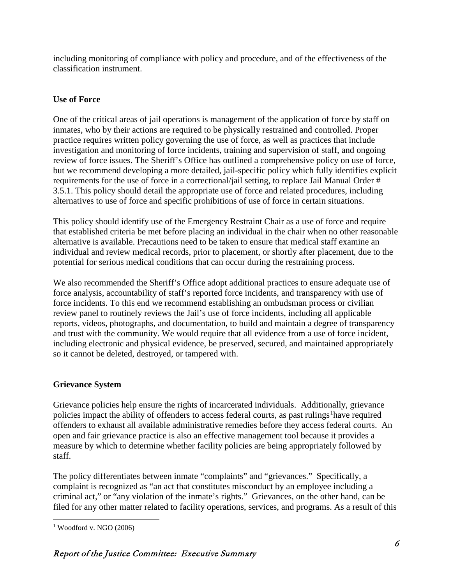including monitoring of compliance with policy and procedure, and of the effectiveness of the classification instrument.

### **Use of Force**

One of the critical areas of jail operations is management of the application of force by staff on inmates, who by their actions are required to be physically restrained and controlled. Proper practice requires written policy governing the use of force, as well as practices that include investigation and monitoring of force incidents, training and supervision of staff, and ongoing review of force issues. The Sheriff's Office has outlined a comprehensive policy on use of force, but we recommend developing a more detailed, jail-specific policy which fully identifies explicit requirements for the use of force in a correctional/jail setting, to replace Jail Manual Order # 3.5.1. This policy should detail the appropriate use of force and related procedures, including alternatives to use of force and specific prohibitions of use of force in certain situations.

This policy should identify use of the Emergency Restraint Chair as a use of force and require that established criteria be met before placing an individual in the chair when no other reasonable alternative is available. Precautions need to be taken to ensure that medical staff examine an individual and review medical records, prior to placement, or shortly after placement, due to the potential for serious medical conditions that can occur during the restraining process.

We also recommended the Sheriff's Office adopt additional practices to ensure adequate use of force analysis, accountability of staff's reported force incidents, and transparency with use of force incidents. To this end we recommend establishing an ombudsman process or civilian review panel to routinely reviews the Jail's use of force incidents, including all applicable reports, videos, photographs, and documentation, to build and maintain a degree of transparency and trust with the community. We would require that all evidence from a use of force incident, including electronic and physical evidence, be preserved, secured, and maintained appropriately so it cannot be deleted, destroyed, or tampered with.

### **Grievance System**

Grievance policies help ensure the rights of incarcerated individuals. Additionally, grievance policies impact the ability of offenders to access federal courts, as past rulings<sup>[1](#page-12-0)</sup>have required offenders to exhaust all available administrative remedies before they access federal courts. An open and fair grievance practice is also an effective management tool because it provides a measure by which to determine whether facility policies are being appropriately followed by staff.

The policy differentiates between inmate "complaints" and "grievances." Specifically, a complaint is recognized as "an act that constitutes misconduct by an employee including a criminal act," or "any violation of the inmate's rights." Grievances, on the other hand, can be filed for any other matter related to facility operations, services, and programs. As a result of this

<span id="page-12-0"></span> $1$  Woodford v. NGO (2006)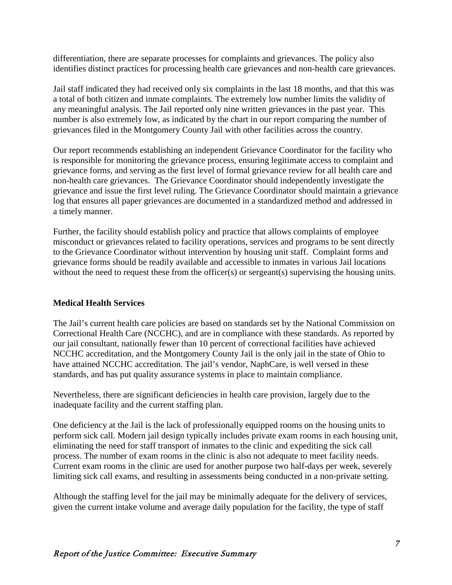differentiation, there are separate processes for complaints and grievances. The policy also identifies distinct practices for processing health care grievances and non-health care grievances.

Jail staff indicated they had received only six complaints in the last 18 months, and that this was a total of both citizen and inmate complaints. The extremely low number limits the validity of any meaningful analysis. The Jail reported only nine written grievances in the past year. This number is also extremely low, as indicated by the chart in our report comparing the number of grievances filed in the Montgomery County Jail with other facilities across the country.

Our report recommends establishing an independent Grievance Coordinator for the facility who is responsible for monitoring the grievance process, ensuring legitimate access to complaint and grievance forms, and serving as the first level of formal grievance review for all health care and non-health care grievances. The Grievance Coordinator should independently investigate the grievance and issue the first level ruling. The Grievance Coordinator should maintain a grievance log that ensures all paper grievances are documented in a standardized method and addressed in a timely manner.

Further, the facility should establish policy and practice that allows complaints of employee misconduct or grievances related to facility operations, services and programs to be sent directly to the Grievance Coordinator without intervention by housing unit staff. Complaint forms and grievance forms should be readily available and accessible to inmates in various Jail locations without the need to request these from the officer(s) or sergeant(s) supervising the housing units.

### **Medical Health Services**

The Jail's current health care policies are based on standards set by the National Commission on Correctional Health Care (NCCHC), and are in compliance with these standards. As reported by our jail consultant, nationally fewer than 10 percent of correctional facilities have achieved NCCHC accreditation, and the Montgomery County Jail is the only jail in the state of Ohio to have attained NCCHC accreditation. The jail's vendor, NaphCare, is well versed in these standards, and has put quality assurance systems in place to maintain compliance.

Nevertheless, there are significant deficiencies in health care provision, largely due to the inadequate facility and the current staffing plan.

One deficiency at the Jail is the lack of professionally equipped rooms on the housing units to perform sick call. Modern jail design typically includes private exam rooms in each housing unit, eliminating the need for staff transport of inmates to the clinic and expediting the sick call process. The number of exam rooms in the clinic is also not adequate to meet facility needs. Current exam rooms in the clinic are used for another purpose two half-days per week, severely limiting sick call exams, and resulting in assessments being conducted in a non-private setting.

Although the staffing level for the jail may be minimally adequate for the delivery of services, given the current intake volume and average daily population for the facility, the type of staff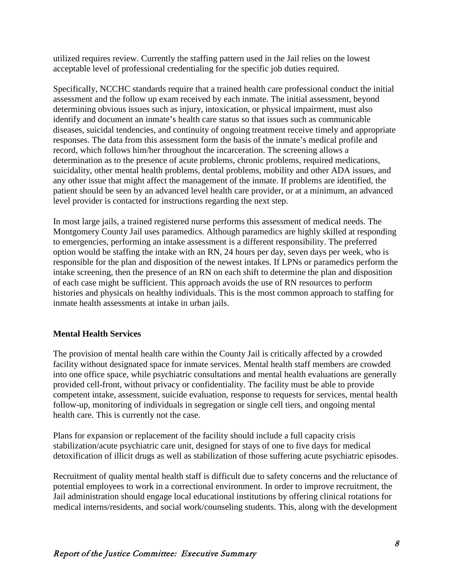utilized requires review. Currently the staffing pattern used in the Jail relies on the lowest acceptable level of professional credentialing for the specific job duties required.

Specifically, NCCHC standards require that a trained health care professional conduct the initial assessment and the follow up exam received by each inmate. The initial assessment, beyond determining obvious issues such as injury, intoxication, or physical impairment, must also identify and document an inmate's health care status so that issues such as communicable diseases, suicidal tendencies, and continuity of ongoing treatment receive timely and appropriate responses. The data from this assessment form the basis of the inmate's medical profile and record, which follows him/her throughout the incarceration. The screening allows a determination as to the presence of acute problems, chronic problems, required medications, suicidality, other mental health problems, dental problems, mobility and other ADA issues, and any other issue that might affect the management of the inmate. If problems are identified, the patient should be seen by an advanced level health care provider, or at a minimum, an advanced level provider is contacted for instructions regarding the next step.

In most large jails, a trained registered nurse performs this assessment of medical needs. The Montgomery County Jail uses paramedics. Although paramedics are highly skilled at responding to emergencies, performing an intake assessment is a different responsibility. The preferred option would be staffing the intake with an RN, 24 hours per day, seven days per week, who is responsible for the plan and disposition of the newest intakes. If LPNs or paramedics perform the intake screening, then the presence of an RN on each shift to determine the plan and disposition of each case might be sufficient. This approach avoids the use of RN resources to perform histories and physicals on healthy individuals. This is the most common approach to staffing for inmate health assessments at intake in urban jails.

### **Mental Health Services**

The provision of mental health care within the County Jail is critically affected by a crowded facility without designated space for inmate services. Mental health staff members are crowded into one office space, while psychiatric consultations and mental health evaluations are generally provided cell-front, without privacy or confidentiality. The facility must be able to provide competent intake, assessment, suicide evaluation, response to requests for services, mental health follow-up, monitoring of individuals in segregation or single cell tiers, and ongoing mental health care. This is currently not the case.

Plans for expansion or replacement of the facility should include a full capacity crisis stabilization/acute psychiatric care unit, designed for stays of one to five days for medical detoxification of illicit drugs as well as stabilization of those suffering acute psychiatric episodes.

Recruitment of quality mental health staff is difficult due to safety concerns and the reluctance of potential employees to work in a correctional environment. In order to improve recruitment, the Jail administration should engage local educational institutions by offering clinical rotations for medical interns/residents, and social work/counseling students. This, along with the development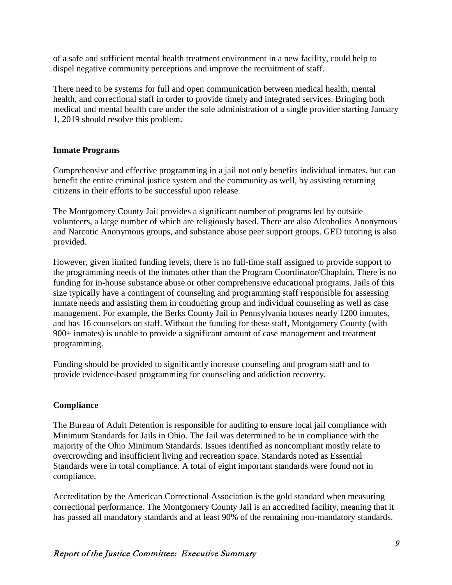of a safe and sufficient mental health treatment environment in a new facility, could help to dispel negative community perceptions and improve the recruitment of staff.

There need to be systems for full and open communication between medical health, mental health, and correctional staff in order to provide timely and integrated services. Bringing both medical and mental health care under the sole administration of a single provider starting January 1, 2019 should resolve this problem.

### **Inmate Programs**

Comprehensive and effective programming in a jail not only benefits individual inmates, but can benefit the entire criminal justice system and the community as well, by assisting returning citizens in their efforts to be successful upon release.

The Montgomery County Jail provides a significant number of programs led by outside volunteers, a large number of which are religiously based. There are also Alcoholics Anonymous and Narcotic Anonymous groups, and substance abuse peer support groups. GED tutoring is also provided.

However, given limited funding levels, there is no full-time staff assigned to provide support to the programming needs of the inmates other than the Program Coordinator/Chaplain. There is no funding for in-house substance abuse or other comprehensive educational programs. Jails of this size typically have a contingent of counseling and programming staff responsible for assessing inmate needs and assisting them in conducting group and individual counseling as well as case management. For example, the Berks County Jail in Pennsylvania houses nearly 1200 inmates, and has 16 counselors on staff. Without the funding for these staff, Montgomery County (with 900+ inmates) is unable to provide a significant amount of case management and treatment programming.

Funding should be provided to significantly increase counseling and program staff and to provide evidence-based programming for counseling and addiction recovery.

### **Compliance**

The Bureau of Adult Detention is responsible for auditing to ensure local jail compliance with Minimum Standards for Jails in Ohio. The Jail was determined to be in compliance with the majority of the Ohio Minimum Standards. Issues identified as noncompliant mostly relate to overcrowding and insufficient living and recreation space. Standards noted as Essential Standards were in total compliance. A total of eight important standards were found not in compliance.

Accreditation by the American Correctional Association is the gold standard when measuring correctional performance. The Montgomery County Jail is an accredited facility, meaning that it has passed all mandatory standards and at least 90% of the remaining non-mandatory standards.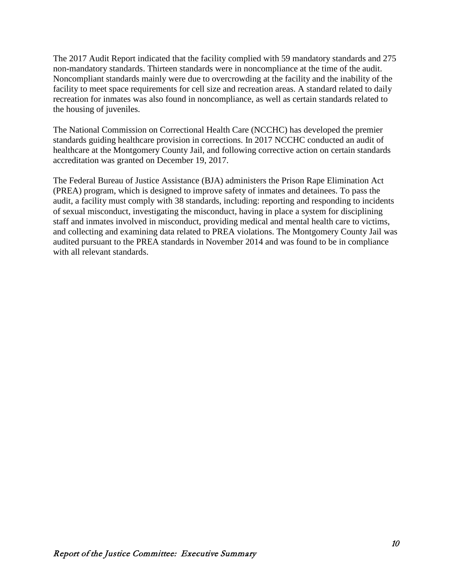The 2017 Audit Report indicated that the facility complied with 59 mandatory standards and 275 non-mandatory standards. Thirteen standards were in noncompliance at the time of the audit. Noncompliant standards mainly were due to overcrowding at the facility and the inability of the facility to meet space requirements for cell size and recreation areas. A standard related to daily recreation for inmates was also found in noncompliance, as well as certain standards related to the housing of juveniles.

The National Commission on Correctional Health Care (NCCHC) has developed the premier standards guiding healthcare provision in corrections. In 2017 NCCHC conducted an audit of healthcare at the Montgomery County Jail, and following corrective action on certain standards accreditation was granted on December 19, 2017.

The Federal Bureau of Justice Assistance (BJA) administers the Prison Rape Elimination Act (PREA) program, which is designed to improve safety of inmates and detainees. To pass the audit, a facility must comply with 38 standards, including: reporting and responding to incidents of sexual misconduct, investigating the misconduct, having in place a system for disciplining staff and inmates involved in misconduct, providing medical and mental health care to victims, and collecting and examining data related to PREA violations. The Montgomery County Jail was audited pursuant to the PREA standards in November 2014 and was found to be in compliance with all relevant standards.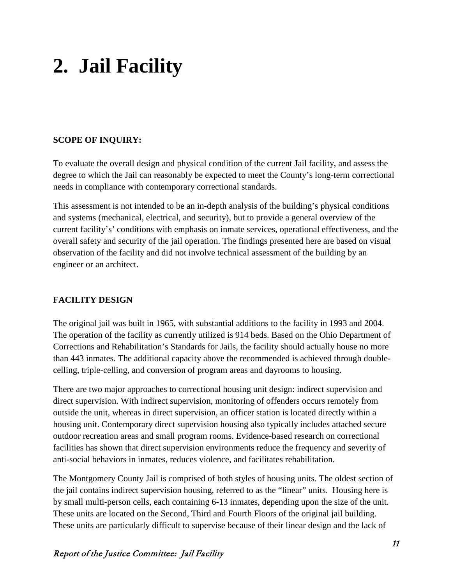## **2. Jail Facility**

### **SCOPE OF INQUIRY:**

To evaluate the overall design and physical condition of the current Jail facility, and assess the degree to which the Jail can reasonably be expected to meet the County's long-term correctional needs in compliance with contemporary correctional standards.

This assessment is not intended to be an in-depth analysis of the building's physical conditions and systems (mechanical, electrical, and security), but to provide a general overview of the current facility's' conditions with emphasis on inmate services, operational effectiveness, and the overall safety and security of the jail operation. The findings presented here are based on visual observation of the facility and did not involve technical assessment of the building by an engineer or an architect.

### **FACILITY DESIGN**

The original jail was built in 1965, with substantial additions to the facility in 1993 and 2004. The operation of the facility as currently utilized is 914 beds. Based on the Ohio Department of Corrections and Rehabilitation's Standards for Jails, the facility should actually house no more than 443 inmates. The additional capacity above the recommended is achieved through doublecelling, triple-celling, and conversion of program areas and dayrooms to housing.

There are two major approaches to correctional housing unit design: indirect supervision and direct supervision. With indirect supervision, monitoring of offenders occurs remotely from outside the unit, whereas in direct supervision, an officer station is located directly within a housing unit. Contemporary direct supervision housing also typically includes attached secure outdoor recreation areas and small program rooms. Evidence-based research on correctional facilities has shown that direct supervision environments reduce the frequency and severity of anti-social behaviors in inmates, reduces violence, and facilitates rehabilitation.

The Montgomery County Jail is comprised of both styles of housing units. The oldest section of the jail contains indirect supervision housing, referred to as the "linear" units. Housing here is by small multi-person cells, each containing 6-13 inmates, depending upon the size of the unit. These units are located on the Second, Third and Fourth Floors of the original jail building. These units are particularly difficult to supervise because of their linear design and the lack of

### Report of the Justice Committee: Jail Facility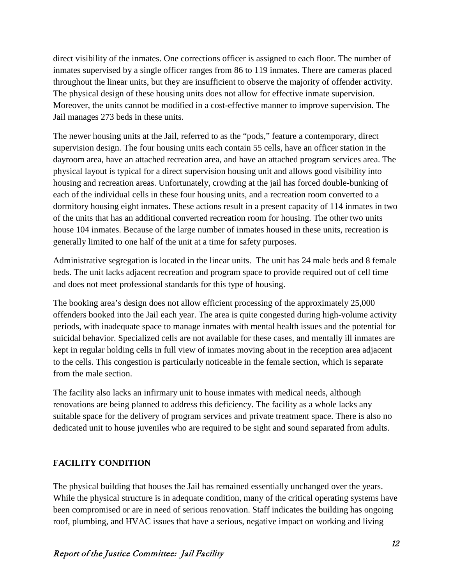direct visibility of the inmates. One corrections officer is assigned to each floor. The number of inmates supervised by a single officer ranges from 86 to 119 inmates. There are cameras placed throughout the linear units, but they are insufficient to observe the majority of offender activity. The physical design of these housing units does not allow for effective inmate supervision. Moreover, the units cannot be modified in a cost-effective manner to improve supervision. The Jail manages 273 beds in these units.

The newer housing units at the Jail, referred to as the "pods," feature a contemporary, direct supervision design. The four housing units each contain 55 cells, have an officer station in the dayroom area, have an attached recreation area, and have an attached program services area. The physical layout is typical for a direct supervision housing unit and allows good visibility into housing and recreation areas. Unfortunately, crowding at the jail has forced double-bunking of each of the individual cells in these four housing units, and a recreation room converted to a dormitory housing eight inmates. These actions result in a present capacity of 114 inmates in two of the units that has an additional converted recreation room for housing. The other two units house 104 inmates. Because of the large number of inmates housed in these units, recreation is generally limited to one half of the unit at a time for safety purposes.

Administrative segregation is located in the linear units. The unit has 24 male beds and 8 female beds. The unit lacks adjacent recreation and program space to provide required out of cell time and does not meet professional standards for this type of housing.

The booking area's design does not allow efficient processing of the approximately 25,000 offenders booked into the Jail each year. The area is quite congested during high-volume activity periods, with inadequate space to manage inmates with mental health issues and the potential for suicidal behavior. Specialized cells are not available for these cases, and mentally ill inmates are kept in regular holding cells in full view of inmates moving about in the reception area adjacent to the cells. This congestion is particularly noticeable in the female section, which is separate from the male section.

The facility also lacks an infirmary unit to house inmates with medical needs, although renovations are being planned to address this deficiency. The facility as a whole lacks any suitable space for the delivery of program services and private treatment space. There is also no dedicated unit to house juveniles who are required to be sight and sound separated from adults.

### **FACILITY CONDITION**

The physical building that houses the Jail has remained essentially unchanged over the years. While the physical structure is in adequate condition, many of the critical operating systems have been compromised or are in need of serious renovation. Staff indicates the building has ongoing roof, plumbing, and HVAC issues that have a serious, negative impact on working and living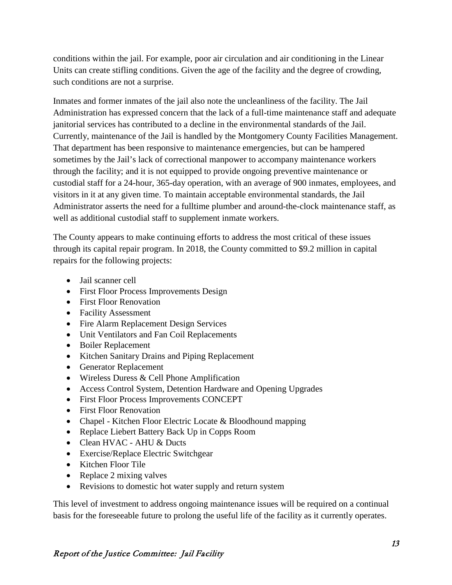conditions within the jail. For example, poor air circulation and air conditioning in the Linear Units can create stifling conditions. Given the age of the facility and the degree of crowding, such conditions are not a surprise.

Inmates and former inmates of the jail also note the uncleanliness of the facility. The Jail Administration has expressed concern that the lack of a full-time maintenance staff and adequate janitorial services has contributed to a decline in the environmental standards of the Jail. Currently, maintenance of the Jail is handled by the Montgomery County Facilities Management. That department has been responsive to maintenance emergencies, but can be hampered sometimes by the Jail's lack of correctional manpower to accompany maintenance workers through the facility; and it is not equipped to provide ongoing preventive maintenance or custodial staff for a 24-hour, 365-day operation, with an average of 900 inmates, employees, and visitors in it at any given time. To maintain acceptable environmental standards, the Jail Administrator asserts the need for a fulltime plumber and around-the-clock maintenance staff, as well as additional custodial staff to supplement inmate workers.

The County appears to make continuing efforts to address the most critical of these issues through its capital repair program. In 2018, the County committed to \$9.2 million in capital repairs for the following projects:

- Jail scanner cell
- First Floor Process Improvements Design
- First Floor Renovation
- Facility Assessment
- Fire Alarm Replacement Design Services
- Unit Ventilators and Fan Coil Replacements
- Boiler Replacement
- Kitchen Sanitary Drains and Piping Replacement
- Generator Replacement
- Wireless Duress & Cell Phone Amplification
- Access Control System, Detention Hardware and Opening Upgrades
- First Floor Process Improvements CONCEPT
- First Floor Renovation
- Chapel Kitchen Floor Electric Locate & Bloodhound mapping
- Replace Liebert Battery Back Up in Copps Room
- Clean HVAC AHU & Ducts
- Exercise/Replace Electric Switchgear
- Kitchen Floor Tile
- Replace 2 mixing valves
- Revisions to domestic hot water supply and return system

This level of investment to address ongoing maintenance issues will be required on a continual basis for the foreseeable future to prolong the useful life of the facility as it currently operates.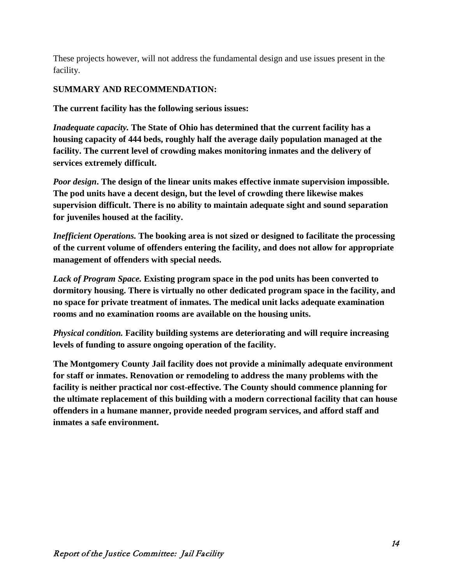These projects however, will not address the fundamental design and use issues present in the facility.

### **SUMMARY AND RECOMMENDATION:**

**The current facility has the following serious issues:**

*Inadequate capacity.* **The State of Ohio has determined that the current facility has a housing capacity of 444 beds, roughly half the average daily population managed at the facility. The current level of crowding makes monitoring inmates and the delivery of services extremely difficult.** 

*Poor design***. The design of the linear units makes effective inmate supervision impossible. The pod units have a decent design, but the level of crowding there likewise makes supervision difficult. There is no ability to maintain adequate sight and sound separation for juveniles housed at the facility.**

*Inefficient Operations.* **The booking area is not sized or designed to facilitate the processing of the current volume of offenders entering the facility, and does not allow for appropriate management of offenders with special needs.**

*Lack of Program Space.* **Existing program space in the pod units has been converted to dormitory housing. There is virtually no other dedicated program space in the facility, and no space for private treatment of inmates. The medical unit lacks adequate examination rooms and no examination rooms are available on the housing units.**

*Physical condition.* **Facility building systems are deteriorating and will require increasing levels of funding to assure ongoing operation of the facility.**

**The Montgomery County Jail facility does not provide a minimally adequate environment for staff or inmates. Renovation or remodeling to address the many problems with the facility is neither practical nor cost-effective. The County should commence planning for the ultimate replacement of this building with a modern correctional facility that can house offenders in a humane manner, provide needed program services, and afford staff and inmates a safe environment.**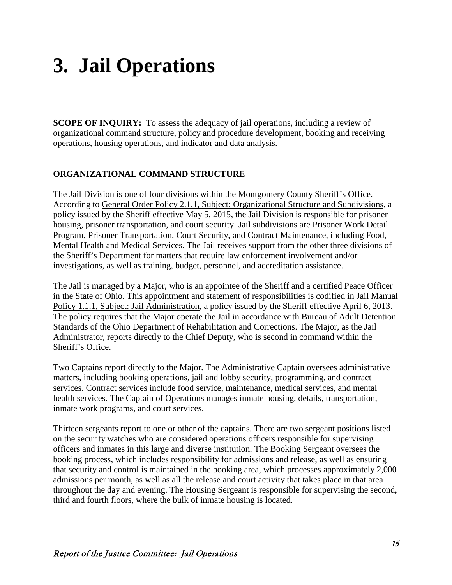# **3. Jail Operations**

**SCOPE OF INQUIRY:** To assess the adequacy of jail operations, including a review of organizational command structure, policy and procedure development, booking and receiving operations, housing operations, and indicator and data analysis.

### **ORGANIZATIONAL COMMAND STRUCTURE**

The Jail Division is one of four divisions within the Montgomery County Sheriff's Office. According to General Order Policy 2.1.1, Subject: Organizational Structure and Subdivisions, a policy issued by the Sheriff effective May 5, 2015, the Jail Division is responsible for prisoner housing, prisoner transportation, and court security. Jail subdivisions are Prisoner Work Detail Program, Prisoner Transportation, Court Security, and Contract Maintenance, including Food, Mental Health and Medical Services. The Jail receives support from the other three divisions of the Sheriff's Department for matters that require law enforcement involvement and/or investigations, as well as training, budget, personnel, and accreditation assistance.

The Jail is managed by a Major, who is an appointee of the Sheriff and a certified Peace Officer in the State of Ohio. This appointment and statement of responsibilities is codified in Jail Manual Policy 1.1.1, Subject: Jail Administration, a policy issued by the Sheriff effective April 6, 2013. The policy requires that the Major operate the Jail in accordance with Bureau of Adult Detention Standards of the Ohio Department of Rehabilitation and Corrections. The Major, as the Jail Administrator, reports directly to the Chief Deputy, who is second in command within the Sheriff's Office.

Two Captains report directly to the Major. The Administrative Captain oversees administrative matters, including booking operations, jail and lobby security, programming, and contract services. Contract services include food service, maintenance, medical services, and mental health services. The Captain of Operations manages inmate housing, details, transportation, inmate work programs, and court services.

Thirteen sergeants report to one or other of the captains. There are two sergeant positions listed on the security watches who are considered operations officers responsible for supervising officers and inmates in this large and diverse institution. The Booking Sergeant oversees the booking process, which includes responsibility for admissions and release, as well as ensuring that security and control is maintained in the booking area, which processes approximately 2,000 admissions per month, as well as all the release and court activity that takes place in that area throughout the day and evening. The Housing Sergeant is responsible for supervising the second, third and fourth floors, where the bulk of inmate housing is located.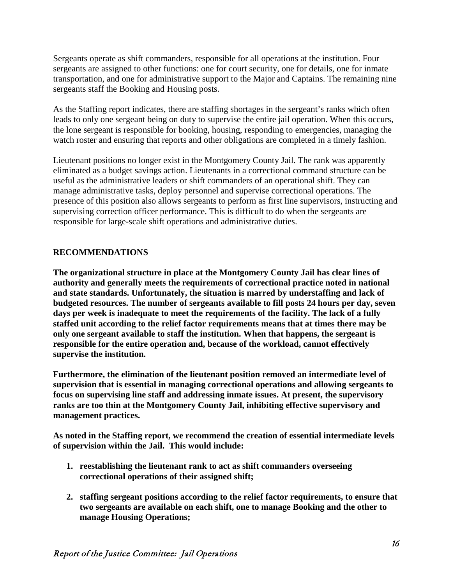Sergeants operate as shift commanders, responsible for all operations at the institution. Four sergeants are assigned to other functions: one for court security, one for details, one for inmate transportation, and one for administrative support to the Major and Captains. The remaining nine sergeants staff the Booking and Housing posts.

As the Staffing report indicates, there are staffing shortages in the sergeant's ranks which often leads to only one sergeant being on duty to supervise the entire jail operation. When this occurs, the lone sergeant is responsible for booking, housing, responding to emergencies, managing the watch roster and ensuring that reports and other obligations are completed in a timely fashion.

Lieutenant positions no longer exist in the Montgomery County Jail. The rank was apparently eliminated as a budget savings action. Lieutenants in a correctional command structure can be useful as the administrative leaders or shift commanders of an operational shift. They can manage administrative tasks, deploy personnel and supervise correctional operations. The presence of this position also allows sergeants to perform as first line supervisors, instructing and supervising correction officer performance. This is difficult to do when the sergeants are responsible for large-scale shift operations and administrative duties.

### **RECOMMENDATIONS**

**The organizational structure in place at the Montgomery County Jail has clear lines of authority and generally meets the requirements of correctional practice noted in national and state standards. Unfortunately, the situation is marred by understaffing and lack of budgeted resources. The number of sergeants available to fill posts 24 hours per day, seven days per week is inadequate to meet the requirements of the facility. The lack of a fully staffed unit according to the relief factor requirements means that at times there may be only one sergeant available to staff the institution. When that happens, the sergeant is responsible for the entire operation and, because of the workload, cannot effectively supervise the institution.**

**Furthermore, the elimination of the lieutenant position removed an intermediate level of supervision that is essential in managing correctional operations and allowing sergeants to focus on supervising line staff and addressing inmate issues. At present, the supervisory ranks are too thin at the Montgomery County Jail, inhibiting effective supervisory and management practices.** 

**As noted in the Staffing report, we recommend the creation of essential intermediate levels of supervision within the Jail. This would include:**

- **1. reestablishing the lieutenant rank to act as shift commanders overseeing correctional operations of their assigned shift;**
- **2. staffing sergeant positions according to the relief factor requirements, to ensure that two sergeants are available on each shift, one to manage Booking and the other to manage Housing Operations;**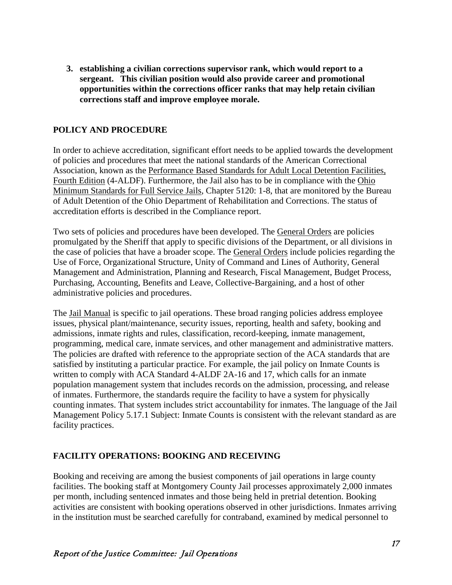**3. establishing a civilian corrections supervisor rank, which would report to a sergeant. This civilian position would also provide career and promotional opportunities within the corrections officer ranks that may help retain civilian corrections staff and improve employee morale.**

### **POLICY AND PROCEDURE**

In order to achieve accreditation, significant effort needs to be applied towards the development of policies and procedures that meet the national standards of the American Correctional Association, known as the Performance Based Standards for Adult Local Detention Facilities, Fourth Edition (4-ALDF). Furthermore, the Jail also has to be in compliance with the Ohio Minimum Standards for Full Service Jails, Chapter 5120: 1-8, that are monitored by the Bureau of Adult Detention of the Ohio Department of Rehabilitation and Corrections. The status of accreditation efforts is described in the Compliance report.

Two sets of policies and procedures have been developed. The General Orders are policies promulgated by the Sheriff that apply to specific divisions of the Department, or all divisions in the case of policies that have a broader scope. The General Orders include policies regarding the Use of Force, Organizational Structure, Unity of Command and Lines of Authority, General Management and Administration, Planning and Research, Fiscal Management, Budget Process, Purchasing, Accounting, Benefits and Leave, Collective-Bargaining, and a host of other administrative policies and procedures.

The Jail Manual is specific to jail operations. These broad ranging policies address employee issues, physical plant/maintenance, security issues, reporting, health and safety, booking and admissions, inmate rights and rules, classification, record-keeping, inmate management, programming, medical care, inmate services, and other management and administrative matters. The policies are drafted with reference to the appropriate section of the ACA standards that are satisfied by instituting a particular practice. For example, the jail policy on Inmate Counts is written to comply with ACA Standard 4-ALDF 2A-16 and 17, which calls for an inmate population management system that includes records on the admission, processing, and release of inmates. Furthermore, the standards require the facility to have a system for physically counting inmates. That system includes strict accountability for inmates. The language of the Jail Management Policy 5.17.1 Subject: Inmate Counts is consistent with the relevant standard as are facility practices.

### **FACILITY OPERATIONS: BOOKING AND RECEIVING**

Booking and receiving are among the busiest components of jail operations in large county facilities. The booking staff at Montgomery County Jail processes approximately 2,000 inmates per month, including sentenced inmates and those being held in pretrial detention. Booking activities are consistent with booking operations observed in other jurisdictions. Inmates arriving in the institution must be searched carefully for contraband, examined by medical personnel to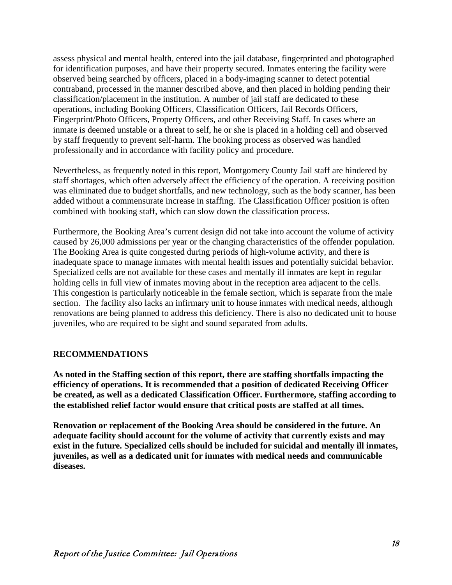assess physical and mental health, entered into the jail database, fingerprinted and photographed for identification purposes, and have their property secured. Inmates entering the facility were observed being searched by officers, placed in a body-imaging scanner to detect potential contraband, processed in the manner described above, and then placed in holding pending their classification/placement in the institution. A number of jail staff are dedicated to these operations, including Booking Officers, Classification Officers, Jail Records Officers, Fingerprint/Photo Officers, Property Officers, and other Receiving Staff. In cases where an inmate is deemed unstable or a threat to self, he or she is placed in a holding cell and observed by staff frequently to prevent self-harm. The booking process as observed was handled professionally and in accordance with facility policy and procedure.

Nevertheless, as frequently noted in this report, Montgomery County Jail staff are hindered by staff shortages, which often adversely affect the efficiency of the operation. A receiving position was eliminated due to budget shortfalls, and new technology, such as the body scanner, has been added without a commensurate increase in staffing. The Classification Officer position is often combined with booking staff, which can slow down the classification process.

Furthermore, the Booking Area's current design did not take into account the volume of activity caused by 26,000 admissions per year or the changing characteristics of the offender population. The Booking Area is quite congested during periods of high-volume activity, and there is inadequate space to manage inmates with mental health issues and potentially suicidal behavior. Specialized cells are not available for these cases and mentally ill inmates are kept in regular holding cells in full view of inmates moving about in the reception area adjacent to the cells. This congestion is particularly noticeable in the female section, which is separate from the male section. The facility also lacks an infirmary unit to house inmates with medical needs, although renovations are being planned to address this deficiency. There is also no dedicated unit to house juveniles, who are required to be sight and sound separated from adults.

### **RECOMMENDATIONS**

**As noted in the Staffing section of this report, there are staffing shortfalls impacting the efficiency of operations. It is recommended that a position of dedicated Receiving Officer be created, as well as a dedicated Classification Officer. Furthermore, staffing according to the established relief factor would ensure that critical posts are staffed at all times.**

**Renovation or replacement of the Booking Area should be considered in the future. An adequate facility should account for the volume of activity that currently exists and may exist in the future. Specialized cells should be included for suicidal and mentally ill inmates, juveniles, as well as a dedicated unit for inmates with medical needs and communicable diseases.**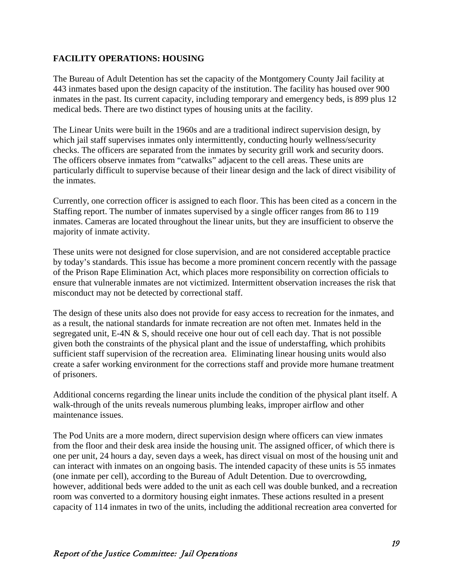### **FACILITY OPERATIONS: HOUSING**

The Bureau of Adult Detention has set the capacity of the Montgomery County Jail facility at 443 inmates based upon the design capacity of the institution. The facility has housed over 900 inmates in the past. Its current capacity, including temporary and emergency beds, is 899 plus 12 medical beds. There are two distinct types of housing units at the facility.

The Linear Units were built in the 1960s and are a traditional indirect supervision design, by which jail staff supervises inmates only intermittently, conducting hourly wellness/security checks. The officers are separated from the inmates by security grill work and security doors. The officers observe inmates from "catwalks" adjacent to the cell areas. These units are particularly difficult to supervise because of their linear design and the lack of direct visibility of the inmates.

Currently, one correction officer is assigned to each floor. This has been cited as a concern in the Staffing report. The number of inmates supervised by a single officer ranges from 86 to 119 inmates. Cameras are located throughout the linear units, but they are insufficient to observe the majority of inmate activity.

These units were not designed for close supervision, and are not considered acceptable practice by today's standards. This issue has become a more prominent concern recently with the passage of the Prison Rape Elimination Act, which places more responsibility on correction officials to ensure that vulnerable inmates are not victimized. Intermittent observation increases the risk that misconduct may not be detected by correctional staff.

The design of these units also does not provide for easy access to recreation for the inmates, and as a result, the national standards for inmate recreation are not often met. Inmates held in the segregated unit, E-4N & S, should receive one hour out of cell each day. That is not possible given both the constraints of the physical plant and the issue of understaffing, which prohibits sufficient staff supervision of the recreation area. Eliminating linear housing units would also create a safer working environment for the corrections staff and provide more humane treatment of prisoners.

Additional concerns regarding the linear units include the condition of the physical plant itself. A walk-through of the units reveals numerous plumbing leaks, improper airflow and other maintenance issues.

The Pod Units are a more modern, direct supervision design where officers can view inmates from the floor and their desk area inside the housing unit. The assigned officer, of which there is one per unit, 24 hours a day, seven days a week, has direct visual on most of the housing unit and can interact with inmates on an ongoing basis. The intended capacity of these units is 55 inmates (one inmate per cell), according to the Bureau of Adult Detention. Due to overcrowding, however, additional beds were added to the unit as each cell was double bunked, and a recreation room was converted to a dormitory housing eight inmates. These actions resulted in a present capacity of 114 inmates in two of the units, including the additional recreation area converted for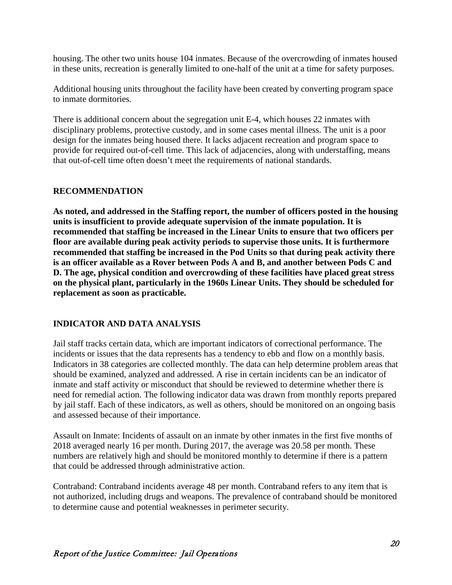housing. The other two units house 104 inmates. Because of the overcrowding of inmates housed in these units, recreation is generally limited to one-half of the unit at a time for safety purposes.

Additional housing units throughout the facility have been created by converting program space to inmate dormitories.

There is additional concern about the segregation unit E-4, which houses 22 inmates with disciplinary problems, protective custody, and in some cases mental illness. The unit is a poor design for the inmates being housed there. It lacks adjacent recreation and program space to provide for required out-of-cell time. This lack of adjacencies, along with understaffing, means that out-of-cell time often doesn't meet the requirements of national standards.

### **RECOMMENDATION**

**As noted, and addressed in the Staffing report, the number of officers posted in the housing units is insufficient to provide adequate supervision of the inmate population. It is recommended that staffing be increased in the Linear Units to ensure that two officers per floor are available during peak activity periods to supervise those units. It is furthermore recommended that staffing be increased in the Pod Units so that during peak activity there is an officer available as a Rover between Pods A and B, and another between Pods C and D. The age, physical condition and overcrowding of these facilities have placed great stress on the physical plant, particularly in the 1960s Linear Units. They should be scheduled for replacement as soon as practicable.**

### **INDICATOR AND DATA ANALYSIS**

Jail staff tracks certain data, which are important indicators of correctional performance. The incidents or issues that the data represents has a tendency to ebb and flow on a monthly basis. Indicators in 38 categories are collected monthly. The data can help determine problem areas that should be examined, analyzed and addressed. A rise in certain incidents can be an indicator of inmate and staff activity or misconduct that should be reviewed to determine whether there is need for remedial action. The following indicator data was drawn from monthly reports prepared by jail staff. Each of these indicators, as well as others, should be monitored on an ongoing basis and assessed because of their importance.

Assault on Inmate: Incidents of assault on an inmate by other inmates in the first five months of 2018 averaged nearly 16 per month. During 2017, the average was 20.58 per month. These numbers are relatively high and should be monitored monthly to determine if there is a pattern that could be addressed through administrative action.

Contraband: Contraband incidents average 48 per month. Contraband refers to any item that is not authorized, including drugs and weapons. The prevalence of contraband should be monitored to determine cause and potential weaknesses in perimeter security.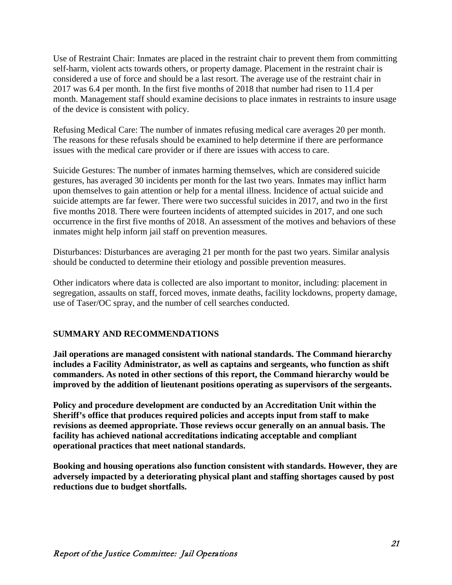Use of Restraint Chair: Inmates are placed in the restraint chair to prevent them from committing self-harm, violent acts towards others, or property damage. Placement in the restraint chair is considered a use of force and should be a last resort. The average use of the restraint chair in 2017 was 6.4 per month. In the first five months of 2018 that number had risen to 11.4 per month. Management staff should examine decisions to place inmates in restraints to insure usage of the device is consistent with policy.

Refusing Medical Care: The number of inmates refusing medical care averages 20 per month. The reasons for these refusals should be examined to help determine if there are performance issues with the medical care provider or if there are issues with access to care.

Suicide Gestures: The number of inmates harming themselves, which are considered suicide gestures, has averaged 30 incidents per month for the last two years. Inmates may inflict harm upon themselves to gain attention or help for a mental illness. Incidence of actual suicide and suicide attempts are far fewer. There were two successful suicides in 2017, and two in the first five months 2018. There were fourteen incidents of attempted suicides in 2017, and one such occurrence in the first five months of 2018. An assessment of the motives and behaviors of these inmates might help inform jail staff on prevention measures.

Disturbances: Disturbances are averaging 21 per month for the past two years. Similar analysis should be conducted to determine their etiology and possible prevention measures.

Other indicators where data is collected are also important to monitor, including: placement in segregation, assaults on staff, forced moves, inmate deaths, facility lockdowns, property damage, use of Taser/OC spray, and the number of cell searches conducted.

### **SUMMARY AND RECOMMENDATIONS**

**Jail operations are managed consistent with national standards. The Command hierarchy includes a Facility Administrator, as well as captains and sergeants, who function as shift commanders. As noted in other sections of this report, the Command hierarchy would be improved by the addition of lieutenant positions operating as supervisors of the sergeants.**

**Policy and procedure development are conducted by an Accreditation Unit within the Sheriff's office that produces required policies and accepts input from staff to make revisions as deemed appropriate. Those reviews occur generally on an annual basis. The facility has achieved national accreditations indicating acceptable and compliant operational practices that meet national standards.**

**Booking and housing operations also function consistent with standards. However, they are adversely impacted by a deteriorating physical plant and staffing shortages caused by post reductions due to budget shortfalls.**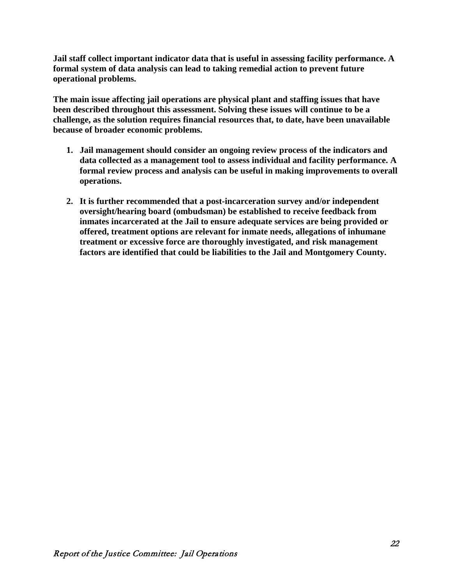**Jail staff collect important indicator data that is useful in assessing facility performance. A formal system of data analysis can lead to taking remedial action to prevent future operational problems.**

**The main issue affecting jail operations are physical plant and staffing issues that have been described throughout this assessment. Solving these issues will continue to be a challenge, as the solution requires financial resources that, to date, have been unavailable because of broader economic problems.**

- **1. Jail management should consider an ongoing review process of the indicators and data collected as a management tool to assess individual and facility performance. A formal review process and analysis can be useful in making improvements to overall operations.**
- **2. It is further recommended that a post-incarceration survey and/or independent oversight/hearing board (ombudsman) be established to receive feedback from inmates incarcerated at the Jail to ensure adequate services are being provided or offered, treatment options are relevant for inmate needs, allegations of inhumane treatment or excessive force are thoroughly investigated, and risk management factors are identified that could be liabilities to the Jail and Montgomery County.**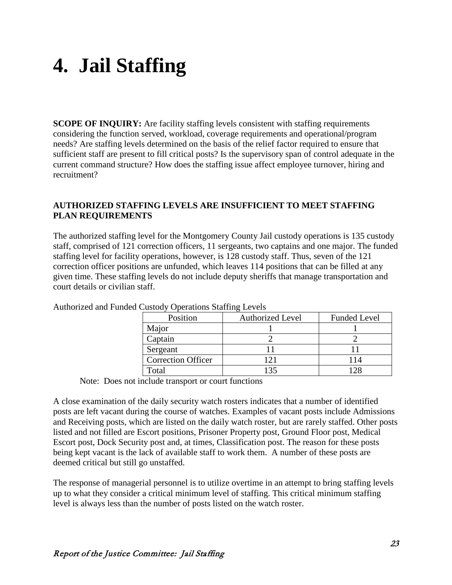# **4. Jail Staffing**

**SCOPE OF INQUIRY:** Are facility staffing levels consistent with staffing requirements considering the function served, workload, coverage requirements and operational/program needs? Are staffing levels determined on the basis of the relief factor required to ensure that sufficient staff are present to fill critical posts? Is the supervisory span of control adequate in the current command structure? How does the staffing issue affect employee turnover, hiring and recruitment?

### **AUTHORIZED STAFFING LEVELS ARE INSUFFICIENT TO MEET STAFFING PLAN REQUIREMENTS**

The authorized staffing level for the Montgomery County Jail custody operations is 135 custody staff, comprised of 121 correction officers, 11 sergeants, two captains and one major. The funded staffing level for facility operations, however, is 128 custody staff. Thus, seven of the 121 correction officer positions are unfunded, which leaves 114 positions that can be filled at any given time. These staffing levels do not include deputy sheriffs that manage transportation and court details or civilian staff.

| Position                  | <b>Authorized Level</b> | <b>Funded Level</b> |
|---------------------------|-------------------------|---------------------|
| Major                     |                         |                     |
| Captain                   |                         |                     |
| Sergeant                  |                         |                     |
| <b>Correction Officer</b> | 121                     |                     |
| Total                     | 135                     |                     |

Authorized and Funded Custody Operations Staffing Levels

Note: Does not include transport or court functions

A close examination of the daily security watch rosters indicates that a number of identified posts are left vacant during the course of watches. Examples of vacant posts include Admissions and Receiving posts, which are listed on the daily watch roster, but are rarely staffed. Other posts listed and not filled are Escort positions, Prisoner Property post, Ground Floor post, Medical Escort post, Dock Security post and, at times, Classification post. The reason for these posts being kept vacant is the lack of available staff to work them. A number of these posts are deemed critical but still go unstaffed.

The response of managerial personnel is to utilize overtime in an attempt to bring staffing levels up to what they consider a critical minimum level of staffing. This critical minimum staffing level is always less than the number of posts listed on the watch roster.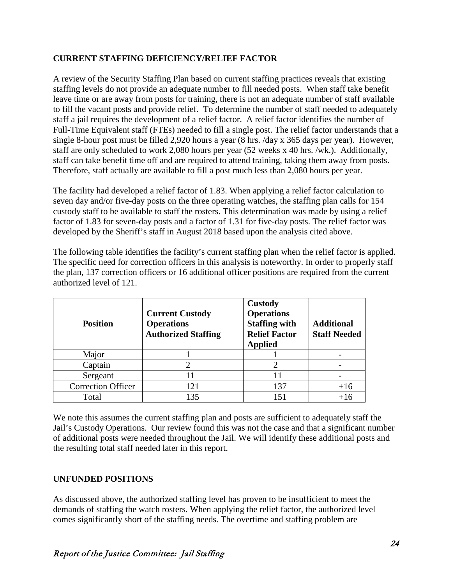### **CURRENT STAFFING DEFICIENCY/RELIEF FACTOR**

A review of the Security Staffing Plan based on current staffing practices reveals that existing staffing levels do not provide an adequate number to fill needed posts. When staff take benefit leave time or are away from posts for training, there is not an adequate number of staff available to fill the vacant posts and provide relief. To determine the number of staff needed to adequately staff a jail requires the development of a relief factor. A relief factor identifies the number of Full-Time Equivalent staff (FTEs) needed to fill a single post. The relief factor understands that a single 8-hour post must be filled 2,920 hours a year (8 hrs. /day x 365 days per year). However, staff are only scheduled to work 2,080 hours per year (52 weeks x 40 hrs. /wk.). Additionally, staff can take benefit time off and are required to attend training, taking them away from posts. Therefore, staff actually are available to fill a post much less than 2,080 hours per year.

The facility had developed a relief factor of 1.83. When applying a relief factor calculation to seven day and/or five-day posts on the three operating watches, the staffing plan calls for 154 custody staff to be available to staff the rosters. This determination was made by using a relief factor of 1.83 for seven-day posts and a factor of 1.31 for five-day posts. The relief factor was developed by the Sheriff's staff in August 2018 based upon the analysis cited above.

The following table identifies the facility's current staffing plan when the relief factor is applied. The specific need for correction officers in this analysis is noteworthy. In order to properly staff the plan, 137 correction officers or 16 additional officer positions are required from the current authorized level of 121.

| <b>Position</b>           | <b>Current Custody</b><br><b>Operations</b><br><b>Authorized Staffing</b> | <b>Custody</b><br><b>Operations</b><br><b>Staffing with</b><br><b>Relief Factor</b><br><b>Applied</b> | <b>Additional</b><br><b>Staff Needed</b> |
|---------------------------|---------------------------------------------------------------------------|-------------------------------------------------------------------------------------------------------|------------------------------------------|
| Major                     |                                                                           |                                                                                                       |                                          |
| Captain                   |                                                                           |                                                                                                       |                                          |
| Sergeant                  | 11                                                                        | 11                                                                                                    |                                          |
| <b>Correction Officer</b> | 121                                                                       | 137                                                                                                   | $+16$                                    |
| Total                     | 135                                                                       | 151                                                                                                   |                                          |

We note this assumes the current staffing plan and posts are sufficient to adequately staff the Jail's Custody Operations. Our review found this was not the case and that a significant number of additional posts were needed throughout the Jail. We will identify these additional posts and the resulting total staff needed later in this report.

### **UNFUNDED POSITIONS**

As discussed above, the authorized staffing level has proven to be insufficient to meet the demands of staffing the watch rosters. When applying the relief factor, the authorized level comes significantly short of the staffing needs. The overtime and staffing problem are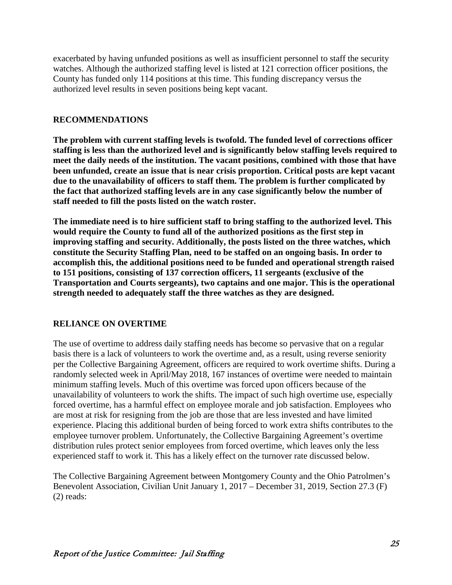exacerbated by having unfunded positions as well as insufficient personnel to staff the security watches. Although the authorized staffing level is listed at 121 correction officer positions, the County has funded only 114 positions at this time. This funding discrepancy versus the authorized level results in seven positions being kept vacant.

### **RECOMMENDATIONS**

**The problem with current staffing levels is twofold. The funded level of corrections officer staffing is less than the authorized level and is significantly below staffing levels required to meet the daily needs of the institution. The vacant positions, combined with those that have been unfunded, create an issue that is near crisis proportion. Critical posts are kept vacant due to the unavailability of officers to staff them. The problem is further complicated by the fact that authorized staffing levels are in any case significantly below the number of staff needed to fill the posts listed on the watch roster.**

**The immediate need is to hire sufficient staff to bring staffing to the authorized level. This would require the County to fund all of the authorized positions as the first step in improving staffing and security. Additionally, the posts listed on the three watches, which constitute the Security Staffing Plan, need to be staffed on an ongoing basis. In order to accomplish this, the additional positions need to be funded and operational strength raised to 151 positions, consisting of 137 correction officers, 11 sergeants (exclusive of the Transportation and Courts sergeants), two captains and one major. This is the operational strength needed to adequately staff the three watches as they are designed.**

### **RELIANCE ON OVERTIME**

The use of overtime to address daily staffing needs has become so pervasive that on a regular basis there is a lack of volunteers to work the overtime and, as a result, using reverse seniority per the Collective Bargaining Agreement, officers are required to work overtime shifts. During a randomly selected week in April/May 2018, 167 instances of overtime were needed to maintain minimum staffing levels. Much of this overtime was forced upon officers because of the unavailability of volunteers to work the shifts. The impact of such high overtime use, especially forced overtime, has a harmful effect on employee morale and job satisfaction. Employees who are most at risk for resigning from the job are those that are less invested and have limited experience. Placing this additional burden of being forced to work extra shifts contributes to the employee turnover problem. Unfortunately, the Collective Bargaining Agreement's overtime distribution rules protect senior employees from forced overtime, which leaves only the less experienced staff to work it. This has a likely effect on the turnover rate discussed below.

The Collective Bargaining Agreement between Montgomery County and the Ohio Patrolmen's Benevolent Association, Civilian Unit January 1, 2017 – December 31, 2019, Section 27.3 (F) (2) reads: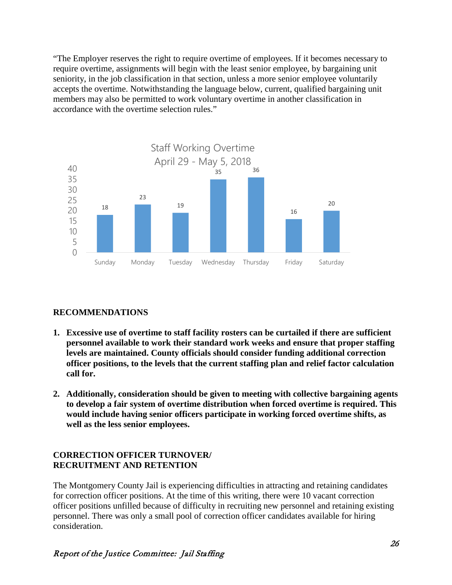"The Employer reserves the right to require overtime of employees. If it becomes necessary to require overtime, assignments will begin with the least senior employee, by bargaining unit seniority, in the job classification in that section, unless a more senior employee voluntarily accepts the overtime. Notwithstanding the language below, current, qualified bargaining unit members may also be permitted to work voluntary overtime in another classification in accordance with the overtime selection rules."



### **RECOMMENDATIONS**

- **1. Excessive use of overtime to staff facility rosters can be curtailed if there are sufficient personnel available to work their standard work weeks and ensure that proper staffing levels are maintained. County officials should consider funding additional correction officer positions, to the levels that the current staffing plan and relief factor calculation call for.**
- **2. Additionally, consideration should be given to meeting with collective bargaining agents to develop a fair system of overtime distribution when forced overtime is required. This would include having senior officers participate in working forced overtime shifts, as well as the less senior employees.**

### **CORRECTION OFFICER TURNOVER/ RECRUITMENT AND RETENTION**

The Montgomery County Jail is experiencing difficulties in attracting and retaining candidates for correction officer positions. At the time of this writing, there were 10 vacant correction officer positions unfilled because of difficulty in recruiting new personnel and retaining existing personnel. There was only a small pool of correction officer candidates available for hiring consideration.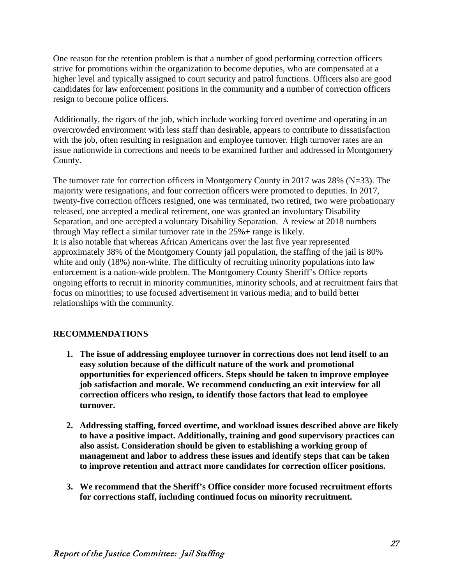One reason for the retention problem is that a number of good performing correction officers strive for promotions within the organization to become deputies, who are compensated at a higher level and typically assigned to court security and patrol functions. Officers also are good candidates for law enforcement positions in the community and a number of correction officers resign to become police officers.

Additionally, the rigors of the job, which include working forced overtime and operating in an overcrowded environment with less staff than desirable, appears to contribute to dissatisfaction with the job, often resulting in resignation and employee turnover. High turnover rates are an issue nationwide in corrections and needs to be examined further and addressed in Montgomery County.

The turnover rate for correction officers in Montgomery County in 2017 was 28% (N=33). The majority were resignations, and four correction officers were promoted to deputies. In 2017, twenty-five correction officers resigned, one was terminated, two retired, two were probationary released, one accepted a medical retirement, one was granted an involuntary Disability Separation, and one accepted a voluntary Disability Separation. A review at 2018 numbers through May reflect a similar turnover rate in the 25%+ range is likely. It is also notable that whereas African Americans over the last five year represented approximately 38% of the Montgomery County jail population, the staffing of the jail is 80% white and only (18%) non-white. The difficulty of recruiting minority populations into law enforcement is a nation-wide problem. The Montgomery County Sheriff's Office reports ongoing efforts to recruit in minority communities, minority schools, and at recruitment fairs that focus on minorities; to use focused advertisement in various media; and to build better relationships with the community.

### **RECOMMENDATIONS**

- **1. The issue of addressing employee turnover in corrections does not lend itself to an easy solution because of the difficult nature of the work and promotional opportunities for experienced officers. Steps should be taken to improve employee job satisfaction and morale. We recommend conducting an exit interview for all correction officers who resign, to identify those factors that lead to employee turnover.**
- **2. Addressing staffing, forced overtime, and workload issues described above are likely to have a positive impact. Additionally, training and good supervisory practices can also assist. Consideration should be given to establishing a working group of management and labor to address these issues and identify steps that can be taken to improve retention and attract more candidates for correction officer positions.**
- **3. We recommend that the Sheriff's Office consider more focused recruitment efforts for corrections staff, including continued focus on minority recruitment.**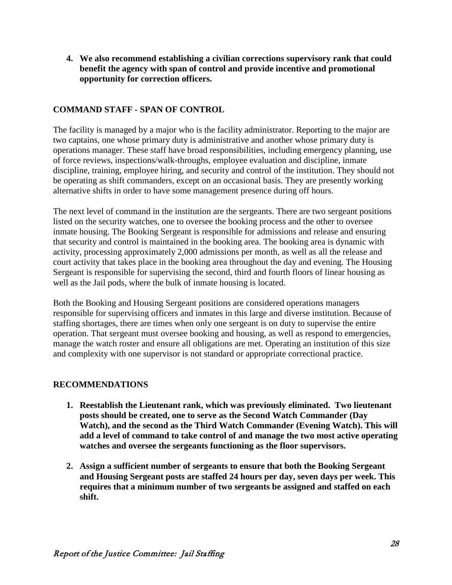**4. We also recommend establishing a civilian corrections supervisory rank that could benefit the agency with span of control and provide incentive and promotional opportunity for correction officers.**

### **COMMAND STAFF - SPAN OF CONTROL**

The facility is managed by a major who is the facility administrator. Reporting to the major are two captains, one whose primary duty is administrative and another whose primary duty is operations manager. These staff have broad responsibilities, including emergency planning, use of force reviews, inspections/walk-throughs, employee evaluation and discipline, inmate discipline, training, employee hiring, and security and control of the institution. They should not be operating as shift commanders, except on an occasional basis. They are presently working alternative shifts in order to have some management presence during off hours.

The next level of command in the institution are the sergeants. There are two sergeant positions listed on the security watches, one to oversee the booking process and the other to oversee inmate housing. The Booking Sergeant is responsible for admissions and release and ensuring that security and control is maintained in the booking area. The booking area is dynamic with activity, processing approximately 2,000 admissions per month, as well as all the release and court activity that takes place in the booking area throughout the day and evening. The Housing Sergeant is responsible for supervising the second, third and fourth floors of linear housing as well as the Jail pods, where the bulk of inmate housing is located.

Both the Booking and Housing Sergeant positions are considered operations managers responsible for supervising officers and inmates in this large and diverse institution. Because of staffing shortages, there are times when only one sergeant is on duty to supervise the entire operation. That sergeant must oversee booking and housing, as well as respond to emergencies, manage the watch roster and ensure all obligations are met. Operating an institution of this size and complexity with one supervisor is not standard or appropriate correctional practice.

### **RECOMMENDATIONS**

- **1. Reestablish the Lieutenant rank, which was previously eliminated. Two lieutenant posts should be created, one to serve as the Second Watch Commander (Day Watch), and the second as the Third Watch Commander (Evening Watch). This will add a level of command to take control of and manage the two most active operating watches and oversee the sergeants functioning as the floor supervisors.**
- **2. Assign a sufficient number of sergeants to ensure that both the Booking Sergeant and Housing Sergeant posts are staffed 24 hours per day, seven days per week. This requires that a minimum number of two sergeants be assigned and staffed on each shift.**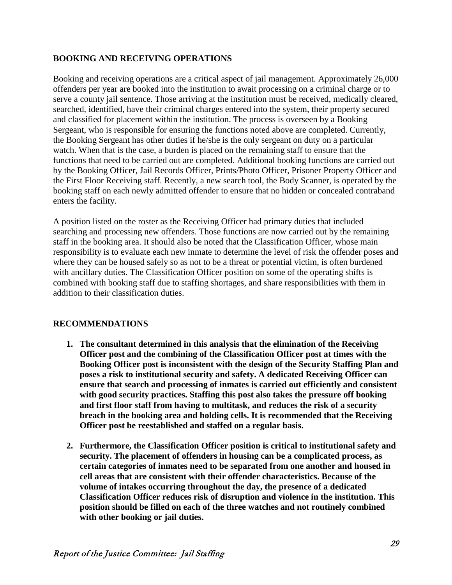### **BOOKING AND RECEIVING OPERATIONS**

Booking and receiving operations are a critical aspect of jail management. Approximately 26,000 offenders per year are booked into the institution to await processing on a criminal charge or to serve a county jail sentence. Those arriving at the institution must be received, medically cleared, searched, identified, have their criminal charges entered into the system, their property secured and classified for placement within the institution. The process is overseen by a Booking Sergeant, who is responsible for ensuring the functions noted above are completed. Currently, the Booking Sergeant has other duties if he/she is the only sergeant on duty on a particular watch. When that is the case, a burden is placed on the remaining staff to ensure that the functions that need to be carried out are completed. Additional booking functions are carried out by the Booking Officer, Jail Records Officer, Prints/Photo Officer, Prisoner Property Officer and the First Floor Receiving staff. Recently, a new search tool, the Body Scanner, is operated by the booking staff on each newly admitted offender to ensure that no hidden or concealed contraband enters the facility.

A position listed on the roster as the Receiving Officer had primary duties that included searching and processing new offenders. Those functions are now carried out by the remaining staff in the booking area. It should also be noted that the Classification Officer, whose main responsibility is to evaluate each new inmate to determine the level of risk the offender poses and where they can be housed safely so as not to be a threat or potential victim, is often burdened with ancillary duties. The Classification Officer position on some of the operating shifts is combined with booking staff due to staffing shortages, and share responsibilities with them in addition to their classification duties.

### **RECOMMENDATIONS**

- **1. The consultant determined in this analysis that the elimination of the Receiving Officer post and the combining of the Classification Officer post at times with the Booking Officer post is inconsistent with the design of the Security Staffing Plan and poses a risk to institutional security and safety. A dedicated Receiving Officer can ensure that search and processing of inmates is carried out efficiently and consistent with good security practices. Staffing this post also takes the pressure off booking and first floor staff from having to multitask, and reduces the risk of a security breach in the booking area and holding cells. It is recommended that the Receiving Officer post be reestablished and staffed on a regular basis.**
- **2. Furthermore, the Classification Officer position is critical to institutional safety and security. The placement of offenders in housing can be a complicated process, as certain categories of inmates need to be separated from one another and housed in cell areas that are consistent with their offender characteristics. Because of the volume of intakes occurring throughout the day, the presence of a dedicated Classification Officer reduces risk of disruption and violence in the institution. This position should be filled on each of the three watches and not routinely combined with other booking or jail duties.**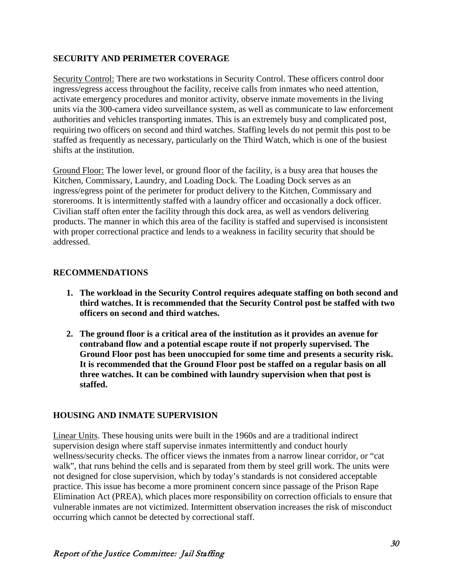## **SECURITY AND PERIMETER COVERAGE**

Security Control: There are two workstations in Security Control. These officers control door ingress/egress access throughout the facility, receive calls from inmates who need attention, activate emergency procedures and monitor activity, observe inmate movements in the living units via the 300-camera video surveillance system, as well as communicate to law enforcement authorities and vehicles transporting inmates. This is an extremely busy and complicated post, requiring two officers on second and third watches. Staffing levels do not permit this post to be staffed as frequently as necessary, particularly on the Third Watch, which is one of the busiest shifts at the institution.

Ground Floor: The lower level, or ground floor of the facility, is a busy area that houses the Kitchen, Commissary, Laundry, and Loading Dock. The Loading Dock serves as an ingress/egress point of the perimeter for product delivery to the Kitchen, Commissary and storerooms. It is intermittently staffed with a laundry officer and occasionally a dock officer. Civilian staff often enter the facility through this dock area, as well as vendors delivering products. The manner in which this area of the facility is staffed and supervised is inconsistent with proper correctional practice and lends to a weakness in facility security that should be addressed.

## **RECOMMENDATIONS**

- **1. The workload in the Security Control requires adequate staffing on both second and third watches. It is recommended that the Security Control post be staffed with two officers on second and third watches.**
- **2. The ground floor is a critical area of the institution as it provides an avenue for contraband flow and a potential escape route if not properly supervised. The Ground Floor post has been unoccupied for some time and presents a security risk. It is recommended that the Ground Floor post be staffed on a regular basis on all three watches. It can be combined with laundry supervision when that post is staffed.**

## **HOUSING AND INMATE SUPERVISION**

Linear Units. These housing units were built in the 1960s and are a traditional indirect supervision design where staff supervise inmates intermittently and conduct hourly wellness/security checks. The officer views the inmates from a narrow linear corridor, or "cat walk", that runs behind the cells and is separated from them by steel grill work. The units were not designed for close supervision, which by today's standards is not considered acceptable practice. This issue has become a more prominent concern since passage of the Prison Rape Elimination Act (PREA), which places more responsibility on correction officials to ensure that vulnerable inmates are not victimized. Intermittent observation increases the risk of misconduct occurring which cannot be detected by correctional staff.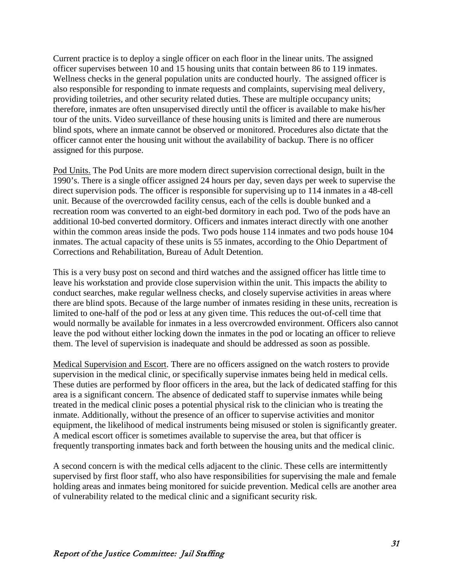Current practice is to deploy a single officer on each floor in the linear units. The assigned officer supervises between 10 and 15 housing units that contain between 86 to 119 inmates. Wellness checks in the general population units are conducted hourly. The assigned officer is also responsible for responding to inmate requests and complaints, supervising meal delivery, providing toiletries, and other security related duties. These are multiple occupancy units; therefore, inmates are often unsupervised directly until the officer is available to make his/her tour of the units. Video surveillance of these housing units is limited and there are numerous blind spots, where an inmate cannot be observed or monitored. Procedures also dictate that the officer cannot enter the housing unit without the availability of backup. There is no officer assigned for this purpose.

Pod Units. The Pod Units are more modern direct supervision correctional design, built in the 1990's. There is a single officer assigned 24 hours per day, seven days per week to supervise the direct supervision pods. The officer is responsible for supervising up to 114 inmates in a 48-cell unit. Because of the overcrowded facility census, each of the cells is double bunked and a recreation room was converted to an eight-bed dormitory in each pod. Two of the pods have an additional 10-bed converted dormitory. Officers and inmates interact directly with one another within the common areas inside the pods. Two pods house 114 inmates and two pods house 104 inmates. The actual capacity of these units is 55 inmates, according to the Ohio Department of Corrections and Rehabilitation, Bureau of Adult Detention.

This is a very busy post on second and third watches and the assigned officer has little time to leave his workstation and provide close supervision within the unit. This impacts the ability to conduct searches, make regular wellness checks, and closely supervise activities in areas where there are blind spots. Because of the large number of inmates residing in these units, recreation is limited to one-half of the pod or less at any given time. This reduces the out-of-cell time that would normally be available for inmates in a less overcrowded environment. Officers also cannot leave the pod without either locking down the inmates in the pod or locating an officer to relieve them. The level of supervision is inadequate and should be addressed as soon as possible.

Medical Supervision and Escort. There are no officers assigned on the watch rosters to provide supervision in the medical clinic, or specifically supervise inmates being held in medical cells. These duties are performed by floor officers in the area, but the lack of dedicated staffing for this area is a significant concern. The absence of dedicated staff to supervise inmates while being treated in the medical clinic poses a potential physical risk to the clinician who is treating the inmate. Additionally, without the presence of an officer to supervise activities and monitor equipment, the likelihood of medical instruments being misused or stolen is significantly greater. A medical escort officer is sometimes available to supervise the area, but that officer is frequently transporting inmates back and forth between the housing units and the medical clinic.

A second concern is with the medical cells adjacent to the clinic. These cells are intermittently supervised by first floor staff, who also have responsibilities for supervising the male and female holding areas and inmates being monitored for suicide prevention. Medical cells are another area of vulnerability related to the medical clinic and a significant security risk.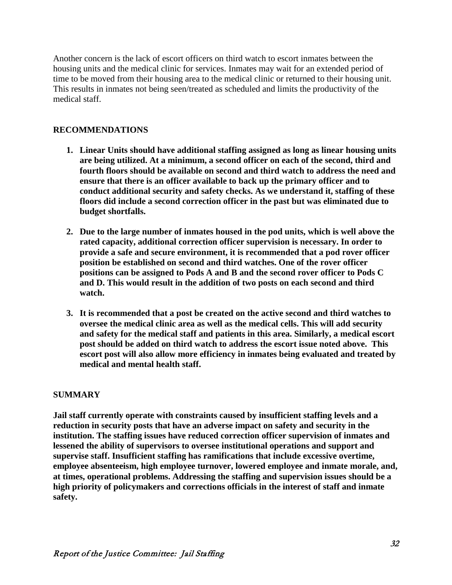Another concern is the lack of escort officers on third watch to escort inmates between the housing units and the medical clinic for services. Inmates may wait for an extended period of time to be moved from their housing area to the medical clinic or returned to their housing unit. This results in inmates not being seen/treated as scheduled and limits the productivity of the medical staff.

## **RECOMMENDATIONS**

- **1. Linear Units should have additional staffing assigned as long as linear housing units are being utilized. At a minimum, a second officer on each of the second, third and fourth floors should be available on second and third watch to address the need and ensure that there is an officer available to back up the primary officer and to conduct additional security and safety checks. As we understand it, staffing of these floors did include a second correction officer in the past but was eliminated due to budget shortfalls.**
- **2. Due to the large number of inmates housed in the pod units, which is well above the rated capacity, additional correction officer supervision is necessary. In order to provide a safe and secure environment, it is recommended that a pod rover officer position be established on second and third watches. One of the rover officer positions can be assigned to Pods A and B and the second rover officer to Pods C and D. This would result in the addition of two posts on each second and third watch.**
- **3. It is recommended that a post be created on the active second and third watches to oversee the medical clinic area as well as the medical cells. This will add security and safety for the medical staff and patients in this area. Similarly, a medical escort post should be added on third watch to address the escort issue noted above. This escort post will also allow more efficiency in inmates being evaluated and treated by medical and mental health staff.**

## **SUMMARY**

**Jail staff currently operate with constraints caused by insufficient staffing levels and a reduction in security posts that have an adverse impact on safety and security in the institution. The staffing issues have reduced correction officer supervision of inmates and lessened the ability of supervisors to oversee institutional operations and support and supervise staff. Insufficient staffing has ramifications that include excessive overtime, employee absenteeism, high employee turnover, lowered employee and inmate morale, and, at times, operational problems. Addressing the staffing and supervision issues should be a high priority of policymakers and corrections officials in the interest of staff and inmate safety.**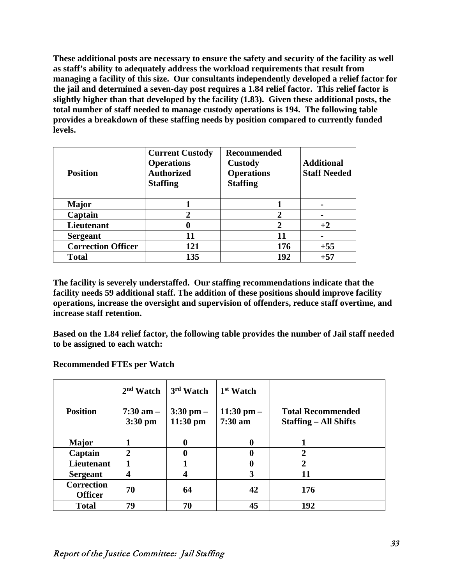**These additional posts are necessary to ensure the safety and security of the facility as well as staff's ability to adequately address the workload requirements that result from managing a facility of this size. Our consultants independently developed a relief factor for the jail and determined a seven-day post requires a 1.84 relief factor. This relief factor is slightly higher than that developed by the facility (1.83). Given these additional posts, the total number of staff needed to manage custody operations is 194. The following table provides a breakdown of these staffing needs by position compared to currently funded levels.** 

| <b>Position</b>           | <b>Current Custody</b><br><b>Operations</b><br><b>Authorized</b><br><b>Staffing</b> | <b>Recommended</b><br><b>Custody</b><br><b>Operations</b><br><b>Staffing</b> | <b>Additional</b><br><b>Staff Needed</b> |
|---------------------------|-------------------------------------------------------------------------------------|------------------------------------------------------------------------------|------------------------------------------|
| <b>Major</b>              |                                                                                     |                                                                              |                                          |
| Captain                   |                                                                                     |                                                                              |                                          |
| <b>Lieutenant</b>         |                                                                                     | 2                                                                            | $+2$                                     |
| <b>Sergeant</b>           | 11                                                                                  | 11                                                                           |                                          |
| <b>Correction Officer</b> | 121                                                                                 | 176                                                                          | $+55$                                    |
| <b>Total</b>              | 135                                                                                 | 192                                                                          | $+57$                                    |

**The facility is severely understaffed. Our staffing recommendations indicate that the facility needs 59 additional staff. The addition of these positions should improve facility operations, increase the oversight and supervision of offenders, reduce staff overtime, and increase staff retention.** 

**Based on the 1.84 relief factor, the following table provides the number of Jail staff needed to be assigned to each watch:**

**Recommended FTEs per Watch**

|                                     | $2nd$ Watch                | 3rd Watch                   | 1 <sup>st</sup> Watch               |                                                          |
|-------------------------------------|----------------------------|-----------------------------|-------------------------------------|----------------------------------------------------------|
| <b>Position</b>                     | $7:30$ am $-$<br>$3:30$ pm | $3:30$ pm $-$<br>$11:30$ pm | $11:30$ pm $-$<br>$7:30 \text{ am}$ | <b>Total Recommended</b><br><b>Staffing – All Shifts</b> |
| <b>Major</b>                        |                            | 0                           | $\boldsymbol{0}$                    |                                                          |
| Captain                             | $\overline{2}$             | 0                           | 0                                   | $\overline{2}$                                           |
| <b>Lieutenant</b>                   | 1                          |                             | 0                                   | $\overline{2}$                                           |
| <b>Sergeant</b>                     | 4                          | $\boldsymbol{4}$            | 3                                   | 11                                                       |
| <b>Correction</b><br><b>Officer</b> | 70                         | 64                          | 42                                  | 176                                                      |
| <b>Total</b>                        | 79                         | 70                          | 45                                  | 192                                                      |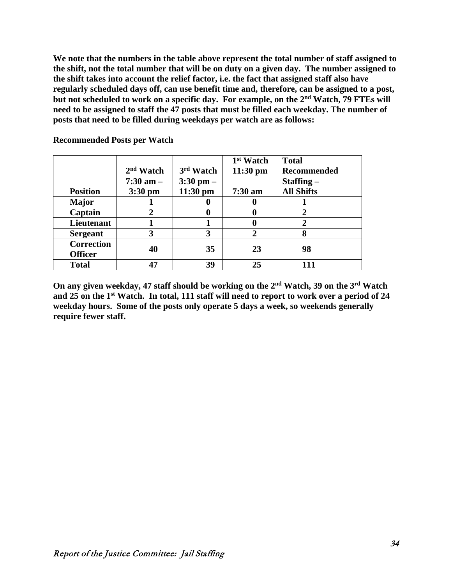**We note that the numbers in the table above represent the total number of staff assigned to the shift, not the total number that will be on duty on a given day. The number assigned to the shift takes into account the relief factor, i.e. the fact that assigned staff also have regularly scheduled days off, can use benefit time and, therefore, can be assigned to a post, but not scheduled to work on a specific day. For example, on the 2nd Watch, 79 FTEs will need to be assigned to staff the 47 posts that must be filled each weekday. The number of posts that need to be filled during weekdays per watch are as follows:**

|                   |               |               | 1 <sup>st</sup> Watch | <b>Total</b>       |
|-------------------|---------------|---------------|-----------------------|--------------------|
|                   | $2nd$ Watch   | 3rd Watch     | $11:30$ pm            | <b>Recommended</b> |
|                   | $7:30$ am $-$ | $3:30$ pm $-$ |                       | $Staffing -$       |
| <b>Position</b>   | $3:30$ pm     | $11:30$ pm    | $7:30$ am             | <b>All Shifts</b>  |
| <b>Major</b>      |               |               | $\bf{0}$              |                    |
| Captain           | 2             |               | $\bf{0}$              |                    |
| Lieutenant        |               |               | $\bf{0}$              |                    |
| <b>Sergeant</b>   | 3             | 3             | $\mathbf 2$           | 8                  |
| <b>Correction</b> | 40            | 35            | 23                    | 98                 |
| <b>Officer</b>    |               |               |                       |                    |
| <b>Total</b>      | 47            | 39            | 25                    | 111                |

**Recommended Posts per Watch**

**On any given weekday, 47 staff should be working on the 2nd Watch, 39 on the 3rd Watch and 25 on the 1st Watch. In total, 111 staff will need to report to work over a period of 24 weekday hours. Some of the posts only operate 5 days a week, so weekends generally require fewer staff.**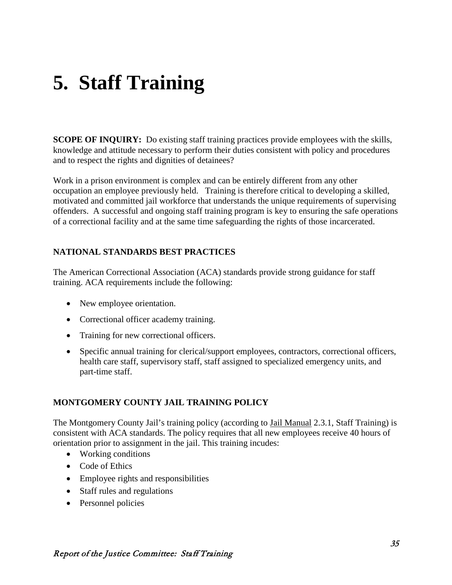# **5. Staff Training**

**SCOPE OF INQUIRY:** Do existing staff training practices provide employees with the skills, knowledge and attitude necessary to perform their duties consistent with policy and procedures and to respect the rights and dignities of detainees?

Work in a prison environment is complex and can be entirely different from any other occupation an employee previously held. Training is therefore critical to developing a skilled, motivated and committed jail workforce that understands the unique requirements of supervising offenders. A successful and ongoing staff training program is key to ensuring the safe operations of a correctional facility and at the same time safeguarding the rights of those incarcerated.

## **NATIONAL STANDARDS BEST PRACTICES**

The American Correctional Association (ACA) standards provide strong guidance for staff training. ACA requirements include the following:

- New employee orientation.
- Correctional officer academy training.
- Training for new correctional officers.
- Specific annual training for clerical/support employees, contractors, correctional officers, health care staff, supervisory staff, staff assigned to specialized emergency units, and part-time staff.

## **MONTGOMERY COUNTY JAIL TRAINING POLICY**

The Montgomery County Jail's training policy (according to Jail Manual 2.3.1, Staff Training) is consistent with ACA standards. The policy requires that all new employees receive 40 hours of orientation prior to assignment in the jail. This training incudes:

- Working conditions
- Code of Ethics
- Employee rights and responsibilities
- Staff rules and regulations
- Personnel policies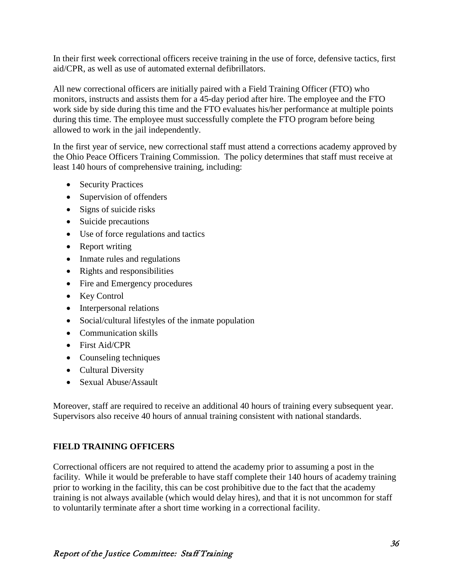In their first week correctional officers receive training in the use of force, defensive tactics, first aid/CPR, as well as use of automated external defibrillators.

All new correctional officers are initially paired with a Field Training Officer (FTO) who monitors, instructs and assists them for a 45-day period after hire. The employee and the FTO work side by side during this time and the FTO evaluates his/her performance at multiple points during this time. The employee must successfully complete the FTO program before being allowed to work in the jail independently.

In the first year of service, new correctional staff must attend a corrections academy approved by the Ohio Peace Officers Training Commission. The policy determines that staff must receive at least 140 hours of comprehensive training, including:

- Security Practices
- Supervision of offenders
- Signs of suicide risks
- Suicide precautions
- Use of force regulations and tactics
- Report writing
- Inmate rules and regulations
- Rights and responsibilities
- Fire and Emergency procedures
- Key Control
- Interpersonal relations
- Social/cultural lifestyles of the inmate population
- Communication skills
- First Aid/CPR
- Counseling techniques
- Cultural Diversity
- Sexual Abuse/Assault

Moreover, staff are required to receive an additional 40 hours of training every subsequent year. Supervisors also receive 40 hours of annual training consistent with national standards.

## **FIELD TRAINING OFFICERS**

Correctional officers are not required to attend the academy prior to assuming a post in the facility. While it would be preferable to have staff complete their 140 hours of academy training prior to working in the facility, this can be cost prohibitive due to the fact that the academy training is not always available (which would delay hires), and that it is not uncommon for staff to voluntarily terminate after a short time working in a correctional facility.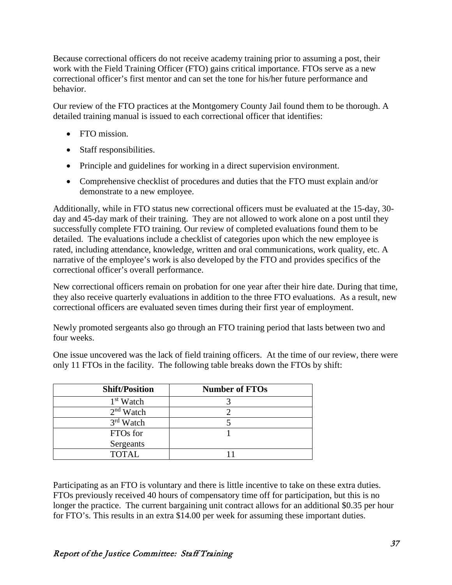Because correctional officers do not receive academy training prior to assuming a post, their work with the Field Training Officer (FTO) gains critical importance. FTOs serve as a new correctional officer's first mentor and can set the tone for his/her future performance and behavior.

Our review of the FTO practices at the Montgomery County Jail found them to be thorough. A detailed training manual is issued to each correctional officer that identifies:

- FTO mission.
- Staff responsibilities.
- Principle and guidelines for working in a direct supervision environment.
- Comprehensive checklist of procedures and duties that the FTO must explain and/or demonstrate to a new employee.

Additionally, while in FTO status new correctional officers must be evaluated at the 15-day, 30 day and 45-day mark of their training. They are not allowed to work alone on a post until they successfully complete FTO training. Our review of completed evaluations found them to be detailed. The evaluations include a checklist of categories upon which the new employee is rated, including attendance, knowledge, written and oral communications, work quality, etc. A narrative of the employee's work is also developed by the FTO and provides specifics of the correctional officer's overall performance.

New correctional officers remain on probation for one year after their hire date. During that time, they also receive quarterly evaluations in addition to the three FTO evaluations. As a result, new correctional officers are evaluated seven times during their first year of employment.

Newly promoted sergeants also go through an FTO training period that lasts between two and four weeks.

One issue uncovered was the lack of field training officers. At the time of our review, there were only 11 FTOs in the facility. The following table breaks down the FTOs by shift:

| <b>Shift/Position</b> | <b>Number of FTOs</b> |
|-----------------------|-----------------------|
| 1 <sup>st</sup> Watch |                       |
| $2nd$ Watch           |                       |
| $3rd$ Watch           |                       |
| FTO <sub>s</sub> for  |                       |
| Sergeants             |                       |
| <b>TOTAL</b>          |                       |

Participating as an FTO is voluntary and there is little incentive to take on these extra duties. FTOs previously received 40 hours of compensatory time off for participation, but this is no longer the practice. The current bargaining unit contract allows for an additional \$0.35 per hour for FTO's. This results in an extra \$14.00 per week for assuming these important duties.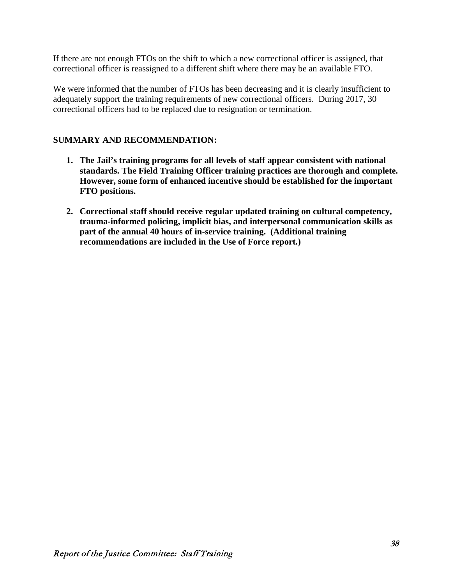If there are not enough FTOs on the shift to which a new correctional officer is assigned, that correctional officer is reassigned to a different shift where there may be an available FTO.

We were informed that the number of FTOs has been decreasing and it is clearly insufficient to adequately support the training requirements of new correctional officers. During 2017, 30 correctional officers had to be replaced due to resignation or termination.

## **SUMMARY AND RECOMMENDATION:**

- **1. The Jail's training programs for all levels of staff appear consistent with national standards. The Field Training Officer training practices are thorough and complete. However, some form of enhanced incentive should be established for the important FTO positions.**
- **2. Correctional staff should receive regular updated training on cultural competency, trauma-informed policing, implicit bias, and interpersonal communication skills as part of the annual 40 hours of in-service training. (Additional training recommendations are included in the Use of Force report.)**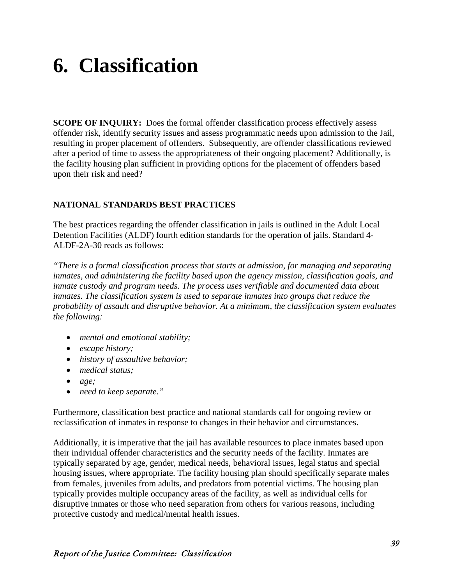# **6. Classification**

**SCOPE OF INQUIRY:** Does the formal offender classification process effectively assess offender risk, identify security issues and assess programmatic needs upon admission to the Jail, resulting in proper placement of offenders. Subsequently, are offender classifications reviewed after a period of time to assess the appropriateness of their ongoing placement? Additionally, is the facility housing plan sufficient in providing options for the placement of offenders based upon their risk and need?

## **NATIONAL STANDARDS BEST PRACTICES**

The best practices regarding the offender classification in jails is outlined in the Adult Local Detention Facilities (ALDF) fourth edition standards for the operation of jails. Standard 4- ALDF-2A-30 reads as follows:

*"There is a formal classification process that starts at admission, for managing and separating inmates, and administering the facility based upon the agency mission, classification goals, and inmate custody and program needs. The process uses verifiable and documented data about inmates. The classification system is used to separate inmates into groups that reduce the probability of assault and disruptive behavior. At a minimum, the classification system evaluates the following:*

- *mental and emotional stability;*
- *escape history;*
- *history of assaultive behavior;*
- *medical status;*
- *age;*
- *need to keep separate."*

Furthermore, classification best practice and national standards call for ongoing review or reclassification of inmates in response to changes in their behavior and circumstances.

Additionally, it is imperative that the jail has available resources to place inmates based upon their individual offender characteristics and the security needs of the facility. Inmates are typically separated by age, gender, medical needs, behavioral issues, legal status and special housing issues, where appropriate. The facility housing plan should specifically separate males from females, juveniles from adults, and predators from potential victims. The housing plan typically provides multiple occupancy areas of the facility, as well as individual cells for disruptive inmates or those who need separation from others for various reasons, including protective custody and medical/mental health issues.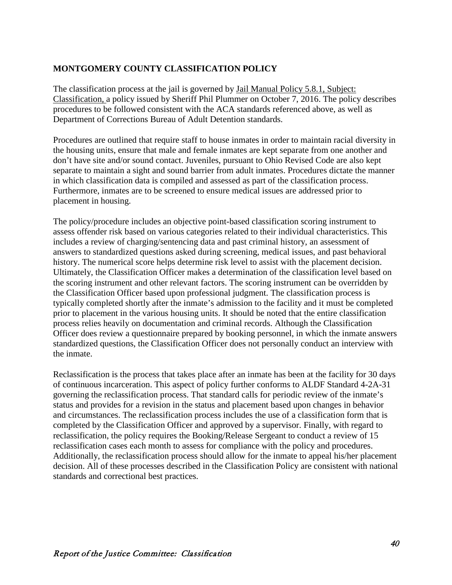## **MONTGOMERY COUNTY CLASSIFICATION POLICY**

The classification process at the jail is governed by Jail Manual Policy 5.8.1, Subject: Classification, a policy issued by Sheriff Phil Plummer on October 7, 2016. The policy describes procedures to be followed consistent with the ACA standards referenced above, as well as Department of Corrections Bureau of Adult Detention standards.

Procedures are outlined that require staff to house inmates in order to maintain racial diversity in the housing units, ensure that male and female inmates are kept separate from one another and don't have site and/or sound contact. Juveniles, pursuant to Ohio Revised Code are also kept separate to maintain a sight and sound barrier from adult inmates. Procedures dictate the manner in which classification data is compiled and assessed as part of the classification process. Furthermore, inmates are to be screened to ensure medical issues are addressed prior to placement in housing.

The policy/procedure includes an objective point-based classification scoring instrument to assess offender risk based on various categories related to their individual characteristics. This includes a review of charging/sentencing data and past criminal history, an assessment of answers to standardized questions asked during screening, medical issues, and past behavioral history. The numerical score helps determine risk level to assist with the placement decision. Ultimately, the Classification Officer makes a determination of the classification level based on the scoring instrument and other relevant factors. The scoring instrument can be overridden by the Classification Officer based upon professional judgment. The classification process is typically completed shortly after the inmate's admission to the facility and it must be completed prior to placement in the various housing units. It should be noted that the entire classification process relies heavily on documentation and criminal records. Although the Classification Officer does review a questionnaire prepared by booking personnel, in which the inmate answers standardized questions, the Classification Officer does not personally conduct an interview with the inmate.

Reclassification is the process that takes place after an inmate has been at the facility for 30 days of continuous incarceration. This aspect of policy further conforms to ALDF Standard 4-2A-31 governing the reclassification process. That standard calls for periodic review of the inmate's status and provides for a revision in the status and placement based upon changes in behavior and circumstances. The reclassification process includes the use of a classification form that is completed by the Classification Officer and approved by a supervisor. Finally, with regard to reclassification, the policy requires the Booking/Release Sergeant to conduct a review of 15 reclassification cases each month to assess for compliance with the policy and procedures. Additionally, the reclassification process should allow for the inmate to appeal his/her placement decision. All of these processes described in the Classification Policy are consistent with national standards and correctional best practices.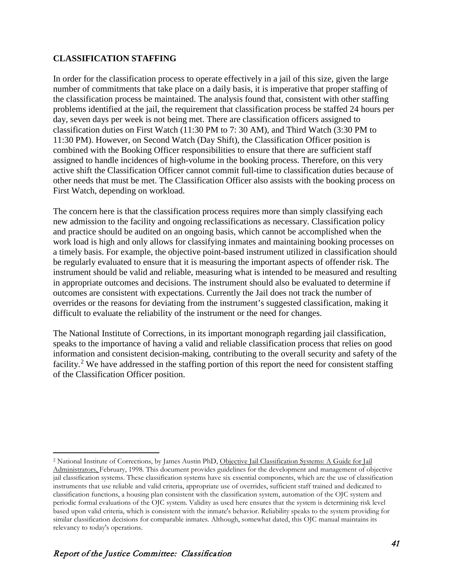## **CLASSIFICATION STAFFING**

In order for the classification process to operate effectively in a jail of this size, given the large number of commitments that take place on a daily basis, it is imperative that proper staffing of the classification process be maintained. The analysis found that, consistent with other staffing problems identified at the jail, the requirement that classification process be staffed 24 hours per day, seven days per week is not being met. There are classification officers assigned to classification duties on First Watch (11:30 PM to 7: 30 AM), and Third Watch (3:30 PM to 11:30 PM). However, on Second Watch (Day Shift), the Classification Officer position is combined with the Booking Officer responsibilities to ensure that there are sufficient staff assigned to handle incidences of high-volume in the booking process. Therefore, on this very active shift the Classification Officer cannot commit full-time to classification duties because of other needs that must be met. The Classification Officer also assists with the booking process on First Watch, depending on workload.

The concern here is that the classification process requires more than simply classifying each new admission to the facility and ongoing reclassifications as necessary. Classification policy and practice should be audited on an ongoing basis, which cannot be accomplished when the work load is high and only allows for classifying inmates and maintaining booking processes on a timely basis. For example, the objective point-based instrument utilized in classification should be regularly evaluated to ensure that it is measuring the important aspects of offender risk. The instrument should be valid and reliable, measuring what is intended to be measured and resulting in appropriate outcomes and decisions. The instrument should also be evaluated to determine if outcomes are consistent with expectations. Currently the Jail does not track the number of overrides or the reasons for deviating from the instrument's suggested classification, making it difficult to evaluate the reliability of the instrument or the need for changes.

The National Institute of Corrections, in its important monograph regarding jail classification, speaks to the importance of having a valid and reliable classification process that relies on good information and consistent decision-making, contributing to the overall security and safety of the facility.<sup>[2](#page-47-0)</sup> We have addressed in the staffing portion of this report the need for consistent staffing of the Classification Officer position.

 $\overline{a}$ 

<span id="page-47-0"></span><sup>&</sup>lt;sup>2</sup> National Institute of Corrections, by James Austin PhD, Objective Jail Classification Systems: A Guide for Jail Administrators, February, 1998. This document provides guidelines for the development and management of objective jail classification systems. These classification systems have six essential components, which are the use of classification instruments that use reliable and valid criteria, appropriate use of overrides, sufficient staff trained and dedicated to classification functions, a housing plan consistent with the classification system, automation of the OJC system and periodic formal evaluations of the OJC system. Validity as used here ensures that the system is determining risk level based upon valid criteria, which is consistent with the inmate's behavior. Reliability speaks to the system providing for similar classification decisions for comparable inmates. Although, somewhat dated, this OJC manual maintains its relevancy to today's operations.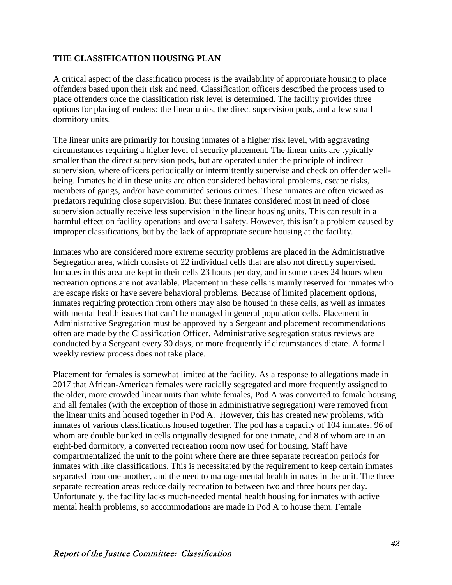#### **THE CLASSIFICATION HOUSING PLAN**

A critical aspect of the classification process is the availability of appropriate housing to place offenders based upon their risk and need. Classification officers described the process used to place offenders once the classification risk level is determined. The facility provides three options for placing offenders: the linear units, the direct supervision pods, and a few small dormitory units.

The linear units are primarily for housing inmates of a higher risk level, with aggravating circumstances requiring a higher level of security placement. The linear units are typically smaller than the direct supervision pods, but are operated under the principle of indirect supervision, where officers periodically or intermittently supervise and check on offender wellbeing. Inmates held in these units are often considered behavioral problems, escape risks, members of gangs, and/or have committed serious crimes. These inmates are often viewed as predators requiring close supervision. But these inmates considered most in need of close supervision actually receive less supervision in the linear housing units. This can result in a harmful effect on facility operations and overall safety. However, this isn't a problem caused by improper classifications, but by the lack of appropriate secure housing at the facility.

Inmates who are considered more extreme security problems are placed in the Administrative Segregation area, which consists of 22 individual cells that are also not directly supervised. Inmates in this area are kept in their cells 23 hours per day, and in some cases 24 hours when recreation options are not available. Placement in these cells is mainly reserved for inmates who are escape risks or have severe behavioral problems. Because of limited placement options, inmates requiring protection from others may also be housed in these cells, as well as inmates with mental health issues that can't be managed in general population cells. Placement in Administrative Segregation must be approved by a Sergeant and placement recommendations often are made by the Classification Officer. Administrative segregation status reviews are conducted by a Sergeant every 30 days, or more frequently if circumstances dictate. A formal weekly review process does not take place.

Placement for females is somewhat limited at the facility. As a response to allegations made in 2017 that African-American females were racially segregated and more frequently assigned to the older, more crowded linear units than white females, Pod A was converted to female housing and all females (with the exception of those in administrative segregation) were removed from the linear units and housed together in Pod A. However, this has created new problems, with inmates of various classifications housed together. The pod has a capacity of 104 inmates, 96 of whom are double bunked in cells originally designed for one inmate, and 8 of whom are in an eight-bed dormitory, a converted recreation room now used for housing. Staff have compartmentalized the unit to the point where there are three separate recreation periods for inmates with like classifications. This is necessitated by the requirement to keep certain inmates separated from one another, and the need to manage mental health inmates in the unit. The three separate recreation areas reduce daily recreation to between two and three hours per day. Unfortunately, the facility lacks much-needed mental health housing for inmates with active mental health problems, so accommodations are made in Pod A to house them. Female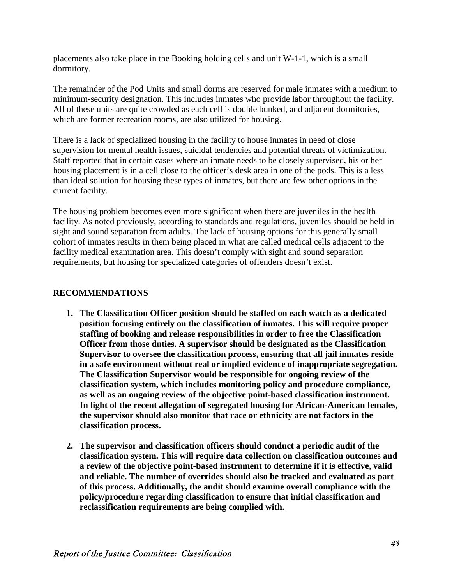placements also take place in the Booking holding cells and unit W-1-1, which is a small dormitory.

The remainder of the Pod Units and small dorms are reserved for male inmates with a medium to minimum-security designation. This includes inmates who provide labor throughout the facility. All of these units are quite crowded as each cell is double bunked, and adjacent dormitories, which are former recreation rooms, are also utilized for housing.

There is a lack of specialized housing in the facility to house inmates in need of close supervision for mental health issues, suicidal tendencies and potential threats of victimization. Staff reported that in certain cases where an inmate needs to be closely supervised, his or her housing placement is in a cell close to the officer's desk area in one of the pods. This is a less than ideal solution for housing these types of inmates, but there are few other options in the current facility.

The housing problem becomes even more significant when there are juveniles in the health facility. As noted previously, according to standards and regulations, juveniles should be held in sight and sound separation from adults. The lack of housing options for this generally small cohort of inmates results in them being placed in what are called medical cells adjacent to the facility medical examination area. This doesn't comply with sight and sound separation requirements, but housing for specialized categories of offenders doesn't exist.

#### **RECOMMENDATIONS**

- **1. The Classification Officer position should be staffed on each watch as a dedicated position focusing entirely on the classification of inmates. This will require proper staffing of booking and release responsibilities in order to free the Classification Officer from those duties. A supervisor should be designated as the Classification Supervisor to oversee the classification process, ensuring that all jail inmates reside in a safe environment without real or implied evidence of inappropriate segregation. The Classification Supervisor would be responsible for ongoing review of the classification system, which includes monitoring policy and procedure compliance, as well as an ongoing review of the objective point-based classification instrument. In light of the recent allegation of segregated housing for African-American females, the supervisor should also monitor that race or ethnicity are not factors in the classification process.**
- **2. The supervisor and classification officers should conduct a periodic audit of the classification system. This will require data collection on classification outcomes and a review of the objective point-based instrument to determine if it is effective, valid and reliable. The number of overrides should also be tracked and evaluated as part of this process. Additionally, the audit should examine overall compliance with the policy/procedure regarding classification to ensure that initial classification and reclassification requirements are being complied with.**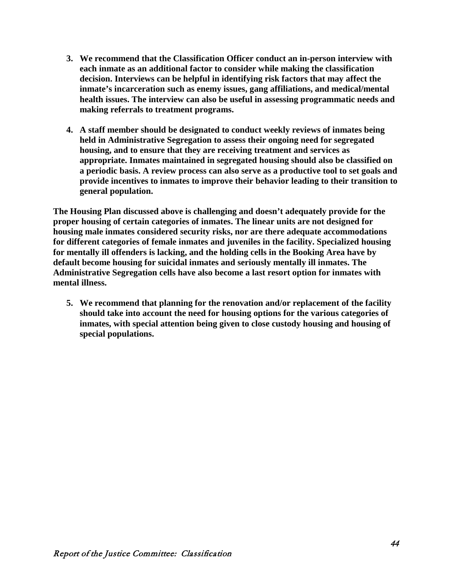- **3. We recommend that the Classification Officer conduct an in-person interview with each inmate as an additional factor to consider while making the classification decision. Interviews can be helpful in identifying risk factors that may affect the inmate's incarceration such as enemy issues, gang affiliations, and medical/mental health issues. The interview can also be useful in assessing programmatic needs and making referrals to treatment programs.**
- **4. A staff member should be designated to conduct weekly reviews of inmates being held in Administrative Segregation to assess their ongoing need for segregated housing, and to ensure that they are receiving treatment and services as appropriate. Inmates maintained in segregated housing should also be classified on a periodic basis. A review process can also serve as a productive tool to set goals and provide incentives to inmates to improve their behavior leading to their transition to general population.**

**The Housing Plan discussed above is challenging and doesn't adequately provide for the proper housing of certain categories of inmates. The linear units are not designed for housing male inmates considered security risks, nor are there adequate accommodations for different categories of female inmates and juveniles in the facility. Specialized housing for mentally ill offenders is lacking, and the holding cells in the Booking Area have by default become housing for suicidal inmates and seriously mentally ill inmates. The Administrative Segregation cells have also become a last resort option for inmates with mental illness.** 

**5. We recommend that planning for the renovation and/or replacement of the facility should take into account the need for housing options for the various categories of inmates, with special attention being given to close custody housing and housing of special populations.**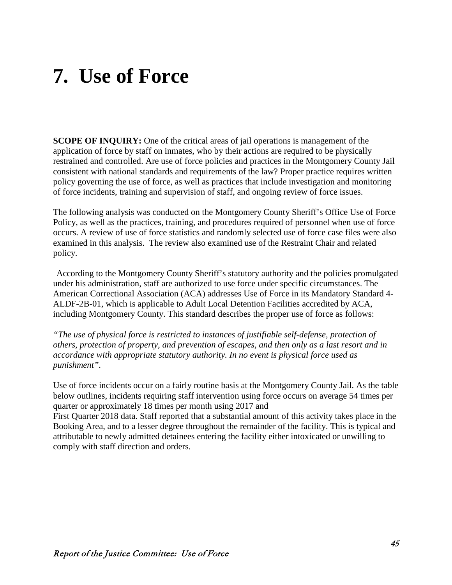## **7. Use of Force**

**SCOPE OF INQUIRY:** One of the critical areas of jail operations is management of the application of force by staff on inmates, who by their actions are required to be physically restrained and controlled. Are use of force policies and practices in the Montgomery County Jail consistent with national standards and requirements of the law? Proper practice requires written policy governing the use of force, as well as practices that include investigation and monitoring of force incidents, training and supervision of staff, and ongoing review of force issues.

The following analysis was conducted on the Montgomery County Sheriff's Office Use of Force Policy, as well as the practices, training, and procedures required of personnel when use of force occurs. A review of use of force statistics and randomly selected use of force case files were also examined in this analysis. The review also examined use of the Restraint Chair and related policy.

According to the Montgomery County Sheriff's statutory authority and the policies promulgated under his administration, staff are authorized to use force under specific circumstances. The American Correctional Association (ACA) addresses Use of Force in its Mandatory Standard 4- ALDF-2B-01, which is applicable to Adult Local Detention Facilities accredited by ACA, including Montgomery County. This standard describes the proper use of force as follows:

*"The use of physical force is restricted to instances of justifiable self-defense, protection of others, protection of property, and prevention of escapes, and then only as a last resort and in accordance with appropriate statutory authority. In no event is physical force used as punishment".*

Use of force incidents occur on a fairly routine basis at the Montgomery County Jail. As the table below outlines, incidents requiring staff intervention using force occurs on average 54 times per quarter or approximately 18 times per month using 2017 and

First Quarter 2018 data. Staff reported that a substantial amount of this activity takes place in the Booking Area, and to a lesser degree throughout the remainder of the facility. This is typical and attributable to newly admitted detainees entering the facility either intoxicated or unwilling to comply with staff direction and orders.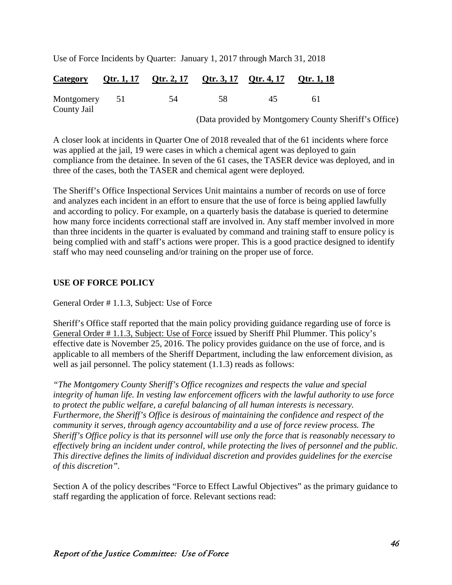Use of Force Incidents by Quarter: January 1, 2017 through March 31, 2018

|                           | <u>Category</u> Qtr. 1, 17 Qtr. 2, 17 Qtr. 3, 17 Qtr. 4, 17 Qtr. 1, 18 |    |    |  |
|---------------------------|------------------------------------------------------------------------|----|----|--|
| Montgomery<br>County Jail | -54                                                                    | 58 | 45 |  |

(Data provided by Montgomery County Sheriff's Office)

A closer look at incidents in Quarter One of 2018 revealed that of the 61 incidents where force was applied at the jail, 19 were cases in which a chemical agent was deployed to gain compliance from the detainee. In seven of the 61 cases, the TASER device was deployed, and in three of the cases, both the TASER and chemical agent were deployed.

The Sheriff's Office Inspectional Services Unit maintains a number of records on use of force and analyzes each incident in an effort to ensure that the use of force is being applied lawfully and according to policy. For example, on a quarterly basis the database is queried to determine how many force incidents correctional staff are involved in. Any staff member involved in more than three incidents in the quarter is evaluated by command and training staff to ensure policy is being complied with and staff's actions were proper. This is a good practice designed to identify staff who may need counseling and/or training on the proper use of force.

#### **USE OF FORCE POLICY**

General Order # 1.1.3, Subject: Use of Force

Sheriff's Office staff reported that the main policy providing guidance regarding use of force is General Order # 1.1.3, Subject: Use of Force issued by Sheriff Phil Plummer. This policy's effective date is November 25, 2016. The policy provides guidance on the use of force, and is applicable to all members of the Sheriff Department, including the law enforcement division, as well as jail personnel. The policy statement  $(1.1.3)$  reads as follows:

*"The Montgomery County Sheriff's Office recognizes and respects the value and special integrity of human life. In vesting law enforcement officers with the lawful authority to use force to protect the public welfare, a careful balancing of all human interests is necessary. Furthermore, the Sheriff's Office is desirous of maintaining the confidence and respect of the community it serves, through agency accountability and a use of force review process. The Sheriff's Office policy is that its personnel will use only the force that is reasonably necessary to effectively bring an incident under control, while protecting the lives of personnel and the public. This directive defines the limits of individual discretion and provides guidelines for the exercise of this discretion".*

Section A of the policy describes "Force to Effect Lawful Objectives" as the primary guidance to staff regarding the application of force. Relevant sections read: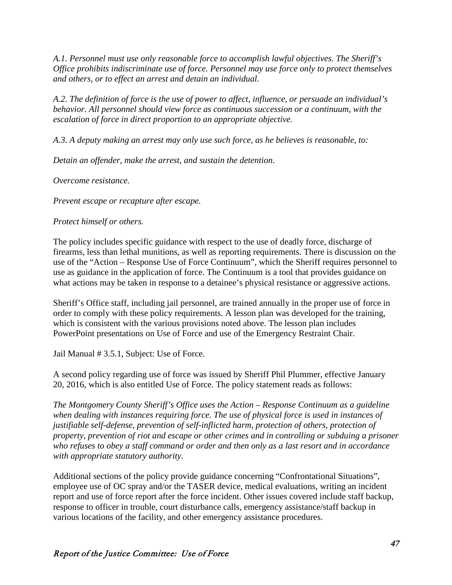*A.1. Personnel must use only reasonable force to accomplish lawful objectives. The Sheriff's Office prohibits indiscriminate use of force. Personnel may use force only to protect themselves and others, or to effect an arrest and detain an individual.*

*A.2. The definition of force is the use of power to affect, influence, or persuade an individual's behavior. All personnel should view force as continuous succession or a continuum, with the escalation of force in direct proportion to an appropriate objective.*

*A.3. A deputy making an arrest may only use such force, as he believes is reasonable, to:* 

*Detain an offender, make the arrest, and sustain the detention.*

*Overcome resistance.* 

*Prevent escape or recapture after escape.*

*Protect himself or others.*

The policy includes specific guidance with respect to the use of deadly force, discharge of firearms, less than lethal munitions, as well as reporting requirements. There is discussion on the use of the "Action – Response Use of Force Continuum"*,* which the Sheriff requires personnel to use as guidance in the application of force. The Continuum is a tool that provides guidance on what actions may be taken in response to a detainee's physical resistance or aggressive actions.

Sheriff's Office staff, including jail personnel, are trained annually in the proper use of force in order to comply with these policy requirements. A lesson plan was developed for the training, which is consistent with the various provisions noted above. The lesson plan includes PowerPoint presentations on Use of Force and use of the Emergency Restraint Chair.

Jail Manual # 3.5.1, Subject: Use of Force.

A second policy regarding use of force was issued by Sheriff Phil Plummer, effective January 20, 2016, which is also entitled Use of Force. The policy statement reads as follows:

*The Montgomery County Sheriff's Office uses the Action – Response Continuum as a guideline when dealing with instances requiring force. The use of physical force is used in instances of justifiable self-defense, prevention of self-inflicted harm, protection of others, protection of property, prevention of riot and escape or other crimes and in controlling or subduing a prisoner who refuses to obey a staff command or order and then only as a last resort and in accordance with appropriate statutory authority.*

Additional sections of the policy provide guidance concerning "Confrontational Situations", employee use of OC spray and/or the TASER device, medical evaluations, writing an incident report and use of force report after the force incident. Other issues covered include staff backup, response to officer in trouble, court disturbance calls, emergency assistance/staff backup in various locations of the facility, and other emergency assistance procedures.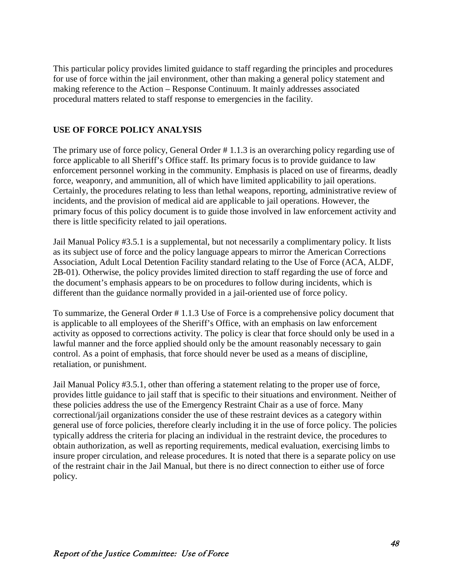This particular policy provides limited guidance to staff regarding the principles and procedures for use of force within the jail environment, other than making a general policy statement and making reference to the Action – Response Continuum. It mainly addresses associated procedural matters related to staff response to emergencies in the facility.

## **USE OF FORCE POLICY ANALYSIS**

The primary use of force policy, General Order # 1.1.3 is an overarching policy regarding use of force applicable to all Sheriff's Office staff. Its primary focus is to provide guidance to law enforcement personnel working in the community. Emphasis is placed on use of firearms, deadly force, weaponry, and ammunition, all of which have limited applicability to jail operations. Certainly, the procedures relating to less than lethal weapons, reporting, administrative review of incidents, and the provision of medical aid are applicable to jail operations. However, the primary focus of this policy document is to guide those involved in law enforcement activity and there is little specificity related to jail operations.

Jail Manual Policy #3.5.1 is a supplemental, but not necessarily a complimentary policy. It lists as its subject use of force and the policy language appears to mirror the American Corrections Association, Adult Local Detention Facility standard relating to the Use of Force (ACA, ALDF, 2B-01). Otherwise, the policy provides limited direction to staff regarding the use of force and the document's emphasis appears to be on procedures to follow during incidents, which is different than the guidance normally provided in a jail-oriented use of force policy.

To summarize, the General Order # 1.1.3 Use of Force is a comprehensive policy document that is applicable to all employees of the Sheriff's Office, with an emphasis on law enforcement activity as opposed to corrections activity. The policy is clear that force should only be used in a lawful manner and the force applied should only be the amount reasonably necessary to gain control. As a point of emphasis, that force should never be used as a means of discipline, retaliation, or punishment.

Jail Manual Policy #3.5.1, other than offering a statement relating to the proper use of force, provides little guidance to jail staff that is specific to their situations and environment. Neither of these policies address the use of the Emergency Restraint Chair as a use of force. Many correctional/jail organizations consider the use of these restraint devices as a category within general use of force policies, therefore clearly including it in the use of force policy. The policies typically address the criteria for placing an individual in the restraint device, the procedures to obtain authorization, as well as reporting requirements, medical evaluation, exercising limbs to insure proper circulation, and release procedures. It is noted that there is a separate policy on use of the restraint chair in the Jail Manual, but there is no direct connection to either use of force policy.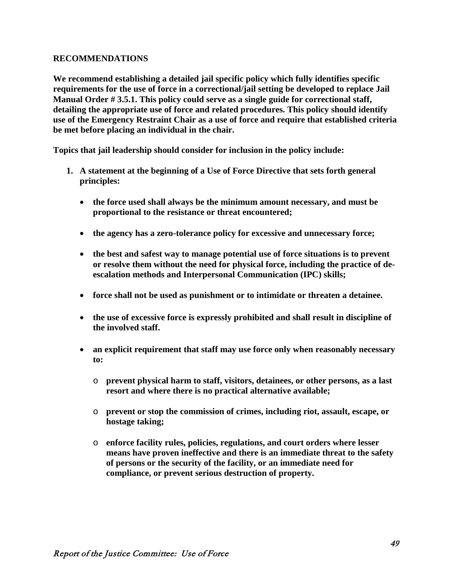#### **RECOMMENDATIONS**

**We recommend establishing a detailed jail specific policy which fully identifies specific requirements for the use of force in a correctional/jail setting be developed to replace Jail Manual Order # 3.5.1. This policy could serve as a single guide for correctional staff, detailing the appropriate use of force and related procedures. This policy should identify use of the Emergency Restraint Chair as a use of force and require that established criteria be met before placing an individual in the chair.**

**Topics that jail leadership should consider for inclusion in the policy include:**

- **1. A statement at the beginning of a Use of Force Directive that sets forth general principles:** 
	- **the force used shall always be the minimum amount necessary, and must be proportional to the resistance or threat encountered;**
	- **the agency has a zero-tolerance policy for excessive and unnecessary force;**
	- **the best and safest way to manage potential use of force situations is to prevent or resolve them without the need for physical force, including the practice of deescalation methods and Interpersonal Communication (IPC) skills;**
	- **force shall not be used as punishment or to intimidate or threaten a detainee.**
	- **the use of excessive force is expressly prohibited and shall result in discipline of the involved staff.**
	- **an explicit requirement that staff may use force only when reasonably necessary to:**
		- o **prevent physical harm to staff, visitors, detainees, or other persons, as a last resort and where there is no practical alternative available;**
		- o **prevent or stop the commission of crimes, including riot, assault, escape, or hostage taking;**
		- o **enforce facility rules, policies, regulations, and court orders where lesser means have proven ineffective and there is an immediate threat to the safety of persons or the security of the facility, or an immediate need for compliance, or prevent serious destruction of property.**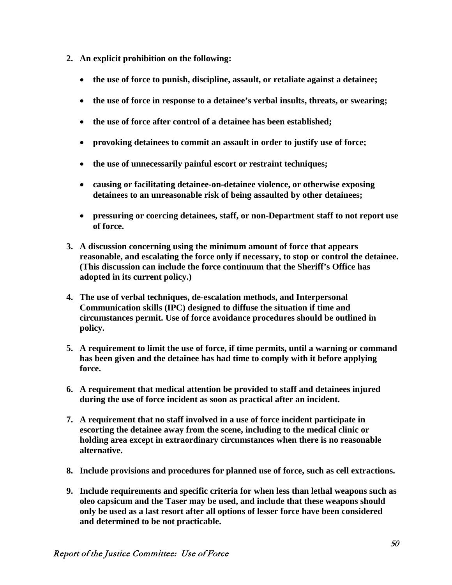- **2. An explicit prohibition on the following:**
	- **the use of force to punish, discipline, assault, or retaliate against a detainee;**
	- **the use of force in response to a detainee's verbal insults, threats, or swearing;**
	- **the use of force after control of a detainee has been established;**
	- **provoking detainees to commit an assault in order to justify use of force;**
	- **the use of unnecessarily painful escort or restraint techniques;**
	- **causing or facilitating detainee-on-detainee violence, or otherwise exposing detainees to an unreasonable risk of being assaulted by other detainees;**
	- **pressuring or coercing detainees, staff, or non-Department staff to not report use of force.**
- **3. A discussion concerning using the minimum amount of force that appears reasonable, and escalating the force only if necessary, to stop or control the detainee. (This discussion can include the force continuum that the Sheriff's Office has adopted in its current policy.)**
- **4. The use of verbal techniques, de-escalation methods, and Interpersonal Communication skills (IPC) designed to diffuse the situation if time and circumstances permit. Use of force avoidance procedures should be outlined in policy.**
- **5. A requirement to limit the use of force, if time permits, until a warning or command has been given and the detainee has had time to comply with it before applying force.**
- **6. A requirement that medical attention be provided to staff and detainees injured during the use of force incident as soon as practical after an incident.**
- **7. A requirement that no staff involved in a use of force incident participate in escorting the detainee away from the scene, including to the medical clinic or holding area except in extraordinary circumstances when there is no reasonable alternative.**
- **8. Include provisions and procedures for planned use of force, such as cell extractions.**
- **9. Include requirements and specific criteria for when less than lethal weapons such as oleo capsicum and the Taser may be used, and include that these weapons should only be used as a last resort after all options of lesser force have been considered and determined to be not practicable.**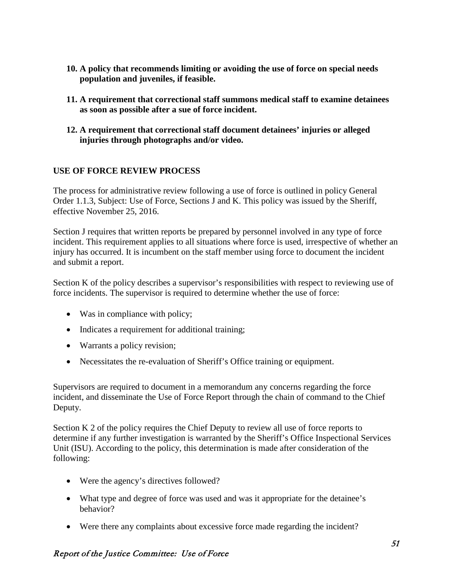- **10. A policy that recommends limiting or avoiding the use of force on special needs population and juveniles, if feasible.**
- **11. A requirement that correctional staff summons medical staff to examine detainees as soon as possible after a sue of force incident.**
- **12. A requirement that correctional staff document detainees' injuries or alleged injuries through photographs and/or video.**

## **USE OF FORCE REVIEW PROCESS**

The process for administrative review following a use of force is outlined in policy General Order 1.1.3, Subject: Use of Force, Sections J and K. This policy was issued by the Sheriff, effective November 25, 2016.

Section J requires that written reports be prepared by personnel involved in any type of force incident. This requirement applies to all situations where force is used, irrespective of whether an injury has occurred. It is incumbent on the staff member using force to document the incident and submit a report.

Section K of the policy describes a supervisor's responsibilities with respect to reviewing use of force incidents. The supervisor is required to determine whether the use of force:

- Was in compliance with policy;
- Indicates a requirement for additional training;
- Warrants a policy revision;
- Necessitates the re-evaluation of Sheriff's Office training or equipment.

Supervisors are required to document in a memorandum any concerns regarding the force incident, and disseminate the Use of Force Report through the chain of command to the Chief Deputy.

Section K 2 of the policy requires the Chief Deputy to review all use of force reports to determine if any further investigation is warranted by the Sheriff's Office Inspectional Services Unit (ISU). According to the policy, this determination is made after consideration of the following:

- Were the agency's directives followed?
- What type and degree of force was used and was it appropriate for the detainee's behavior?
- Were there any complaints about excessive force made regarding the incident?

## Report of the Justice Committee: Use of Force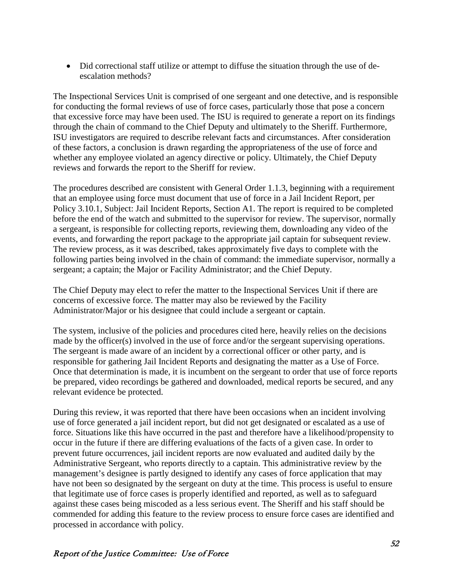• Did correctional staff utilize or attempt to diffuse the situation through the use of deescalation methods?

The Inspectional Services Unit is comprised of one sergeant and one detective, and is responsible for conducting the formal reviews of use of force cases, particularly those that pose a concern that excessive force may have been used. The ISU is required to generate a report on its findings through the chain of command to the Chief Deputy and ultimately to the Sheriff. Furthermore, ISU investigators are required to describe relevant facts and circumstances. After consideration of these factors, a conclusion is drawn regarding the appropriateness of the use of force and whether any employee violated an agency directive or policy. Ultimately, the Chief Deputy reviews and forwards the report to the Sheriff for review.

The procedures described are consistent with General Order 1.1.3, beginning with a requirement that an employee using force must document that use of force in a Jail Incident Report, per Policy 3.10.1, Subject: Jail Incident Reports, Section A1. The report is required to be completed before the end of the watch and submitted to the supervisor for review. The supervisor, normally a sergeant, is responsible for collecting reports, reviewing them, downloading any video of the events, and forwarding the report package to the appropriate jail captain for subsequent review. The review process, as it was described, takes approximately five days to complete with the following parties being involved in the chain of command: the immediate supervisor, normally a sergeant; a captain; the Major or Facility Administrator; and the Chief Deputy.

The Chief Deputy may elect to refer the matter to the Inspectional Services Unit if there are concerns of excessive force. The matter may also be reviewed by the Facility Administrator/Major or his designee that could include a sergeant or captain.

The system, inclusive of the policies and procedures cited here, heavily relies on the decisions made by the officer(s) involved in the use of force and/or the sergeant supervising operations. The sergeant is made aware of an incident by a correctional officer or other party, and is responsible for gathering Jail Incident Reports and designating the matter as a Use of Force. Once that determination is made, it is incumbent on the sergeant to order that use of force reports be prepared, video recordings be gathered and downloaded, medical reports be secured, and any relevant evidence be protected.

During this review, it was reported that there have been occasions when an incident involving use of force generated a jail incident report, but did not get designated or escalated as a use of force. Situations like this have occurred in the past and therefore have a likelihood/propensity to occur in the future if there are differing evaluations of the facts of a given case. In order to prevent future occurrences, jail incident reports are now evaluated and audited daily by the Administrative Sergeant, who reports directly to a captain. This administrative review by the management's designee is partly designed to identify any cases of force application that may have not been so designated by the sergeant on duty at the time. This process is useful to ensure that legitimate use of force cases is properly identified and reported, as well as to safeguard against these cases being miscoded as a less serious event. The Sheriff and his staff should be commended for adding this feature to the review process to ensure force cases are identified and processed in accordance with policy.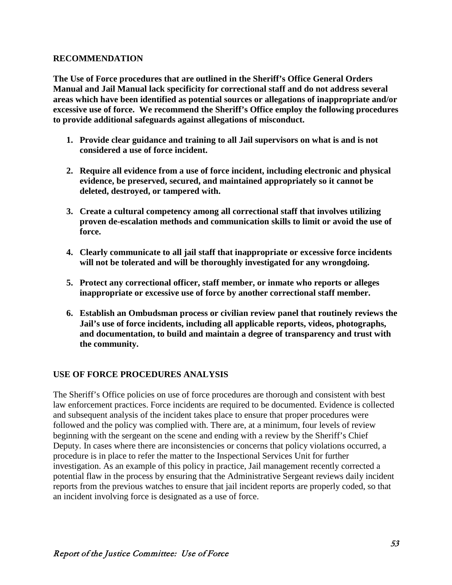#### **RECOMMENDATION**

**The Use of Force procedures that are outlined in the Sheriff's Office General Orders Manual and Jail Manual lack specificity for correctional staff and do not address several areas which have been identified as potential sources or allegations of inappropriate and/or excessive use of force. We recommend the Sheriff's Office employ the following procedures to provide additional safeguards against allegations of misconduct.**

- **1. Provide clear guidance and training to all Jail supervisors on what is and is not considered a use of force incident.**
- **2. Require all evidence from a use of force incident, including electronic and physical evidence, be preserved, secured, and maintained appropriately so it cannot be deleted, destroyed, or tampered with.**
- **3. Create a cultural competency among all correctional staff that involves utilizing proven de-escalation methods and communication skills to limit or avoid the use of force.**
- **4. Clearly communicate to all jail staff that inappropriate or excessive force incidents will not be tolerated and will be thoroughly investigated for any wrongdoing.**
- **5. Protect any correctional officer, staff member, or inmate who reports or alleges inappropriate or excessive use of force by another correctional staff member.**
- **6. Establish an Ombudsman process or civilian review panel that routinely reviews the Jail's use of force incidents, including all applicable reports, videos, photographs, and documentation, to build and maintain a degree of transparency and trust with the community.**

## **USE OF FORCE PROCEDURES ANALYSIS**

The Sheriff's Office policies on use of force procedures are thorough and consistent with best law enforcement practices. Force incidents are required to be documented. Evidence is collected and subsequent analysis of the incident takes place to ensure that proper procedures were followed and the policy was complied with. There are, at a minimum, four levels of review beginning with the sergeant on the scene and ending with a review by the Sheriff's Chief Deputy. In cases where there are inconsistencies or concerns that policy violations occurred, a procedure is in place to refer the matter to the Inspectional Services Unit for further investigation. As an example of this policy in practice, Jail management recently corrected a potential flaw in the process by ensuring that the Administrative Sergeant reviews daily incident reports from the previous watches to ensure that jail incident reports are properly coded, so that an incident involving force is designated as a use of force.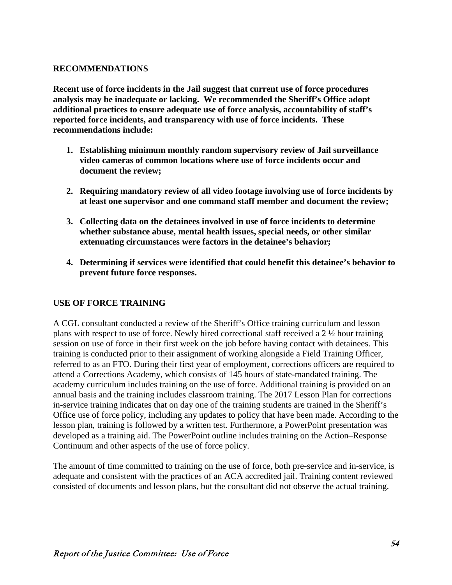#### **RECOMMENDATIONS**

**Recent use of force incidents in the Jail suggest that current use of force procedures analysis may be inadequate or lacking. We recommended the Sheriff's Office adopt additional practices to ensure adequate use of force analysis, accountability of staff's reported force incidents, and transparency with use of force incidents. These recommendations include:**

- **1. Establishing minimum monthly random supervisory review of Jail surveillance video cameras of common locations where use of force incidents occur and document the review;**
- **2. Requiring mandatory review of all video footage involving use of force incidents by at least one supervisor and one command staff member and document the review;**
- **3. Collecting data on the detainees involved in use of force incidents to determine whether substance abuse, mental health issues, special needs, or other similar extenuating circumstances were factors in the detainee's behavior;**
- **4. Determining if services were identified that could benefit this detainee's behavior to prevent future force responses.**

#### **USE OF FORCE TRAINING**

A CGL consultant conducted a review of the Sheriff's Office training curriculum and lesson plans with respect to use of force. Newly hired correctional staff received a 2 ½ hour training session on use of force in their first week on the job before having contact with detainees. This training is conducted prior to their assignment of working alongside a Field Training Officer, referred to as an FTO. During their first year of employment, corrections officers are required to attend a Corrections Academy, which consists of 145 hours of state-mandated training. The academy curriculum includes training on the use of force. Additional training is provided on an annual basis and the training includes classroom training. The 2017 Lesson Plan for corrections in-service training indicates that on day one of the training students are trained in the Sheriff's Office use of force policy, including any updates to policy that have been made. According to the lesson plan, training is followed by a written test. Furthermore, a PowerPoint presentation was developed as a training aid. The PowerPoint outline includes training on the Action–Response Continuum and other aspects of the use of force policy.

The amount of time committed to training on the use of force, both pre-service and in-service, is adequate and consistent with the practices of an ACA accredited jail. Training content reviewed consisted of documents and lesson plans, but the consultant did not observe the actual training.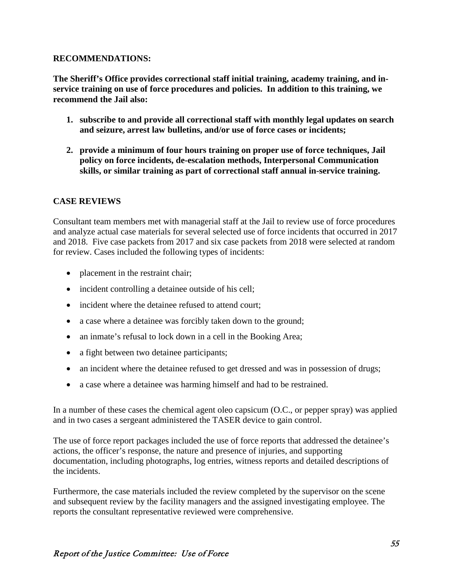#### **RECOMMENDATIONS:**

**The Sheriff's Office provides correctional staff initial training, academy training, and inservice training on use of force procedures and policies. In addition to this training, we recommend the Jail also:**

- **1. subscribe to and provide all correctional staff with monthly legal updates on search and seizure, arrest law bulletins, and/or use of force cases or incidents;**
- **2. provide a minimum of four hours training on proper use of force techniques, Jail policy on force incidents, de-escalation methods, Interpersonal Communication skills, or similar training as part of correctional staff annual in-service training.**

## **CASE REVIEWS**

Consultant team members met with managerial staff at the Jail to review use of force procedures and analyze actual case materials for several selected use of force incidents that occurred in 2017 and 2018. Five case packets from 2017 and six case packets from 2018 were selected at random for review. Cases included the following types of incidents:

- placement in the restraint chair;
- incident controlling a detainee outside of his cell;
- incident where the detainee refused to attend court;
- a case where a detainee was forcibly taken down to the ground;
- an inmate's refusal to lock down in a cell in the Booking Area;
- a fight between two detainee participants;
- an incident where the detainee refused to get dressed and was in possession of drugs;
- a case where a detainee was harming himself and had to be restrained.

In a number of these cases the chemical agent oleo capsicum (O.C., or pepper spray) was applied and in two cases a sergeant administered the TASER device to gain control.

The use of force report packages included the use of force reports that addressed the detainee's actions, the officer's response, the nature and presence of injuries, and supporting documentation, including photographs, log entries, witness reports and detailed descriptions of the incidents.

Furthermore, the case materials included the review completed by the supervisor on the scene and subsequent review by the facility managers and the assigned investigating employee. The reports the consultant representative reviewed were comprehensive.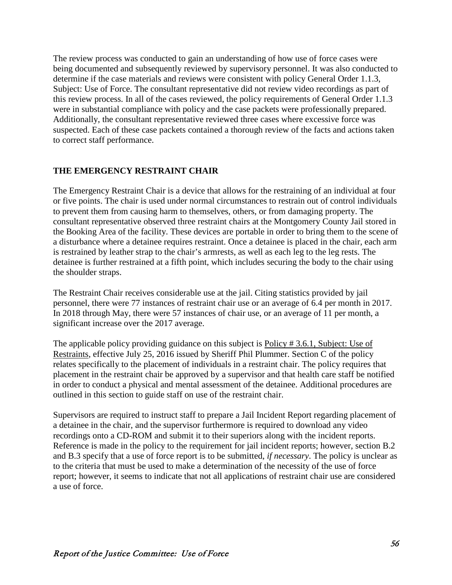The review process was conducted to gain an understanding of how use of force cases were being documented and subsequently reviewed by supervisory personnel. It was also conducted to determine if the case materials and reviews were consistent with policy General Order 1.1.3, Subject: Use of Force. The consultant representative did not review video recordings as part of this review process. In all of the cases reviewed, the policy requirements of General Order 1.1.3 were in substantial compliance with policy and the case packets were professionally prepared. Additionally, the consultant representative reviewed three cases where excessive force was suspected. Each of these case packets contained a thorough review of the facts and actions taken to correct staff performance.

#### **THE EMERGENCY RESTRAINT CHAIR**

The Emergency Restraint Chair is a device that allows for the restraining of an individual at four or five points. The chair is used under normal circumstances to restrain out of control individuals to prevent them from causing harm to themselves, others, or from damaging property. The consultant representative observed three restraint chairs at the Montgomery County Jail stored in the Booking Area of the facility. These devices are portable in order to bring them to the scene of a disturbance where a detainee requires restraint. Once a detainee is placed in the chair, each arm is restrained by leather strap to the chair's armrests, as well as each leg to the leg rests. The detainee is further restrained at a fifth point, which includes securing the body to the chair using the shoulder straps.

The Restraint Chair receives considerable use at the jail. Citing statistics provided by jail personnel, there were 77 instances of restraint chair use or an average of 6.4 per month in 2017. In 2018 through May, there were 57 instances of chair use, or an average of 11 per month, a significant increase over the 2017 average.

The applicable policy providing guidance on this subject is <u>Policy #3.6.1</u>, Subject: Use of Restraints, effective July 25, 2016 issued by Sheriff Phil Plummer. Section C of the policy relates specifically to the placement of individuals in a restraint chair. The policy requires that placement in the restraint chair be approved by a supervisor and that health care staff be notified in order to conduct a physical and mental assessment of the detainee. Additional procedures are outlined in this section to guide staff on use of the restraint chair.

Supervisors are required to instruct staff to prepare a Jail Incident Report regarding placement of a detainee in the chair, and the supervisor furthermore is required to download any video recordings onto a CD-ROM and submit it to their superiors along with the incident reports. Reference is made in the policy to the requirement for jail incident reports; however, section B.2 and B.3 specify that a use of force report is to be submitted, *if necessary*. The policy is unclear as to the criteria that must be used to make a determination of the necessity of the use of force report; however, it seems to indicate that not all applications of restraint chair use are considered a use of force.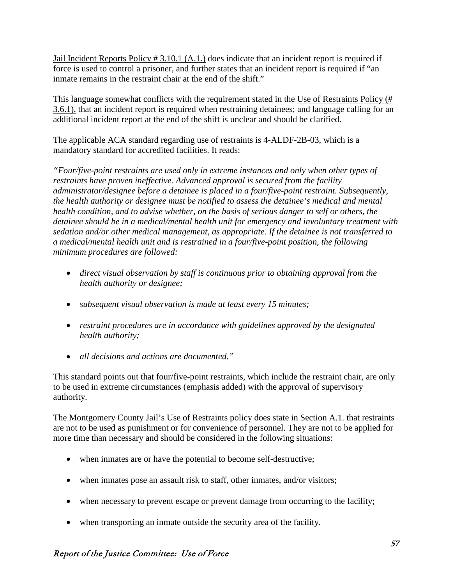Jail Incident Reports Policy # 3.10.1 (A.1.) does indicate that an incident report is required if force is used to control a prisoner, and further states that an incident report is required if "an inmate remains in the restraint chair at the end of the shift."

This language somewhat conflicts with the requirement stated in the Use of Restraints Policy (# 3.6.1), that an incident report is required when restraining detainees; and language calling for an additional incident report at the end of the shift is unclear and should be clarified.

The applicable ACA standard regarding use of restraints is 4-ALDF-2B-03, which is a mandatory standard for accredited facilities. It reads:

*"Four/five-point restraints are used only in extreme instances and only when other types of restraints have proven ineffective. Advanced approval is secured from the facility administrator/designee before a detainee is placed in a four/five-point restraint. Subsequently, the health authority or designee must be notified to assess the detainee's medical and mental health condition, and to advise whether, on the basis of serious danger to self or others, the detainee should be in a medical/mental health unit for emergency and involuntary treatment with sedation and/or other medical management, as appropriate. If the detainee is not transferred to a medical/mental health unit and is restrained in a four/five-point position, the following minimum procedures are followed:*

- *direct visual observation by staff is continuous prior to obtaining approval from the health authority or designee;*
- *subsequent visual observation is made at least every 15 minutes;*
- *restraint procedures are in accordance with guidelines approved by the designated health authority;*
- *all decisions and actions are documented."*

This standard points out that four/five-point restraints, which include the restraint chair, are only to be used in extreme circumstances (emphasis added) with the approval of supervisory authority.

The Montgomery County Jail's Use of Restraints policy does state in Section A.1. that restraints are not to be used as punishment or for convenience of personnel. They are not to be applied for more time than necessary and should be considered in the following situations:

- when inmates are or have the potential to become self-destructive;
- when inmates pose an assault risk to staff, other inmates, and/or visitors;
- when necessary to prevent escape or prevent damage from occurring to the facility;
- when transporting an inmate outside the security area of the facility.

## Report of the Justice Committee: Use of Force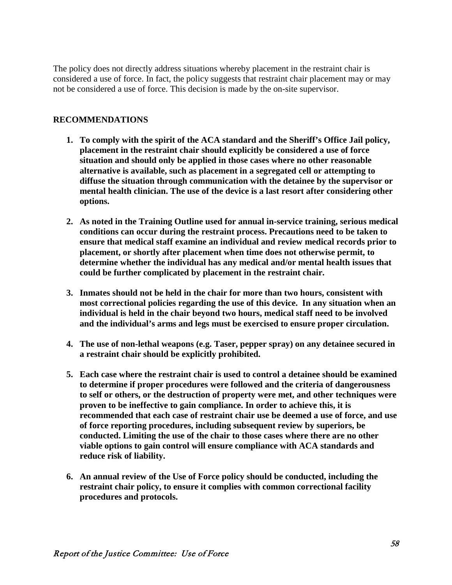The policy does not directly address situations whereby placement in the restraint chair is considered a use of force. In fact, the policy suggests that restraint chair placement may or may not be considered a use of force. This decision is made by the on-site supervisor.

#### **RECOMMENDATIONS**

- **1. To comply with the spirit of the ACA standard and the Sheriff's Office Jail policy, placement in the restraint chair should explicitly be considered a use of force situation and should only be applied in those cases where no other reasonable alternative is available, such as placement in a segregated cell or attempting to diffuse the situation through communication with the detainee by the supervisor or mental health clinician. The use of the device is a last resort after considering other options.**
- **2. As noted in the Training Outline used for annual in-service training, serious medical conditions can occur during the restraint process. Precautions need to be taken to ensure that medical staff examine an individual and review medical records prior to placement, or shortly after placement when time does not otherwise permit, to determine whether the individual has any medical and/or mental health issues that could be further complicated by placement in the restraint chair.**
- **3. Inmates should not be held in the chair for more than two hours, consistent with most correctional policies regarding the use of this device. In any situation when an individual is held in the chair beyond two hours, medical staff need to be involved and the individual's arms and legs must be exercised to ensure proper circulation.**
- **4. The use of non-lethal weapons (e.g. Taser, pepper spray) on any detainee secured in a restraint chair should be explicitly prohibited.**
- **5. Each case where the restraint chair is used to control a detainee should be examined to determine if proper procedures were followed and the criteria of dangerousness to self or others, or the destruction of property were met, and other techniques were proven to be ineffective to gain compliance. In order to achieve this, it is recommended that each case of restraint chair use be deemed a use of force, and use of force reporting procedures, including subsequent review by superiors, be conducted. Limiting the use of the chair to those cases where there are no other viable options to gain control will ensure compliance with ACA standards and reduce risk of liability.**
- **6. An annual review of the Use of Force policy should be conducted, including the restraint chair policy, to ensure it complies with common correctional facility procedures and protocols.**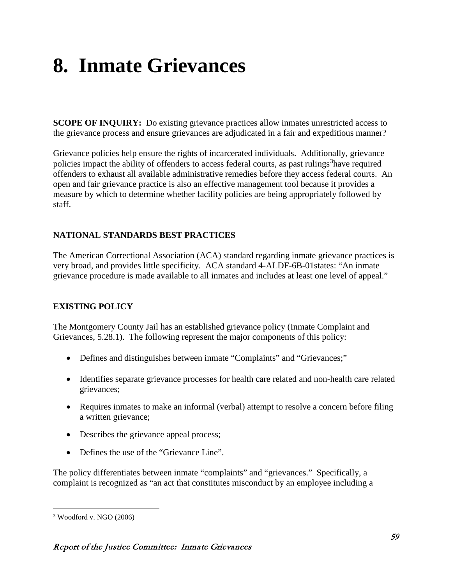# **8. Inmate Grievances**

**SCOPE OF INQUIRY:** Do existing grievance practices allow inmates unrestricted access to the grievance process and ensure grievances are adjudicated in a fair and expeditious manner?

Grievance policies help ensure the rights of incarcerated individuals. Additionally, grievance policies impact the ability of offenders to access federal courts, as past rulings<sup>[3](#page-65-0)</sup>have required offenders to exhaust all available administrative remedies before they access federal courts. An open and fair grievance practice is also an effective management tool because it provides a measure by which to determine whether facility policies are being appropriately followed by staff.

## **NATIONAL STANDARDS BEST PRACTICES**

The American Correctional Association (ACA) standard regarding inmate grievance practices is very broad, and provides little specificity. ACA standard 4-ALDF-6B-01states: "An inmate grievance procedure is made available to all inmates and includes at least one level of appeal."

## **EXISTING POLICY**

The Montgomery County Jail has an established grievance policy (Inmate Complaint and Grievances, 5.28.1). The following represent the major components of this policy:

- Defines and distinguishes between inmate "Complaints" and "Grievances;"
- Identifies separate grievance processes for health care related and non-health care related grievances;
- Requires inmates to make an informal (verbal) attempt to resolve a concern before filing a written grievance;
- Describes the grievance appeal process;
- Defines the use of the "Grievance Line".

The policy differentiates between inmate "complaints" and "grievances." Specifically, a complaint is recognized as "an act that constitutes misconduct by an employee including a

<span id="page-65-0"></span> <sup>3</sup> Woodford v. NGO (2006)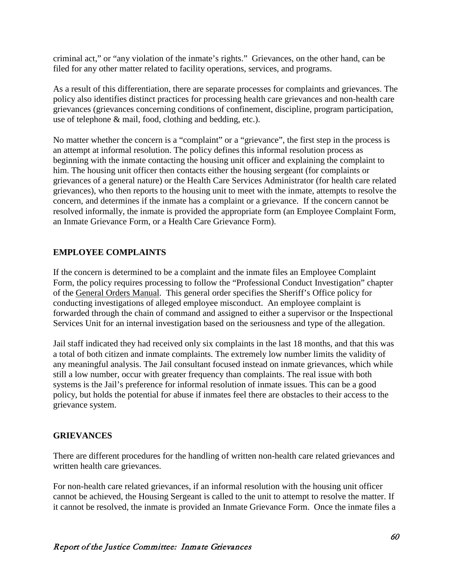criminal act," or "any violation of the inmate's rights." Grievances, on the other hand, can be filed for any other matter related to facility operations, services, and programs.

As a result of this differentiation, there are separate processes for complaints and grievances. The policy also identifies distinct practices for processing health care grievances and non-health care grievances (grievances concerning conditions of confinement, discipline, program participation, use of telephone & mail, food, clothing and bedding, etc.).

No matter whether the concern is a "complaint" or a "grievance", the first step in the process is an attempt at informal resolution. The policy defines this informal resolution process as beginning with the inmate contacting the housing unit officer and explaining the complaint to him. The housing unit officer then contacts either the housing sergeant (for complaints or grievances of a general nature) or the Health Care Services Administrator (for health care related grievances), who then reports to the housing unit to meet with the inmate, attempts to resolve the concern, and determines if the inmate has a complaint or a grievance. If the concern cannot be resolved informally, the inmate is provided the appropriate form (an Employee Complaint Form, an Inmate Grievance Form, or a Health Care Grievance Form).

## **EMPLOYEE COMPLAINTS**

If the concern is determined to be a complaint and the inmate files an Employee Complaint Form, the policy requires processing to follow the "Professional Conduct Investigation" chapter of the General Orders Manual. This general order specifies the Sheriff's Office policy for conducting investigations of alleged employee misconduct. An employee complaint is forwarded through the chain of command and assigned to either a supervisor or the Inspectional Services Unit for an internal investigation based on the seriousness and type of the allegation.

Jail staff indicated they had received only six complaints in the last 18 months, and that this was a total of both citizen and inmate complaints. The extremely low number limits the validity of any meaningful analysis. The Jail consultant focused instead on inmate grievances, which while still a low number, occur with greater frequency than complaints. The real issue with both systems is the Jail's preference for informal resolution of inmate issues. This can be a good policy, but holds the potential for abuse if inmates feel there are obstacles to their access to the grievance system.

## **GRIEVANCES**

There are different procedures for the handling of written non-health care related grievances and written health care grievances.

For non-health care related grievances, if an informal resolution with the housing unit officer cannot be achieved, the Housing Sergeant is called to the unit to attempt to resolve the matter. If it cannot be resolved, the inmate is provided an Inmate Grievance Form. Once the inmate files a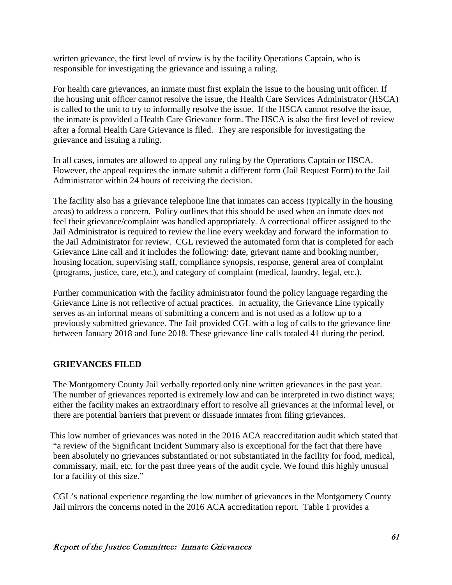written grievance, the first level of review is by the facility Operations Captain, who is responsible for investigating the grievance and issuing a ruling.

For health care grievances, an inmate must first explain the issue to the housing unit officer. If the housing unit officer cannot resolve the issue, the Health Care Services Administrator (HSCA) is called to the unit to try to informally resolve the issue. If the HSCA cannot resolve the issue, the inmate is provided a Health Care Grievance form. The HSCA is also the first level of review after a formal Health Care Grievance is filed. They are responsible for investigating the grievance and issuing a ruling.

In all cases, inmates are allowed to appeal any ruling by the Operations Captain or HSCA. However, the appeal requires the inmate submit a different form (Jail Request Form) to the Jail Administrator within 24 hours of receiving the decision.

The facility also has a grievance telephone line that inmates can access (typically in the housing areas) to address a concern. Policy outlines that this should be used when an inmate does not feel their grievance/complaint was handled appropriately. A correctional officer assigned to the Jail Administrator is required to review the line every weekday and forward the information to the Jail Administrator for review. CGL reviewed the automated form that is completed for each Grievance Line call and it includes the following: date, grievant name and booking number, housing location, supervising staff, compliance synopsis, response, general area of complaint (programs, justice, care, etc.), and category of complaint (medical, laundry, legal, etc.).

Further communication with the facility administrator found the policy language regarding the Grievance Line is not reflective of actual practices. In actuality, the Grievance Line typically serves as an informal means of submitting a concern and is not used as a follow up to a previously submitted grievance. The Jail provided CGL with a log of calls to the grievance line between January 2018 and June 2018. These grievance line calls totaled 41 during the period.

## **GRIEVANCES FILED**

The Montgomery County Jail verbally reported only nine written grievances in the past year. The number of grievances reported is extremely low and can be interpreted in two distinct ways; either the facility makes an extraordinary effort to resolve all grievances at the informal level, or there are potential barriers that prevent or dissuade inmates from filing grievances.

This low number of grievances was noted in the 2016 ACA reaccreditation audit which stated that "a review of the Significant Incident Summary also is exceptional for the fact that there have been absolutely no grievances substantiated or not substantiated in the facility for food, medical, commissary, mail, etc. for the past three years of the audit cycle. We found this highly unusual for a facility of this size."

CGL's national experience regarding the low number of grievances in the Montgomery County Jail mirrors the concerns noted in the 2016 ACA accreditation report. Table 1 provides a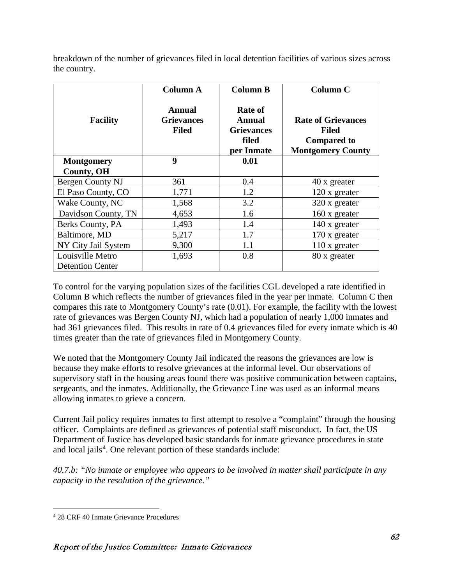breakdown of the number of grievances filed in local detention facilities of various sizes across the country.

|                         | <b>Column A</b>                                    | <b>Column B</b>                                                             | <b>Column C</b>                                                                             |
|-------------------------|----------------------------------------------------|-----------------------------------------------------------------------------|---------------------------------------------------------------------------------------------|
| <b>Facility</b>         | <b>Annual</b><br><b>Grievances</b><br><b>Filed</b> | <b>Rate of</b><br><b>Annual</b><br><b>Grievances</b><br>filed<br>per Inmate | <b>Rate of Grievances</b><br><b>Filed</b><br><b>Compared to</b><br><b>Montgomery County</b> |
| <b>Montgomery</b>       | $\boldsymbol{9}$                                   | 0.01                                                                        |                                                                                             |
| <b>County, OH</b>       |                                                    |                                                                             |                                                                                             |
| Bergen County NJ        | 361                                                | 0.4                                                                         | 40 x greater                                                                                |
| El Paso County, CO      | 1,771                                              | 1.2                                                                         | 120 x greater                                                                               |
| Wake County, NC         | 1,568                                              | 3.2                                                                         | 320 x greater                                                                               |
| Davidson County, TN     | 4,653                                              | 1.6                                                                         | 160 x greater                                                                               |
| Berks County, PA        | 1,493                                              | 1.4                                                                         | 140 x greater                                                                               |
| Baltimore, MD           | 5,217                                              | 1.7                                                                         | 170 x greater                                                                               |
| NY City Jail System     | 9,300                                              | 1.1                                                                         | 110 x greater                                                                               |
| Louisville Metro        | 1,693                                              | 0.8                                                                         | 80 x greater                                                                                |
| <b>Detention Center</b> |                                                    |                                                                             |                                                                                             |

To control for the varying population sizes of the facilities CGL developed a rate identified in Column B which reflects the number of grievances filed in the year per inmate. Column C then compares this rate to Montgomery County's rate (0.01). For example, the facility with the lowest rate of grievances was Bergen County NJ, which had a population of nearly 1,000 inmates and had 361 grievances filed. This results in rate of 0.4 grievances filed for every inmate which is 40 times greater than the rate of grievances filed in Montgomery County.

We noted that the Montgomery County Jail indicated the reasons the grievances are low is because they make efforts to resolve grievances at the informal level. Our observations of supervisory staff in the housing areas found there was positive communication between captains, sergeants, and the inmates. Additionally, the Grievance Line was used as an informal means allowing inmates to grieve a concern.

Current Jail policy requires inmates to first attempt to resolve a "complaint" through the housing officer. Complaints are defined as grievances of potential staff misconduct. In fact, the US Department of Justice has developed basic standards for inmate grievance procedures in state and local jails<sup>[4](#page-68-0)</sup>. One relevant portion of these standards include:

*40.7.b: "No inmate or employee who appears to be involved in matter shall participate in any capacity in the resolution of the grievance."*

<span id="page-68-0"></span> <sup>4</sup> 28 CRF 40 Inmate Grievance Procedures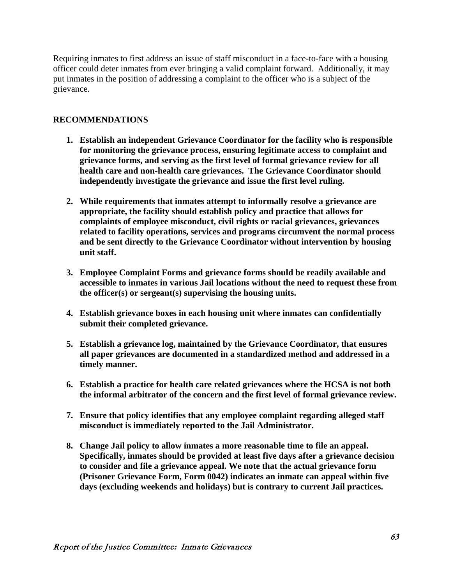Requiring inmates to first address an issue of staff misconduct in a face-to-face with a housing officer could deter inmates from ever bringing a valid complaint forward. Additionally, it may put inmates in the position of addressing a complaint to the officer who is a subject of the grievance.

#### **RECOMMENDATIONS**

- **1. Establish an independent Grievance Coordinator for the facility who is responsible for monitoring the grievance process, ensuring legitimate access to complaint and grievance forms, and serving as the first level of formal grievance review for all health care and non-health care grievances. The Grievance Coordinator should independently investigate the grievance and issue the first level ruling.**
- **2. While requirements that inmates attempt to informally resolve a grievance are appropriate, the facility should establish policy and practice that allows for complaints of employee misconduct, civil rights or racial grievances, grievances related to facility operations, services and programs circumvent the normal process and be sent directly to the Grievance Coordinator without intervention by housing unit staff.**
- **3. Employee Complaint Forms and grievance forms should be readily available and accessible to inmates in various Jail locations without the need to request these from the officer(s) or sergeant(s) supervising the housing units.**
- **4. Establish grievance boxes in each housing unit where inmates can confidentially submit their completed grievance.**
- **5. Establish a grievance log, maintained by the Grievance Coordinator, that ensures all paper grievances are documented in a standardized method and addressed in a timely manner.**
- **6. Establish a practice for health care related grievances where the HCSA is not both the informal arbitrator of the concern and the first level of formal grievance review.**
- **7. Ensure that policy identifies that any employee complaint regarding alleged staff misconduct is immediately reported to the Jail Administrator.**
- **8. Change Jail policy to allow inmates a more reasonable time to file an appeal. Specifically, inmates should be provided at least five days after a grievance decision to consider and file a grievance appeal. We note that the actual grievance form (Prisoner Grievance Form, Form 0042) indicates an inmate can appeal within five days (excluding weekends and holidays) but is contrary to current Jail practices.**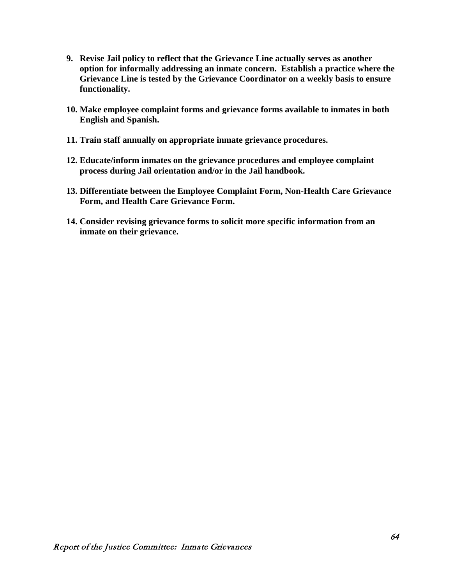- **9. Revise Jail policy to reflect that the Grievance Line actually serves as another option for informally addressing an inmate concern. Establish a practice where the Grievance Line is tested by the Grievance Coordinator on a weekly basis to ensure functionality.**
- **10. Make employee complaint forms and grievance forms available to inmates in both English and Spanish.**
- **11. Train staff annually on appropriate inmate grievance procedures.**
- **12. Educate/inform inmates on the grievance procedures and employee complaint process during Jail orientation and/or in the Jail handbook.**
- **13. Differentiate between the Employee Complaint Form, Non-Health Care Grievance Form, and Health Care Grievance Form.**
- **14. Consider revising grievance forms to solicit more specific information from an inmate on their grievance.**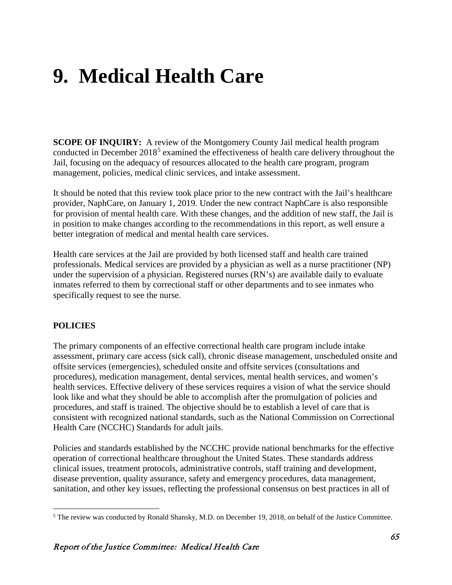# **9. Medical Health Care**

**SCOPE OF INQUIRY:** A review of the Montgomery County Jail medical health program conducted in December 2018<sup>[5](#page-71-0)</sup> examined the effectiveness of health care delivery throughout the Jail, focusing on the adequacy of resources allocated to the health care program, program management, policies, medical clinic services, and intake assessment.

It should be noted that this review took place prior to the new contract with the Jail's healthcare provider, NaphCare, on January 1, 2019. Under the new contract NaphCare is also responsible for provision of mental health care. With these changes, and the addition of new staff, the Jail is in position to make changes according to the recommendations in this report, as well ensure a better integration of medical and mental health care services.

Health care services at the Jail are provided by both licensed staff and health care trained professionals. Medical services are provided by a physician as well as a nurse practitioner (NP) under the supervision of a physician. Registered nurses (RN's) are available daily to evaluate inmates referred to them by correctional staff or other departments and to see inmates who specifically request to see the nurse.

## **POLICIES**

The primary components of an effective correctional health care program include intake assessment, primary care access (sick call), chronic disease management, unscheduled onsite and offsite services (emergencies), scheduled onsite and offsite services (consultations and procedures), medication management, dental services, mental health services, and women's health services. Effective delivery of these services requires a vision of what the service should look like and what they should be able to accomplish after the promulgation of policies and procedures, and staff is trained. The objective should be to establish a level of care that is consistent with recognized national standards, such as the National Commission on Correctional Health Care (NCCHC) Standards for adult jails.

Policies and standards established by the NCCHC provide national benchmarks for the effective operation of correctional healthcare throughout the United States. These standards address clinical issues, treatment protocols, administrative controls, staff training and development, disease prevention, quality assurance, safety and emergency procedures, data management, sanitation, and other key issues, reflecting the professional consensus on best practices in all of

<span id="page-71-0"></span> <sup>5</sup> The review was conducted by Ronald Shansky, M.D. on December 19, 2018, on behalf of the Justice Committee.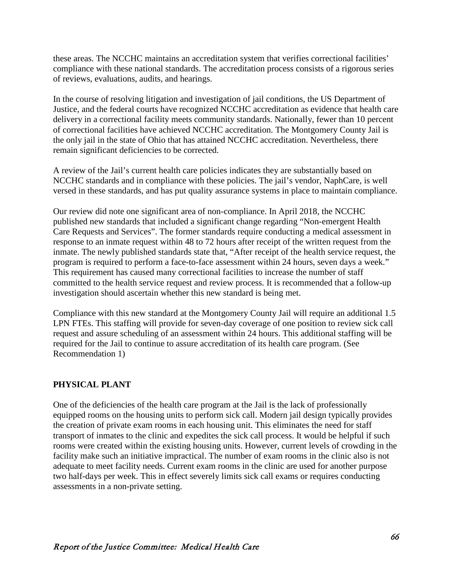these areas. The NCCHC maintains an accreditation system that verifies correctional facilities' compliance with these national standards. The accreditation process consists of a rigorous series of reviews, evaluations, audits, and hearings.

In the course of resolving litigation and investigation of jail conditions, the US Department of Justice, and the federal courts have recognized NCCHC accreditation as evidence that health care delivery in a correctional facility meets community standards. Nationally, fewer than 10 percent of correctional facilities have achieved NCCHC accreditation. The Montgomery County Jail is the only jail in the state of Ohio that has attained NCCHC accreditation. Nevertheless, there remain significant deficiencies to be corrected.

A review of the Jail's current health care policies indicates they are substantially based on NCCHC standards and in compliance with these policies. The jail's vendor, NaphCare, is well versed in these standards, and has put quality assurance systems in place to maintain compliance.

Our review did note one significant area of non-compliance. In April 2018, the NCCHC published new standards that included a significant change regarding "Non-emergent Health Care Requests and Services". The former standards require conducting a medical assessment in response to an inmate request within 48 to 72 hours after receipt of the written request from the inmate. The newly published standards state that, "After receipt of the health service request, the program is required to perform a face-to-face assessment within 24 hours, seven days a week." This requirement has caused many correctional facilities to increase the number of staff committed to the health service request and review process. It is recommended that a follow-up investigation should ascertain whether this new standard is being met.

Compliance with this new standard at the Montgomery County Jail will require an additional 1.5 LPN FTEs. This staffing will provide for seven-day coverage of one position to review sick call request and assure scheduling of an assessment within 24 hours. This additional staffing will be required for the Jail to continue to assure accreditation of its health care program. (See Recommendation 1)

#### **PHYSICAL PLANT**

One of the deficiencies of the health care program at the Jail is the lack of professionally equipped rooms on the housing units to perform sick call. Modern jail design typically provides the creation of private exam rooms in each housing unit. This eliminates the need for staff transport of inmates to the clinic and expedites the sick call process. It would be helpful if such rooms were created within the existing housing units. However, current levels of crowding in the facility make such an initiative impractical. The number of exam rooms in the clinic also is not adequate to meet facility needs. Current exam rooms in the clinic are used for another purpose two half-days per week. This in effect severely limits sick call exams or requires conducting assessments in a non-private setting.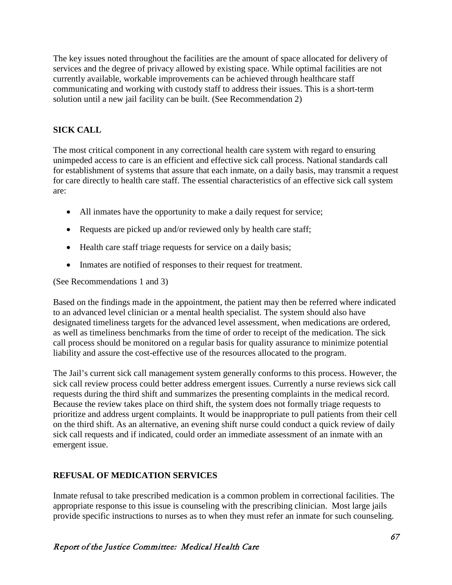The key issues noted throughout the facilities are the amount of space allocated for delivery of services and the degree of privacy allowed by existing space. While optimal facilities are not currently available, workable improvements can be achieved through healthcare staff communicating and working with custody staff to address their issues. This is a short-term solution until a new jail facility can be built. (See Recommendation 2)

# **SICK CALL**

The most critical component in any correctional health care system with regard to ensuring unimpeded access to care is an efficient and effective sick call process. National standards call for establishment of systems that assure that each inmate, on a daily basis, may transmit a request for care directly to health care staff. The essential characteristics of an effective sick call system are:

- All inmates have the opportunity to make a daily request for service;
- Requests are picked up and/or reviewed only by health care staff;
- Health care staff triage requests for service on a daily basis;
- Inmates are notified of responses to their request for treatment.

(See Recommendations 1 and 3)

Based on the findings made in the appointment, the patient may then be referred where indicated to an advanced level clinician or a mental health specialist. The system should also have designated timeliness targets for the advanced level assessment, when medications are ordered, as well as timeliness benchmarks from the time of order to receipt of the medication. The sick call process should be monitored on a regular basis for quality assurance to minimize potential liability and assure the cost-effective use of the resources allocated to the program.

The Jail's current sick call management system generally conforms to this process. However, the sick call review process could better address emergent issues. Currently a nurse reviews sick call requests during the third shift and summarizes the presenting complaints in the medical record. Because the review takes place on third shift, the system does not formally triage requests to prioritize and address urgent complaints. It would be inappropriate to pull patients from their cell on the third shift. As an alternative, an evening shift nurse could conduct a quick review of daily sick call requests and if indicated, could order an immediate assessment of an inmate with an emergent issue.

# **REFUSAL OF MEDICATION SERVICES**

Inmate refusal to take prescribed medication is a common problem in correctional facilities. The appropriate response to this issue is counseling with the prescribing clinician. Most large jails provide specific instructions to nurses as to when they must refer an inmate for such counseling.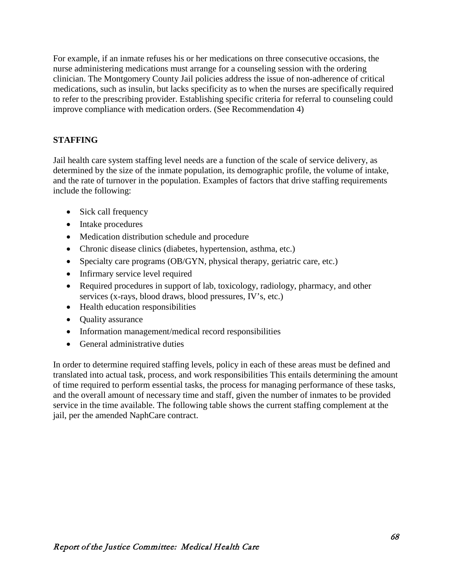For example, if an inmate refuses his or her medications on three consecutive occasions, the nurse administering medications must arrange for a counseling session with the ordering clinician. The Montgomery County Jail policies address the issue of non-adherence of critical medications, such as insulin, but lacks specificity as to when the nurses are specifically required to refer to the prescribing provider. Establishing specific criteria for referral to counseling could improve compliance with medication orders. (See Recommendation 4)

## **STAFFING**

Jail health care system staffing level needs are a function of the scale of service delivery, as determined by the size of the inmate population, its demographic profile, the volume of intake, and the rate of turnover in the population. Examples of factors that drive staffing requirements include the following:

- Sick call frequency
- Intake procedures
- Medication distribution schedule and procedure
- Chronic disease clinics (diabetes, hypertension, asthma, etc.)
- Specialty care programs (OB/GYN, physical therapy, geriatric care, etc.)
- Infirmary service level required
- Required procedures in support of lab, toxicology, radiology, pharmacy, and other services (x-rays, blood draws, blood pressures, IV's, etc.)
- Health education responsibilities
- **Quality assurance**
- Information management/medical record responsibilities
- General administrative duties

In order to determine required staffing levels, policy in each of these areas must be defined and translated into actual task, process, and work responsibilities This entails determining the amount of time required to perform essential tasks, the process for managing performance of these tasks, and the overall amount of necessary time and staff, given the number of inmates to be provided service in the time available. The following table shows the current staffing complement at the jail, per the amended NaphCare contract.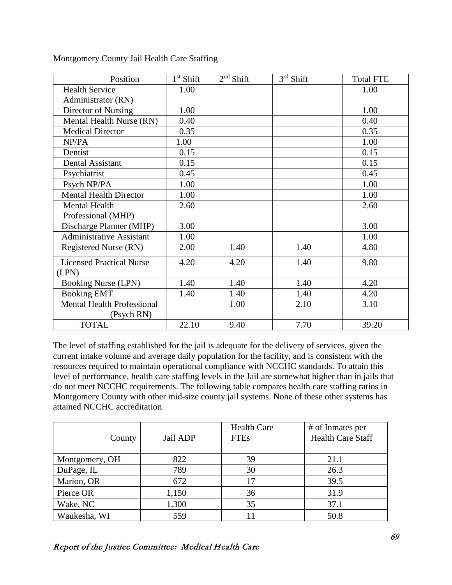| Position                          | $1st$ Shift | $2nd$ Shift | $3rd$ Shift | <b>Total FTE</b> |
|-----------------------------------|-------------|-------------|-------------|------------------|
| <b>Health Service</b>             | 1.00        |             |             | 1.00             |
| Administrator (RN)                |             |             |             |                  |
| Director of Nursing               | 1.00        |             |             | 1.00             |
| Mental Health Nurse (RN)          | 0.40        |             |             | 0.40             |
| <b>Medical Director</b>           | 0.35        |             |             | 0.35             |
| NP/PA                             | 1.00        |             |             | 1.00             |
| Dentist                           | 0.15        |             |             | 0.15             |
| Dental Assistant                  | 0.15        |             |             | 0.15             |
| Psychiatrist                      | 0.45        |             |             | 0.45             |
| Psych NP/PA                       | 1.00        |             |             | 1.00             |
| <b>Mental Health Director</b>     | 1.00        |             |             | 1.00             |
| <b>Mental Health</b>              | 2.60        |             |             | 2.60             |
| Professional (MHP)                |             |             |             |                  |
| Discharge Planner (MHP)           | 3.00        |             |             | 3.00             |
| <b>Administrative Assistant</b>   | 1.00        |             |             | 1.00             |
| <b>Registered Nurse (RN)</b>      | 2.00        | 1.40        | 1.40        | 4.80             |
| <b>Licensed Practical Nurse</b>   | 4.20        | 4.20        | 1.40        | 9.80             |
| (LPN)                             |             |             |             |                  |
| <b>Booking Nurse (LPN)</b>        | 1.40        | 1.40        | 1.40        | 4.20             |
| <b>Booking EMT</b>                | 1.40        | 1.40        | 1.40        | 4.20             |
| <b>Mental Health Professional</b> |             | 1.00        | 2.10        | 3.10             |
| (Psych RN)                        |             |             |             |                  |
| <b>TOTAL</b>                      | 22.10       | 9.40        | 7.70        | 39.20            |

Montgomery County Jail Health Care Staffing

The level of staffing established for the jail is adequate for the delivery of services, given the current intake volume and average daily population for the facility, and is consistent with the resources required to maintain operational compliance with NCCHC standards. To attain this level of performance, health care staffing levels in the Jail are somewhat higher than in jails that do not meet NCCHC requirements. The following table compares health care staffing ratios in Montgomery County with other mid-size county jail systems. None of these other systems has attained NCCHC accreditation.

| County         | Jail ADP | <b>Health Care</b><br><b>FTEs</b> | # of Inmates per<br><b>Health Care Staff</b> |
|----------------|----------|-----------------------------------|----------------------------------------------|
| Montgomery, OH | 822      | 39                                | 21.1                                         |
| DuPage, IL     | 789      | 30                                | 26.3                                         |
| Marion, OR     | 672      | 17                                | 39.5                                         |
| Pierce OR      | 1,150    | 36                                | 31.9                                         |
| Wake, NC       | 1,300    | 35                                | 37.1                                         |
| Waukesha, WI   | 559      |                                   | 50.8                                         |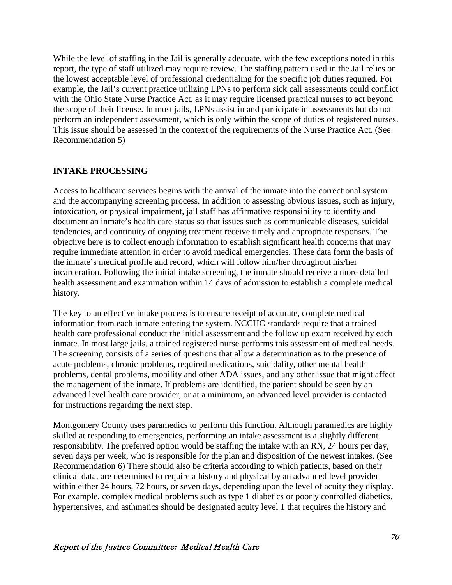While the level of staffing in the Jail is generally adequate, with the few exceptions noted in this report, the type of staff utilized may require review. The staffing pattern used in the Jail relies on the lowest acceptable level of professional credentialing for the specific job duties required. For example, the Jail's current practice utilizing LPNs to perform sick call assessments could conflict with the Ohio State Nurse Practice Act, as it may require licensed practical nurses to act beyond the scope of their license. In most jails, LPNs assist in and participate in assessments but do not perform an independent assessment, which is only within the scope of duties of registered nurses. This issue should be assessed in the context of the requirements of the Nurse Practice Act. (See Recommendation 5)

#### **INTAKE PROCESSING**

Access to healthcare services begins with the arrival of the inmate into the correctional system and the accompanying screening process. In addition to assessing obvious issues, such as injury, intoxication, or physical impairment, jail staff has affirmative responsibility to identify and document an inmate's health care status so that issues such as communicable diseases, suicidal tendencies, and continuity of ongoing treatment receive timely and appropriate responses. The objective here is to collect enough information to establish significant health concerns that may require immediate attention in order to avoid medical emergencies. These data form the basis of the inmate's medical profile and record, which will follow him/her throughout his/her incarceration. Following the initial intake screening, the inmate should receive a more detailed health assessment and examination within 14 days of admission to establish a complete medical history.

The key to an effective intake process is to ensure receipt of accurate, complete medical information from each inmate entering the system. NCCHC standards require that a trained health care professional conduct the initial assessment and the follow up exam received by each inmate. In most large jails, a trained registered nurse performs this assessment of medical needs. The screening consists of a series of questions that allow a determination as to the presence of acute problems, chronic problems, required medications, suicidality, other mental health problems, dental problems, mobility and other ADA issues, and any other issue that might affect the management of the inmate. If problems are identified, the patient should be seen by an advanced level health care provider, or at a minimum, an advanced level provider is contacted for instructions regarding the next step.

Montgomery County uses paramedics to perform this function. Although paramedics are highly skilled at responding to emergencies, performing an intake assessment is a slightly different responsibility. The preferred option would be staffing the intake with an RN, 24 hours per day, seven days per week, who is responsible for the plan and disposition of the newest intakes. (See Recommendation 6) There should also be criteria according to which patients, based on their clinical data, are determined to require a history and physical by an advanced level provider within either 24 hours, 72 hours, or seven days, depending upon the level of acuity they display. For example, complex medical problems such as type 1 diabetics or poorly controlled diabetics, hypertensives, and asthmatics should be designated acuity level 1 that requires the history and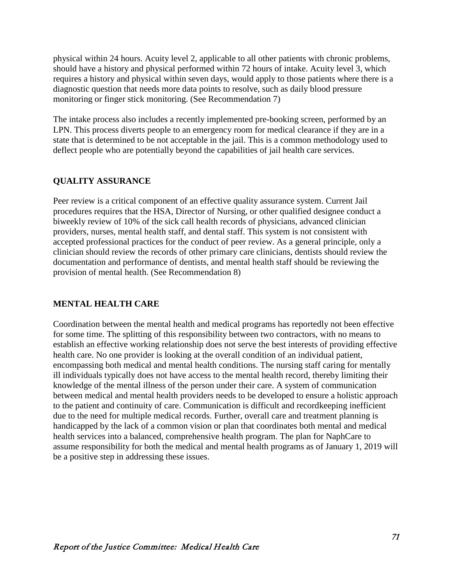physical within 24 hours. Acuity level 2, applicable to all other patients with chronic problems, should have a history and physical performed within 72 hours of intake. Acuity level 3, which requires a history and physical within seven days, would apply to those patients where there is a diagnostic question that needs more data points to resolve, such as daily blood pressure monitoring or finger stick monitoring. (See Recommendation 7)

The intake process also includes a recently implemented pre-booking screen, performed by an LPN. This process diverts people to an emergency room for medical clearance if they are in a state that is determined to be not acceptable in the jail. This is a common methodology used to deflect people who are potentially beyond the capabilities of jail health care services.

## **QUALITY ASSURANCE**

Peer review is a critical component of an effective quality assurance system. Current Jail procedures requires that the HSA, Director of Nursing, or other qualified designee conduct a biweekly review of 10% of the sick call health records of physicians, advanced clinician providers, nurses, mental health staff, and dental staff. This system is not consistent with accepted professional practices for the conduct of peer review. As a general principle, only a clinician should review the records of other primary care clinicians, dentists should review the documentation and performance of dentists, and mental health staff should be reviewing the provision of mental health. (See Recommendation 8)

#### **MENTAL HEALTH CARE**

Coordination between the mental health and medical programs has reportedly not been effective for some time. The splitting of this responsibility between two contractors, with no means to establish an effective working relationship does not serve the best interests of providing effective health care. No one provider is looking at the overall condition of an individual patient, encompassing both medical and mental health conditions. The nursing staff caring for mentally ill individuals typically does not have access to the mental health record, thereby limiting their knowledge of the mental illness of the person under their care. A system of communication between medical and mental health providers needs to be developed to ensure a holistic approach to the patient and continuity of care. Communication is difficult and recordkeeping inefficient due to the need for multiple medical records. Further, overall care and treatment planning is handicapped by the lack of a common vision or plan that coordinates both mental and medical health services into a balanced, comprehensive health program. The plan for NaphCare to assume responsibility for both the medical and mental health programs as of January 1, 2019 will be a positive step in addressing these issues.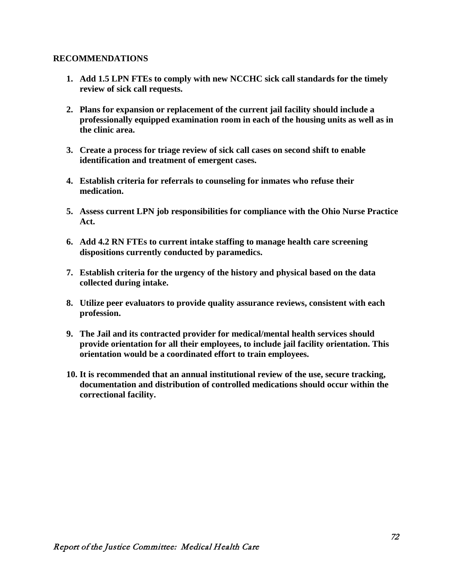#### **RECOMMENDATIONS**

- **1. Add 1.5 LPN FTEs to comply with new NCCHC sick call standards for the timely review of sick call requests.**
- **2. Plans for expansion or replacement of the current jail facility should include a professionally equipped examination room in each of the housing units as well as in the clinic area.**
- **3. Create a process for triage review of sick call cases on second shift to enable identification and treatment of emergent cases.**
- **4. Establish criteria for referrals to counseling for inmates who refuse their medication.**
- **5. Assess current LPN job responsibilities for compliance with the Ohio Nurse Practice Act.**
- **6. Add 4.2 RN FTEs to current intake staffing to manage health care screening dispositions currently conducted by paramedics.**
- **7. Establish criteria for the urgency of the history and physical based on the data collected during intake.**
- **8. Utilize peer evaluators to provide quality assurance reviews, consistent with each profession.**
- **9. The Jail and its contracted provider for medical/mental health services should provide orientation for all their employees, to include jail facility orientation. This orientation would be a coordinated effort to train employees.**
- **10. It is recommended that an annual institutional review of the use, secure tracking, documentation and distribution of controlled medications should occur within the correctional facility.**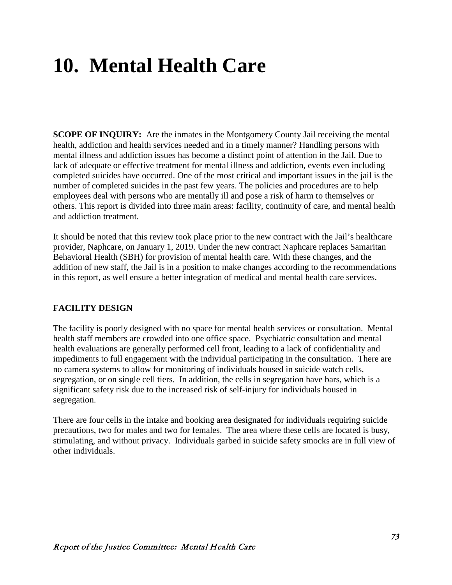# **10. Mental Health Care**

**SCOPE OF INQUIRY:** Are the inmates in the Montgomery County Jail receiving the mental health, addiction and health services needed and in a timely manner? Handling persons with mental illness and addiction issues has become a distinct point of attention in the Jail. Due to lack of adequate or effective treatment for mental illness and addiction, events even including completed suicides have occurred. One of the most critical and important issues in the jail is the number of completed suicides in the past few years. The policies and procedures are to help employees deal with persons who are mentally ill and pose a risk of harm to themselves or others. This report is divided into three main areas: facility, continuity of care, and mental health and addiction treatment.

It should be noted that this review took place prior to the new contract with the Jail's healthcare provider, Naphcare, on January 1, 2019. Under the new contract Naphcare replaces Samaritan Behavioral Health (SBH) for provision of mental health care. With these changes, and the addition of new staff, the Jail is in a position to make changes according to the recommendations in this report, as well ensure a better integration of medical and mental health care services.

#### **FACILITY DESIGN**

The facility is poorly designed with no space for mental health services or consultation. Mental health staff members are crowded into one office space. Psychiatric consultation and mental health evaluations are generally performed cell front, leading to a lack of confidentiality and impediments to full engagement with the individual participating in the consultation. There are no camera systems to allow for monitoring of individuals housed in suicide watch cells, segregation, or on single cell tiers. In addition, the cells in segregation have bars, which is a significant safety risk due to the increased risk of self-injury for individuals housed in segregation.

There are four cells in the intake and booking area designated for individuals requiring suicide precautions, two for males and two for females. The area where these cells are located is busy, stimulating, and without privacy. Individuals garbed in suicide safety smocks are in full view of other individuals.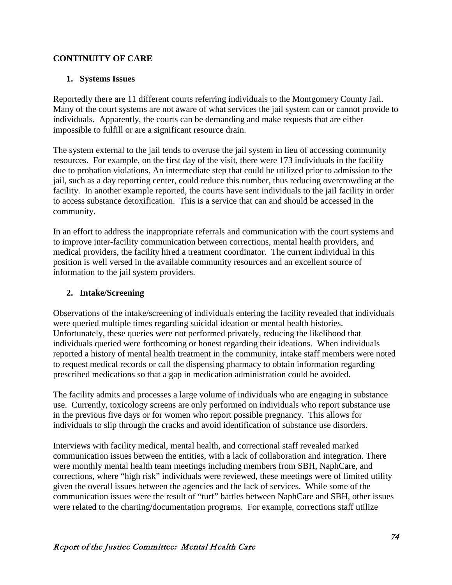#### **CONTINUITY OF CARE**

#### **1. Systems Issues**

Reportedly there are 11 different courts referring individuals to the Montgomery County Jail. Many of the court systems are not aware of what services the jail system can or cannot provide to individuals. Apparently, the courts can be demanding and make requests that are either impossible to fulfill or are a significant resource drain.

The system external to the jail tends to overuse the jail system in lieu of accessing community resources. For example, on the first day of the visit, there were 173 individuals in the facility due to probation violations. An intermediate step that could be utilized prior to admission to the jail, such as a day reporting center, could reduce this number, thus reducing overcrowding at the facility. In another example reported, the courts have sent individuals to the jail facility in order to access substance detoxification. This is a service that can and should be accessed in the community.

In an effort to address the inappropriate referrals and communication with the court systems and to improve inter-facility communication between corrections, mental health providers, and medical providers, the facility hired a treatment coordinator. The current individual in this position is well versed in the available community resources and an excellent source of information to the jail system providers.

#### **2. Intake/Screening**

Observations of the intake/screening of individuals entering the facility revealed that individuals were queried multiple times regarding suicidal ideation or mental health histories. Unfortunately, these queries were not performed privately, reducing the likelihood that individuals queried were forthcoming or honest regarding their ideations. When individuals reported a history of mental health treatment in the community, intake staff members were noted to request medical records or call the dispensing pharmacy to obtain information regarding prescribed medications so that a gap in medication administration could be avoided.

The facility admits and processes a large volume of individuals who are engaging in substance use. Currently, toxicology screens are only performed on individuals who report substance use in the previous five days or for women who report possible pregnancy. This allows for individuals to slip through the cracks and avoid identification of substance use disorders.

Interviews with facility medical, mental health, and correctional staff revealed marked communication issues between the entities, with a lack of collaboration and integration. There were monthly mental health team meetings including members from SBH, NaphCare, and corrections, where "high risk" individuals were reviewed, these meetings were of limited utility given the overall issues between the agencies and the lack of services. While some of the communication issues were the result of "turf" battles between NaphCare and SBH, other issues were related to the charting/documentation programs. For example, corrections staff utilize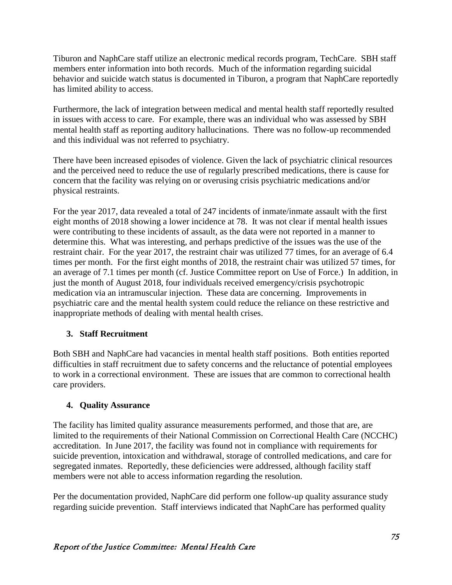Tiburon and NaphCare staff utilize an electronic medical records program, TechCare. SBH staff members enter information into both records. Much of the information regarding suicidal behavior and suicide watch status is documented in Tiburon, a program that NaphCare reportedly has limited ability to access.

Furthermore, the lack of integration between medical and mental health staff reportedly resulted in issues with access to care. For example, there was an individual who was assessed by SBH mental health staff as reporting auditory hallucinations. There was no follow-up recommended and this individual was not referred to psychiatry.

There have been increased episodes of violence. Given the lack of psychiatric clinical resources and the perceived need to reduce the use of regularly prescribed medications, there is cause for concern that the facility was relying on or overusing crisis psychiatric medications and/or physical restraints.

For the year 2017, data revealed a total of 247 incidents of inmate/inmate assault with the first eight months of 2018 showing a lower incidence at 78. It was not clear if mental health issues were contributing to these incidents of assault, as the data were not reported in a manner to determine this. What was interesting, and perhaps predictive of the issues was the use of the restraint chair. For the year 2017, the restraint chair was utilized 77 times, for an average of 6.4 times per month. For the first eight months of 2018, the restraint chair was utilized 57 times, for an average of 7.1 times per month (cf. Justice Committee report on Use of Force.) In addition, in just the month of August 2018, four individuals received emergency/crisis psychotropic medication via an intramuscular injection. These data are concerning. Improvements in psychiatric care and the mental health system could reduce the reliance on these restrictive and inappropriate methods of dealing with mental health crises.

#### **3. Staff Recruitment**

Both SBH and NaphCare had vacancies in mental health staff positions. Both entities reported difficulties in staff recruitment due to safety concerns and the reluctance of potential employees to work in a correctional environment. These are issues that are common to correctional health care providers.

#### **4. Quality Assurance**

The facility has limited quality assurance measurements performed, and those that are, are limited to the requirements of their National Commission on Correctional Health Care (NCCHC) accreditation. In June 2017, the facility was found not in compliance with requirements for suicide prevention, intoxication and withdrawal, storage of controlled medications, and care for segregated inmates. Reportedly, these deficiencies were addressed, although facility staff members were not able to access information regarding the resolution.

Per the documentation provided, NaphCare did perform one follow-up quality assurance study regarding suicide prevention. Staff interviews indicated that NaphCare has performed quality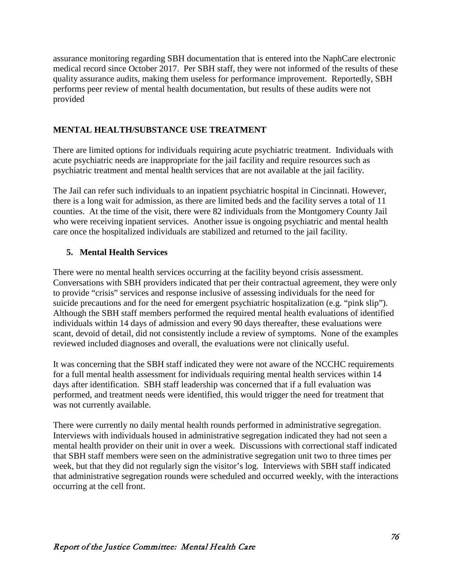assurance monitoring regarding SBH documentation that is entered into the NaphCare electronic medical record since October 2017. Per SBH staff, they were not informed of the results of these quality assurance audits, making them useless for performance improvement. Reportedly, SBH performs peer review of mental health documentation, but results of these audits were not provided

## **MENTAL HEALTH/SUBSTANCE USE TREATMENT**

There are limited options for individuals requiring acute psychiatric treatment. Individuals with acute psychiatric needs are inappropriate for the jail facility and require resources such as psychiatric treatment and mental health services that are not available at the jail facility.

The Jail can refer such individuals to an inpatient psychiatric hospital in Cincinnati. However, there is a long wait for admission, as there are limited beds and the facility serves a total of 11 counties. At the time of the visit, there were 82 individuals from the Montgomery County Jail who were receiving inpatient services. Another issue is ongoing psychiatric and mental health care once the hospitalized individuals are stabilized and returned to the jail facility.

#### **5. Mental Health Services**

There were no mental health services occurring at the facility beyond crisis assessment. Conversations with SBH providers indicated that per their contractual agreement, they were only to provide "crisis" services and response inclusive of assessing individuals for the need for suicide precautions and for the need for emergent psychiatric hospitalization (e.g. "pink slip"). Although the SBH staff members performed the required mental health evaluations of identified individuals within 14 days of admission and every 90 days thereafter, these evaluations were scant, devoid of detail, did not consistently include a review of symptoms. None of the examples reviewed included diagnoses and overall, the evaluations were not clinically useful.

It was concerning that the SBH staff indicated they were not aware of the NCCHC requirements for a full mental health assessment for individuals requiring mental health services within 14 days after identification. SBH staff leadership was concerned that if a full evaluation was performed, and treatment needs were identified, this would trigger the need for treatment that was not currently available.

There were currently no daily mental health rounds performed in administrative segregation. Interviews with individuals housed in administrative segregation indicated they had not seen a mental health provider on their unit in over a week. Discussions with correctional staff indicated that SBH staff members were seen on the administrative segregation unit two to three times per week, but that they did not regularly sign the visitor's log. Interviews with SBH staff indicated that administrative segregation rounds were scheduled and occurred weekly, with the interactions occurring at the cell front.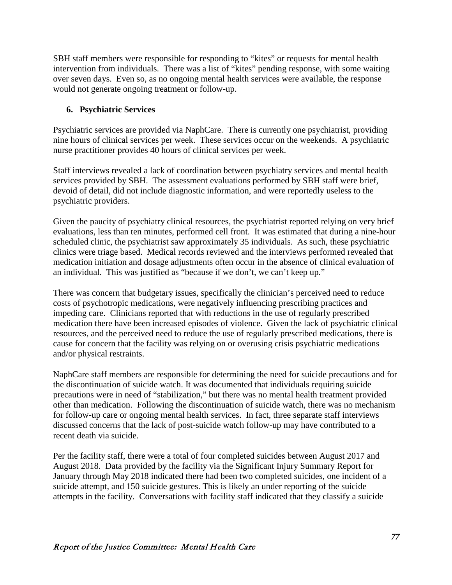SBH staff members were responsible for responding to "kites" or requests for mental health intervention from individuals. There was a list of "kites" pending response, with some waiting over seven days. Even so, as no ongoing mental health services were available, the response would not generate ongoing treatment or follow-up.

## **6. Psychiatric Services**

Psychiatric services are provided via NaphCare. There is currently one psychiatrist, providing nine hours of clinical services per week. These services occur on the weekends. A psychiatric nurse practitioner provides 40 hours of clinical services per week.

Staff interviews revealed a lack of coordination between psychiatry services and mental health services provided by SBH. The assessment evaluations performed by SBH staff were brief, devoid of detail, did not include diagnostic information, and were reportedly useless to the psychiatric providers.

Given the paucity of psychiatry clinical resources, the psychiatrist reported relying on very brief evaluations, less than ten minutes, performed cell front. It was estimated that during a nine-hour scheduled clinic, the psychiatrist saw approximately 35 individuals. As such, these psychiatric clinics were triage based. Medical records reviewed and the interviews performed revealed that medication initiation and dosage adjustments often occur in the absence of clinical evaluation of an individual. This was justified as "because if we don't, we can't keep up."

There was concern that budgetary issues, specifically the clinician's perceived need to reduce costs of psychotropic medications, were negatively influencing prescribing practices and impeding care. Clinicians reported that with reductions in the use of regularly prescribed medication there have been increased episodes of violence. Given the lack of psychiatric clinical resources, and the perceived need to reduce the use of regularly prescribed medications, there is cause for concern that the facility was relying on or overusing crisis psychiatric medications and/or physical restraints.

NaphCare staff members are responsible for determining the need for suicide precautions and for the discontinuation of suicide watch. It was documented that individuals requiring suicide precautions were in need of "stabilization," but there was no mental health treatment provided other than medication. Following the discontinuation of suicide watch, there was no mechanism for follow-up care or ongoing mental health services. In fact, three separate staff interviews discussed concerns that the lack of post-suicide watch follow-up may have contributed to a recent death via suicide.

Per the facility staff, there were a total of four completed suicides between August 2017 and August 2018. Data provided by the facility via the Significant Injury Summary Report for January through May 2018 indicated there had been two completed suicides, one incident of a suicide attempt, and 150 suicide gestures. This is likely an under reporting of the suicide attempts in the facility. Conversations with facility staff indicated that they classify a suicide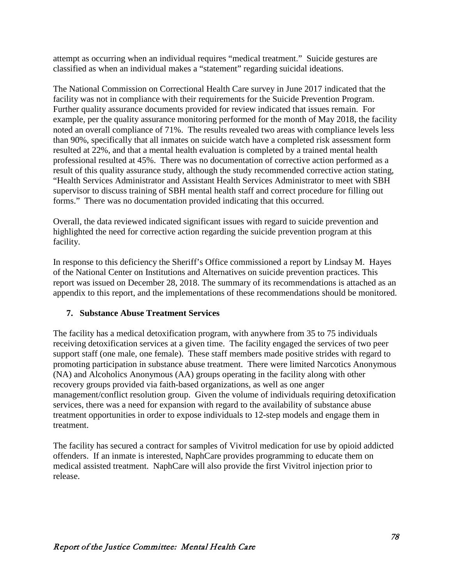attempt as occurring when an individual requires "medical treatment." Suicide gestures are classified as when an individual makes a "statement" regarding suicidal ideations.

The National Commission on Correctional Health Care survey in June 2017 indicated that the facility was not in compliance with their requirements for the Suicide Prevention Program. Further quality assurance documents provided for review indicated that issues remain. For example, per the quality assurance monitoring performed for the month of May 2018, the facility noted an overall compliance of 71%. The results revealed two areas with compliance levels less than 90%, specifically that all inmates on suicide watch have a completed risk assessment form resulted at 22%, and that a mental health evaluation is completed by a trained mental health professional resulted at 45%. There was no documentation of corrective action performed as a result of this quality assurance study, although the study recommended corrective action stating, "Health Services Administrator and Assistant Health Services Administrator to meet with SBH supervisor to discuss training of SBH mental health staff and correct procedure for filling out forms." There was no documentation provided indicating that this occurred.

Overall, the data reviewed indicated significant issues with regard to suicide prevention and highlighted the need for corrective action regarding the suicide prevention program at this facility.

In response to this deficiency the Sheriff's Office commissioned a report by Lindsay M. Hayes of the National Center on Institutions and Alternatives on suicide prevention practices. This report was issued on December 28, 2018. The summary of its recommendations is attached as an appendix to this report, and the implementations of these recommendations should be monitored.

#### **7. Substance Abuse Treatment Services**

The facility has a medical detoxification program, with anywhere from 35 to 75 individuals receiving detoxification services at a given time. The facility engaged the services of two peer support staff (one male, one female). These staff members made positive strides with regard to promoting participation in substance abuse treatment. There were limited Narcotics Anonymous (NA) and Alcoholics Anonymous (AA) groups operating in the facility along with other recovery groups provided via faith-based organizations, as well as one anger management/conflict resolution group. Given the volume of individuals requiring detoxification services, there was a need for expansion with regard to the availability of substance abuse treatment opportunities in order to expose individuals to 12-step models and engage them in treatment.

The facility has secured a contract for samples of Vivitrol medication for use by opioid addicted offenders. If an inmate is interested, NaphCare provides programming to educate them on medical assisted treatment. NaphCare will also provide the first Vivitrol injection prior to release.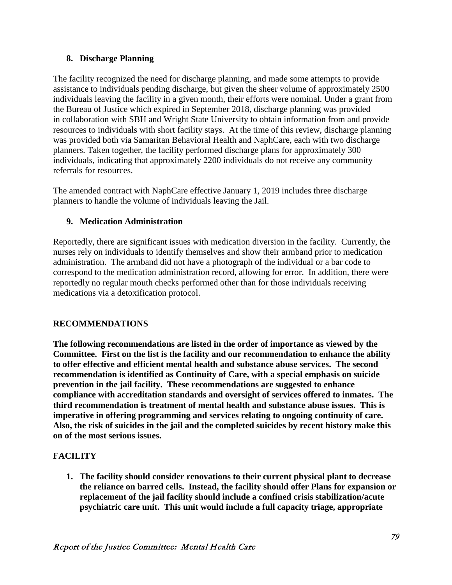#### **8. Discharge Planning**

The facility recognized the need for discharge planning, and made some attempts to provide assistance to individuals pending discharge, but given the sheer volume of approximately 2500 individuals leaving the facility in a given month, their efforts were nominal. Under a grant from the Bureau of Justice which expired in September 2018, discharge planning was provided in collaboration with SBH and Wright State University to obtain information from and provide resources to individuals with short facility stays. At the time of this review, discharge planning was provided both via Samaritan Behavioral Health and NaphCare, each with two discharge planners. Taken together, the facility performed discharge plans for approximately 300 individuals, indicating that approximately 2200 individuals do not receive any community referrals for resources.

The amended contract with NaphCare effective January 1, 2019 includes three discharge planners to handle the volume of individuals leaving the Jail.

#### **9. Medication Administration**

Reportedly, there are significant issues with medication diversion in the facility. Currently, the nurses rely on individuals to identify themselves and show their armband prior to medication administration. The armband did not have a photograph of the individual or a bar code to correspond to the medication administration record, allowing for error. In addition, there were reportedly no regular mouth checks performed other than for those individuals receiving medications via a detoxification protocol.

#### **RECOMMENDATIONS**

**The following recommendations are listed in the order of importance as viewed by the Committee. First on the list is the facility and our recommendation to enhance the ability to offer effective and efficient mental health and substance abuse services. The second recommendation is identified as Continuity of Care, with a special emphasis on suicide prevention in the jail facility. These recommendations are suggested to enhance compliance with accreditation standards and oversight of services offered to inmates. The third recommendation is treatment of mental health and substance abuse issues. This is imperative in offering programming and services relating to ongoing continuity of care. Also, the risk of suicides in the jail and the completed suicides by recent history make this on of the most serious issues.**

# **FACILITY**

**1. The facility should consider renovations to their current physical plant to decrease the reliance on barred cells. Instead, the facility should offer Plans for expansion or replacement of the jail facility should include a confined crisis stabilization/acute psychiatric care unit. This unit would include a full capacity triage, appropriate**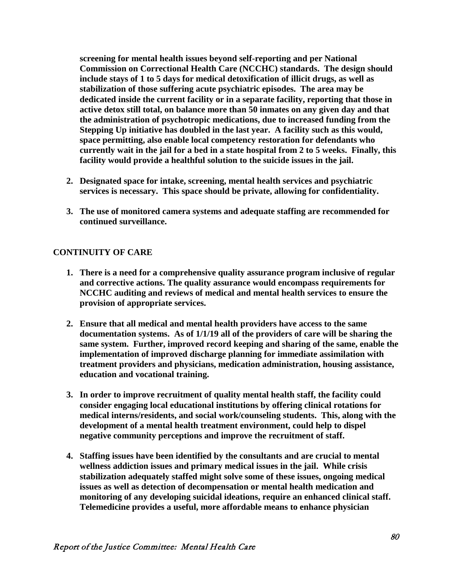**screening for mental health issues beyond self-reporting and per National Commission on Correctional Health Care (NCCHC) standards. The design should include stays of 1 to 5 days for medical detoxification of illicit drugs, as well as stabilization of those suffering acute psychiatric episodes. The area may be dedicated inside the current facility or in a separate facility, reporting that those in active detox still total, on balance more than 50 inmates on any given day and that the administration of psychotropic medications, due to increased funding from the Stepping Up initiative has doubled in the last year. A facility such as this would, space permitting, also enable local competency restoration for defendants who currently wait in the jail for a bed in a state hospital from 2 to 5 weeks. Finally, this facility would provide a healthful solution to the suicide issues in the jail.** 

- **2. Designated space for intake, screening, mental health services and psychiatric services is necessary. This space should be private, allowing for confidentiality.**
- **3. The use of monitored camera systems and adequate staffing are recommended for continued surveillance.**

#### **CONTINUITY OF CARE**

- **1. There is a need for a comprehensive quality assurance program inclusive of regular and corrective actions. The quality assurance would encompass requirements for NCCHC auditing and reviews of medical and mental health services to ensure the provision of appropriate services.**
- **2. Ensure that all medical and mental health providers have access to the same documentation systems. As of 1/1/19 all of the providers of care will be sharing the same system. Further, improved record keeping and sharing of the same, enable the implementation of improved discharge planning for immediate assimilation with treatment providers and physicians, medication administration, housing assistance, education and vocational training.**
- **3. In order to improve recruitment of quality mental health staff, the facility could consider engaging local educational institutions by offering clinical rotations for medical interns/residents, and social work/counseling students. This, along with the development of a mental health treatment environment, could help to dispel negative community perceptions and improve the recruitment of staff.**
- **4. Staffing issues have been identified by the consultants and are crucial to mental wellness addiction issues and primary medical issues in the jail. While crisis stabilization adequately staffed might solve some of these issues, ongoing medical issues as well as detection of decompensation or mental health medication and monitoring of any developing suicidal ideations, require an enhanced clinical staff. Telemedicine provides a useful, more affordable means to enhance physician**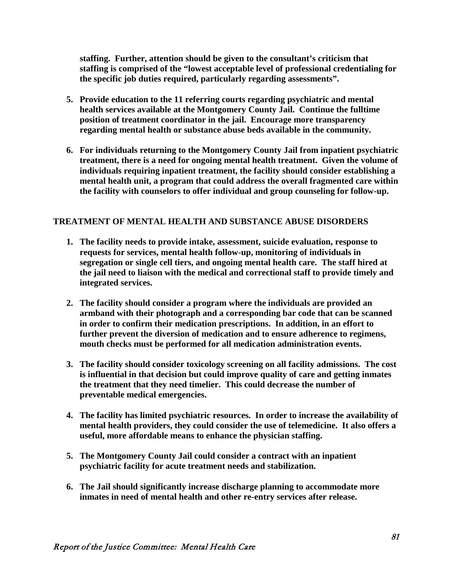**staffing. Further, attention should be given to the consultant's criticism that staffing is comprised of the "lowest acceptable level of professional credentialing for the specific job duties required, particularly regarding assessments".** 

- **5. Provide education to the 11 referring courts regarding psychiatric and mental health services available at the Montgomery County Jail. Continue the fulltime position of treatment coordinator in the jail. Encourage more transparency regarding mental health or substance abuse beds available in the community.**
- **6. For individuals returning to the Montgomery County Jail from inpatient psychiatric treatment, there is a need for ongoing mental health treatment. Given the volume of individuals requiring inpatient treatment, the facility should consider establishing a mental health unit, a program that could address the overall fragmented care within the facility with counselors to offer individual and group counseling for follow-up.**

#### **TREATMENT OF MENTAL HEALTH AND SUBSTANCE ABUSE DISORDERS**

- **1. The facility needs to provide intake, assessment, suicide evaluation, response to requests for services, mental health follow-up, monitoring of individuals in segregation or single cell tiers, and ongoing mental health care. The staff hired at the jail need to liaison with the medical and correctional staff to provide timely and integrated services.**
- **2. The facility should consider a program where the individuals are provided an armband with their photograph and a corresponding bar code that can be scanned in order to confirm their medication prescriptions. In addition, in an effort to further prevent the diversion of medication and to ensure adherence to regimens, mouth checks must be performed for all medication administration events.**
- **3. The facility should consider toxicology screening on all facility admissions. The cost is influential in that decision but could improve quality of care and getting inmates the treatment that they need timelier. This could decrease the number of preventable medical emergencies.**
- **4. The facility has limited psychiatric resources. In order to increase the availability of mental health providers, they could consider the use of telemedicine. It also offers a useful, more affordable means to enhance the physician staffing.**
- **5. The Montgomery County Jail could consider a contract with an inpatient psychiatric facility for acute treatment needs and stabilization.**
- **6. The Jail should significantly increase discharge planning to accommodate more inmates in need of mental health and other re-entry services after release.**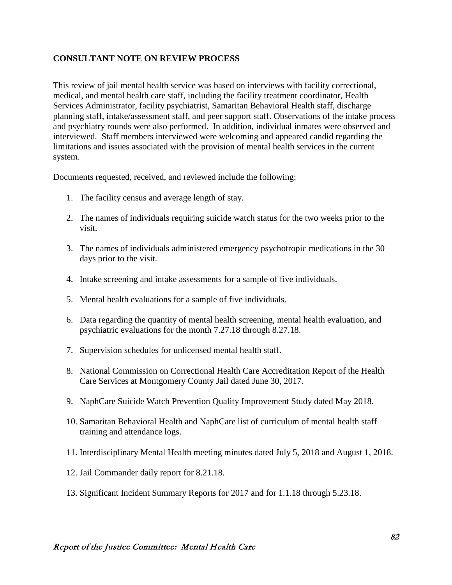#### **CONSULTANT NOTE ON REVIEW PROCESS**

This review of jail mental health service was based on interviews with facility correctional, medical, and mental health care staff, including the facility treatment coordinator, Health Services Administrator, facility psychiatrist, Samaritan Behavioral Health staff, discharge planning staff, intake/assessment staff, and peer support staff. Observations of the intake process and psychiatry rounds were also performed. In addition, individual inmates were observed and interviewed. Staff members interviewed were welcoming and appeared candid regarding the limitations and issues associated with the provision of mental health services in the current system.

Documents requested, received, and reviewed include the following:

- 1. The facility census and average length of stay.
- 2. The names of individuals requiring suicide watch status for the two weeks prior to the visit.
- 3. The names of individuals administered emergency psychotropic medications in the 30 days prior to the visit.
- 4. Intake screening and intake assessments for a sample of five individuals.
- 5. Mental health evaluations for a sample of five individuals.
- 6. Data regarding the quantity of mental health screening, mental health evaluation, and psychiatric evaluations for the month 7.27.18 through 8.27.18.
- 7. Supervision schedules for unlicensed mental health staff.
- 8. National Commission on Correctional Health Care Accreditation Report of the Health Care Services at Montgomery County Jail dated June 30, 2017.
- 9. NaphCare Suicide Watch Prevention Quality Improvement Study dated May 2018.
- 10. Samaritan Behavioral Health and NaphCare list of curriculum of mental health staff training and attendance logs.
- 11. Interdisciplinary Mental Health meeting minutes dated July 5, 2018 and August 1, 2018.
- 12. Jail Commander daily report for 8.21.18.
- 13. Significant Incident Summary Reports for 2017 and for 1.1.18 through 5.23.18.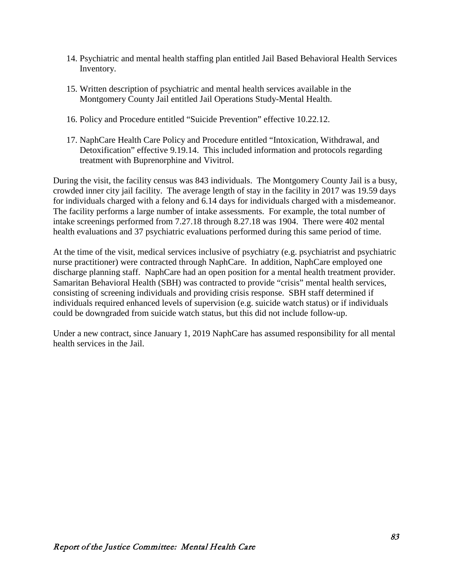- 14. Psychiatric and mental health staffing plan entitled Jail Based Behavioral Health Services Inventory.
- 15. Written description of psychiatric and mental health services available in the Montgomery County Jail entitled Jail Operations Study-Mental Health.
- 16. Policy and Procedure entitled "Suicide Prevention" effective 10.22.12.
- 17. NaphCare Health Care Policy and Procedure entitled "Intoxication, Withdrawal, and Detoxification" effective 9.19.14. This included information and protocols regarding treatment with Buprenorphine and Vivitrol.

During the visit, the facility census was 843 individuals. The Montgomery County Jail is a busy, crowded inner city jail facility. The average length of stay in the facility in 2017 was 19.59 days for individuals charged with a felony and 6.14 days for individuals charged with a misdemeanor. The facility performs a large number of intake assessments. For example, the total number of intake screenings performed from 7.27.18 through 8.27.18 was 1904. There were 402 mental health evaluations and 37 psychiatric evaluations performed during this same period of time.

At the time of the visit, medical services inclusive of psychiatry (e.g. psychiatrist and psychiatric nurse practitioner) were contracted through NaphCare. In addition, NaphCare employed one discharge planning staff. NaphCare had an open position for a mental health treatment provider. Samaritan Behavioral Health (SBH) was contracted to provide "crisis" mental health services, consisting of screening individuals and providing crisis response. SBH staff determined if individuals required enhanced levels of supervision (e.g. suicide watch status) or if individuals could be downgraded from suicide watch status, but this did not include follow-up.

Under a new contract, since January 1, 2019 NaphCare has assumed responsibility for all mental health services in the Jail.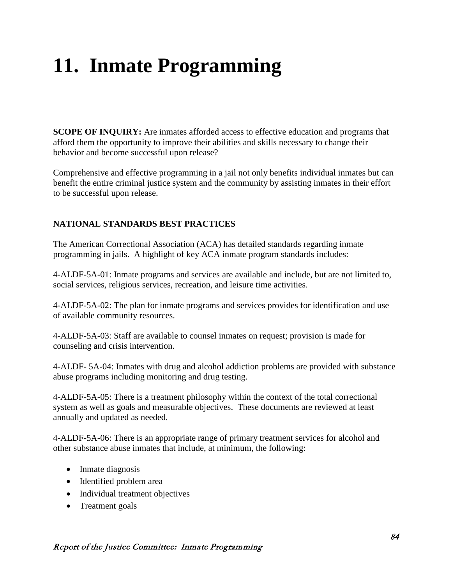# **11. Inmate Programming**

**SCOPE OF INQUIRY:** Are inmates afforded access to effective education and programs that afford them the opportunity to improve their abilities and skills necessary to change their behavior and become successful upon release?

Comprehensive and effective programming in a jail not only benefits individual inmates but can benefit the entire criminal justice system and the community by assisting inmates in their effort to be successful upon release.

#### **NATIONAL STANDARDS BEST PRACTICES**

The American Correctional Association (ACA) has detailed standards regarding inmate programming in jails. A highlight of key ACA inmate program standards includes:

4-ALDF-5A-01: Inmate programs and services are available and include, but are not limited to, social services, religious services, recreation, and leisure time activities.

4-ALDF-5A-02: The plan for inmate programs and services provides for identification and use of available community resources.

4-ALDF-5A-03: Staff are available to counsel inmates on request; provision is made for counseling and crisis intervention.

4-ALDF- 5A-04: Inmates with drug and alcohol addiction problems are provided with substance abuse programs including monitoring and drug testing.

4-ALDF-5A-05: There is a treatment philosophy within the context of the total correctional system as well as goals and measurable objectives. These documents are reviewed at least annually and updated as needed.

4-ALDF-5A-06: There is an appropriate range of primary treatment services for alcohol and other substance abuse inmates that include, at minimum, the following:

- Inmate diagnosis
- Identified problem area
- Individual treatment objectives
- Treatment goals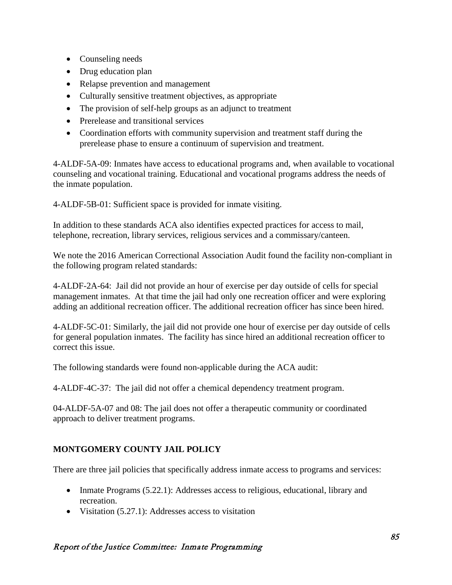- Counseling needs
- Drug education plan
- Relapse prevention and management
- Culturally sensitive treatment objectives, as appropriate
- The provision of self-help groups as an adjunct to treatment
- Prerelease and transitional services
- Coordination efforts with community supervision and treatment staff during the prerelease phase to ensure a continuum of supervision and treatment.

4-ALDF-5A-09: Inmates have access to educational programs and, when available to vocational counseling and vocational training. Educational and vocational programs address the needs of the inmate population.

4-ALDF-5B-01: Sufficient space is provided for inmate visiting.

In addition to these standards ACA also identifies expected practices for access to mail, telephone, recreation, library services, religious services and a commissary/canteen.

We note the 2016 American Correctional Association Audit found the facility non-compliant in the following program related standards:

4-ALDF-2A-64: Jail did not provide an hour of exercise per day outside of cells for special management inmates. At that time the jail had only one recreation officer and were exploring adding an additional recreation officer. The additional recreation officer has since been hired.

4-ALDF-5C-01: Similarly, the jail did not provide one hour of exercise per day outside of cells for general population inmates. The facility has since hired an additional recreation officer to correct this issue.

The following standards were found non-applicable during the ACA audit:

4-ALDF-4C-37: The jail did not offer a chemical dependency treatment program.

04-ALDF-5A-07 and 08: The jail does not offer a therapeutic community or coordinated approach to deliver treatment programs.

# **MONTGOMERY COUNTY JAIL POLICY**

There are three jail policies that specifically address inmate access to programs and services:

- Inmate Programs (5.22.1): Addresses access to religious, educational, library and recreation.
- Visitation (5.27.1): Addresses access to visitation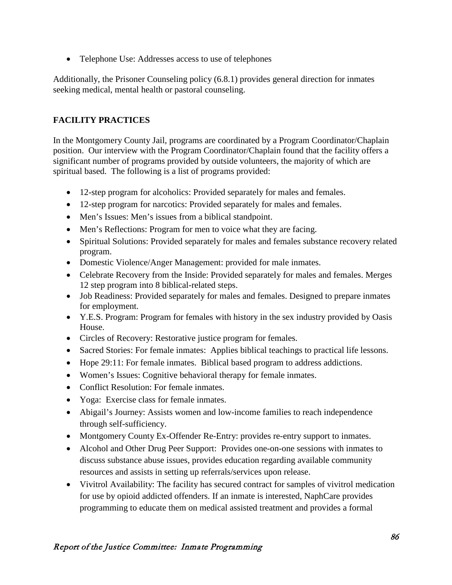• Telephone Use: Addresses access to use of telephones

Additionally, the Prisoner Counseling policy (6.8.1) provides general direction for inmates seeking medical, mental health or pastoral counseling.

# **FACILITY PRACTICES**

In the Montgomery County Jail, programs are coordinated by a Program Coordinator/Chaplain position. Our interview with the Program Coordinator/Chaplain found that the facility offers a significant number of programs provided by outside volunteers, the majority of which are spiritual based. The following is a list of programs provided:

- 12-step program for alcoholics: Provided separately for males and females.
- 12-step program for narcotics: Provided separately for males and females.
- Men's Issues: Men's issues from a biblical standpoint.
- Men's Reflections: Program for men to voice what they are facing.
- Spiritual Solutions: Provided separately for males and females substance recovery related program.
- Domestic Violence/Anger Management: provided for male inmates.
- Celebrate Recovery from the Inside: Provided separately for males and females. Merges 12 step program into 8 biblical-related steps.
- Job Readiness: Provided separately for males and females. Designed to prepare inmates for employment.
- Y.E.S. Program: Program for females with history in the sex industry provided by Oasis House.
- Circles of Recovery: Restorative justice program for females.
- Sacred Stories: For female inmates: Applies biblical teachings to practical life lessons.
- Hope 29:11: For female inmates. Biblical based program to address addictions.
- Women's Issues: Cognitive behavioral therapy for female inmates.
- Conflict Resolution: For female inmates.
- Yoga: Exercise class for female inmates.
- Abigail's Journey: Assists women and low-income families to reach independence through self-sufficiency.
- Montgomery County Ex-Offender Re-Entry: provides re-entry support to inmates.
- Alcohol and Other Drug Peer Support: Provides one-on-one sessions with inmates to discuss substance abuse issues, provides education regarding available community resources and assists in setting up referrals/services upon release.
- Vivitrol Availability: The facility has secured contract for samples of vivitrol medication for use by opioid addicted offenders. If an inmate is interested, NaphCare provides programming to educate them on medical assisted treatment and provides a formal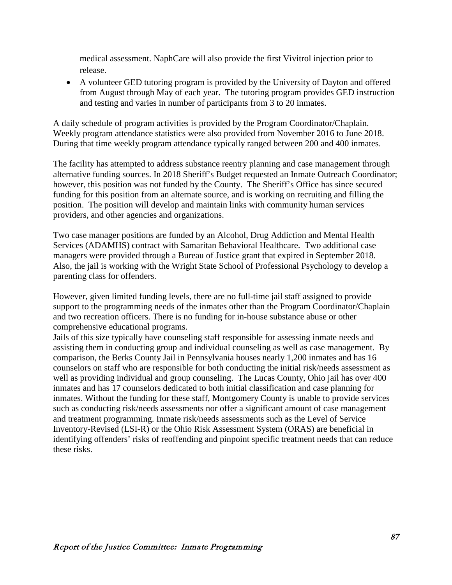medical assessment. NaphCare will also provide the first Vivitrol injection prior to release.

• A volunteer GED tutoring program is provided by the University of Dayton and offered from August through May of each year. The tutoring program provides GED instruction and testing and varies in number of participants from 3 to 20 inmates.

A daily schedule of program activities is provided by the Program Coordinator/Chaplain. Weekly program attendance statistics were also provided from November 2016 to June 2018. During that time weekly program attendance typically ranged between 200 and 400 inmates.

The facility has attempted to address substance reentry planning and case management through alternative funding sources. In 2018 Sheriff's Budget requested an Inmate Outreach Coordinator; however, this position was not funded by the County. The Sheriff's Office has since secured funding for this position from an alternate source, and is working on recruiting and filling the position. The position will develop and maintain links with community human services providers, and other agencies and organizations.

Two case manager positions are funded by an Alcohol, Drug Addiction and Mental Health Services (ADAMHS) contract with Samaritan Behavioral Healthcare. Two additional case managers were provided through a Bureau of Justice grant that expired in September 2018. Also, the jail is working with the Wright State School of Professional Psychology to develop a parenting class for offenders.

However, given limited funding levels, there are no full-time jail staff assigned to provide support to the programming needs of the inmates other than the Program Coordinator/Chaplain and two recreation officers. There is no funding for in-house substance abuse or other comprehensive educational programs.

Jails of this size typically have counseling staff responsible for assessing inmate needs and assisting them in conducting group and individual counseling as well as case management. By comparison, the Berks County Jail in Pennsylvania houses nearly 1,200 inmates and has 16 counselors on staff who are responsible for both conducting the initial risk/needs assessment as well as providing individual and group counseling. The Lucas County, Ohio jail has over 400 inmates and has 17 counselors dedicated to both initial classification and case planning for inmates. Without the funding for these staff, Montgomery County is unable to provide services such as conducting risk/needs assessments nor offer a significant amount of case management and treatment programming. Inmate risk/needs assessments such as the Level of Service Inventory-Revised (LSI-R) or the Ohio Risk Assessment System (ORAS) are beneficial in identifying offenders' risks of reoffending and pinpoint specific treatment needs that can reduce these risks.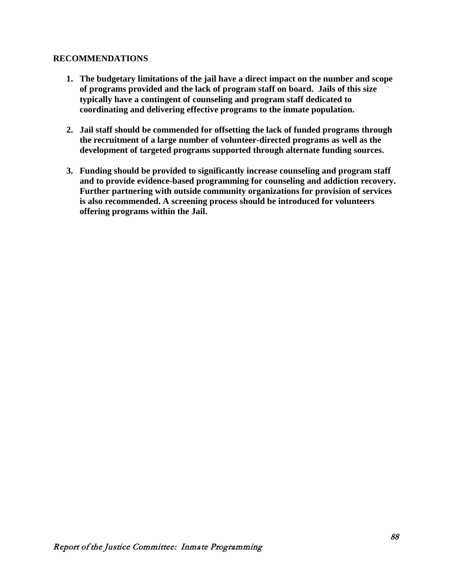#### **RECOMMENDATIONS**

- **1. The budgetary limitations of the jail have a direct impact on the number and scope of programs provided and the lack of program staff on board. Jails of this size typically have a contingent of counseling and program staff dedicated to coordinating and delivering effective programs to the inmate population.**
- **2. Jail staff should be commended for offsetting the lack of funded programs through the recruitment of a large number of volunteer-directed programs as well as the development of targeted programs supported through alternate funding sources.**
- **3. Funding should be provided to significantly increase counseling and program staff and to provide evidence-based programming for counseling and addiction recovery. Further partnering with outside community organizations for provision of services is also recommended. A screening process should be introduced for volunteers offering programs within the Jail.**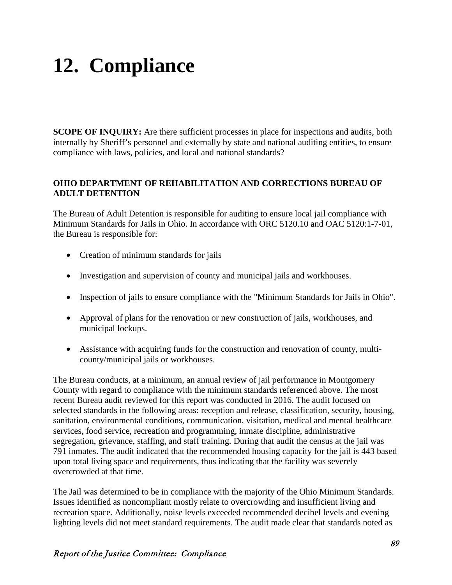# **12. Compliance**

**SCOPE OF INQUIRY:** Are there sufficient processes in place for inspections and audits, both internally by Sheriff's personnel and externally by state and national auditing entities, to ensure compliance with laws, policies, and local and national standards?

#### **OHIO DEPARTMENT OF REHABILITATION AND CORRECTIONS BUREAU OF ADULT DETENTION**

The Bureau of Adult Detention is responsible for auditing to ensure local jail compliance with Minimum Standards for Jails in Ohio. In accordance with ORC 5120.10 and OAC 5120:1-7-01, the Bureau is responsible for:

- [Creation of minimum standards for jails](http://codes.ohio.gov/oac/5120%3A1-8)
- Investigation and supervision of county and municipal jails and workhouses.
- Inspection of jails to ensure compliance with the "Minimum Standards for Jails in Ohio".
- Approval of plans for the renovation or new construction of jails, workhouses, and municipal lockups.
- Assistance with acquiring funds for the construction and renovation of county, multicounty/municipal jails or workhouses.

The Bureau conducts, at a minimum, an annual review of jail performance in Montgomery County with regard to compliance with the minimum standards referenced above. The most recent Bureau audit reviewed for this report was conducted in 2016. The audit focused on selected standards in the following areas: reception and release, classification, security, housing, sanitation, environmental conditions, communication, visitation, medical and mental healthcare services, food service, recreation and programming, inmate discipline, administrative segregation, grievance, staffing, and staff training. During that audit the census at the jail was 791 inmates. The audit indicated that the recommended housing capacity for the jail is 443 based upon total living space and requirements, thus indicating that the facility was severely overcrowded at that time.

The Jail was determined to be in compliance with the majority of the Ohio Minimum Standards. Issues identified as noncompliant mostly relate to overcrowding and insufficient living and recreation space. Additionally, noise levels exceeded recommended decibel levels and evening lighting levels did not meet standard requirements. The audit made clear that standards noted as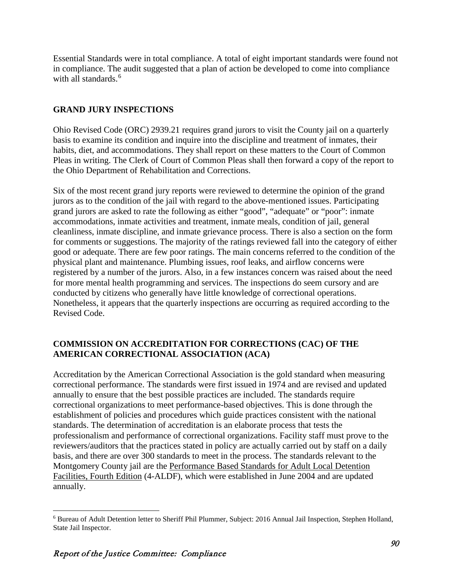Essential Standards were in total compliance. A total of eight important standards were found not in compliance. The audit suggested that a plan of action be developed to come into compliance with all standards.<sup>[6](#page-96-0)</sup>

## **GRAND JURY INSPECTIONS**

Ohio Revised Code (ORC) 2939.21 requires grand jurors to visit the County jail on a quarterly basis to examine its condition and inquire into the discipline and treatment of inmates, their habits, diet, and accommodations. They shall report on these matters to the Court of Common Pleas in writing. The Clerk of Court of Common Pleas shall then forward a copy of the report to the Ohio Department of Rehabilitation and Corrections.

Six of the most recent grand jury reports were reviewed to determine the opinion of the grand jurors as to the condition of the jail with regard to the above-mentioned issues. Participating grand jurors are asked to rate the following as either "good", "adequate" or "poor": inmate accommodations, inmate activities and treatment, inmate meals, condition of jail, general cleanliness, inmate discipline, and inmate grievance process. There is also a section on the form for comments or suggestions. The majority of the ratings reviewed fall into the category of either good or adequate. There are few poor ratings. The main concerns referred to the condition of the physical plant and maintenance. Plumbing issues, roof leaks, and airflow concerns were registered by a number of the jurors. Also, in a few instances concern was raised about the need for more mental health programming and services. The inspections do seem cursory and are conducted by citizens who generally have little knowledge of correctional operations. Nonetheless, it appears that the quarterly inspections are occurring as required according to the Revised Code.

## **COMMISSION ON ACCREDITATION FOR CORRECTIONS (CAC) OF THE AMERICAN CORRECTIONAL ASSOCIATION (ACA)**

Accreditation by the American Correctional Association is the gold standard when measuring correctional performance. The standards were first issued in 1974 and are revised and updated annually to ensure that the best possible practices are included. The standards require correctional organizations to meet performance-based objectives. This is done through the establishment of policies and procedures which guide practices consistent with the national standards. The determination of accreditation is an elaborate process that tests the professionalism and performance of correctional organizations. Facility staff must prove to the reviewers/auditors that the practices stated in policy are actually carried out by staff on a daily basis, and there are over 300 standards to meet in the process. The standards relevant to the Montgomery County jail are the Performance Based Standards for Adult Local Detention Facilities, Fourth Edition (4-ALDF), which were established in June 2004 and are updated annually.

<span id="page-96-0"></span> <sup>6</sup> Bureau of Adult Detention letter to Sheriff Phil Plummer, Subject: 2016 Annual Jail Inspection, Stephen Holland, State Jail Inspector.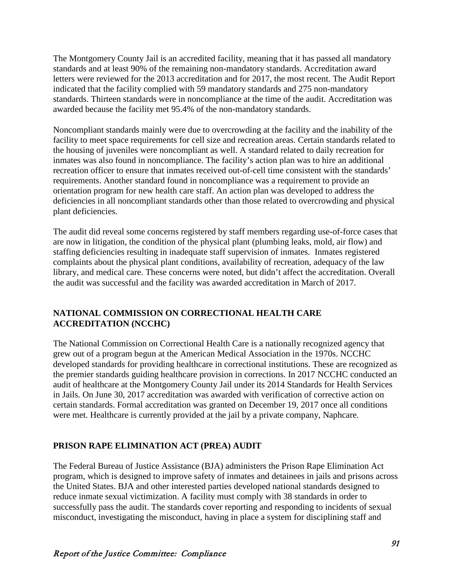The Montgomery County Jail is an accredited facility, meaning that it has passed all mandatory standards and at least 90% of the remaining non-mandatory standards. Accreditation award letters were reviewed for the 2013 accreditation and for 2017, the most recent. The Audit Report indicated that the facility complied with 59 mandatory standards and 275 non-mandatory standards. Thirteen standards were in noncompliance at the time of the audit. Accreditation was awarded because the facility met 95.4% of the non-mandatory standards.

Noncompliant standards mainly were due to overcrowding at the facility and the inability of the facility to meet space requirements for cell size and recreation areas. Certain standards related to the housing of juveniles were noncompliant as well. A standard related to daily recreation for inmates was also found in noncompliance. The facility's action plan was to hire an additional recreation officer to ensure that inmates received out-of-cell time consistent with the standards' requirements. Another standard found in noncompliance was a requirement to provide an orientation program for new health care staff. An action plan was developed to address the deficiencies in all noncompliant standards other than those related to overcrowding and physical plant deficiencies.

The audit did reveal some concerns registered by staff members regarding use-of-force cases that are now in litigation, the condition of the physical plant (plumbing leaks, mold, air flow) and staffing deficiencies resulting in inadequate staff supervision of inmates. Inmates registered complaints about the physical plant conditions, availability of recreation, adequacy of the law library, and medical care. These concerns were noted, but didn't affect the accreditation. Overall the audit was successful and the facility was awarded accreditation in March of 2017.

## **NATIONAL COMMISSION ON CORRECTIONAL HEALTH CARE ACCREDITATION (NCCHC)**

The National Commission on Correctional Health Care is a nationally recognized agency that grew out of a program begun at the American Medical Association in the 1970s. NCCHC developed standards for providing healthcare in correctional institutions. These are recognized as the premier standards guiding healthcare provision in corrections. In 2017 NCCHC conducted an audit of healthcare at the Montgomery County Jail under its 2014 Standards for Health Services in Jails. On June 30, 2017 accreditation was awarded with verification of corrective action on certain standards. Formal accreditation was granted on December 19, 2017 once all conditions were met. Healthcare is currently provided at the jail by a private company, Naphcare.

#### **PRISON RAPE ELIMINATION ACT (PREA) AUDIT**

The Federal Bureau of Justice Assistance (BJA) administers the Prison Rape Elimination Act program, which is designed to improve safety of inmates and detainees in jails and prisons across the United States. BJA and other interested parties developed national standards designed to reduce inmate sexual victimization. A facility must comply with 38 standards in order to successfully pass the audit. The standards cover reporting and responding to incidents of sexual misconduct, investigating the misconduct, having in place a system for disciplining staff and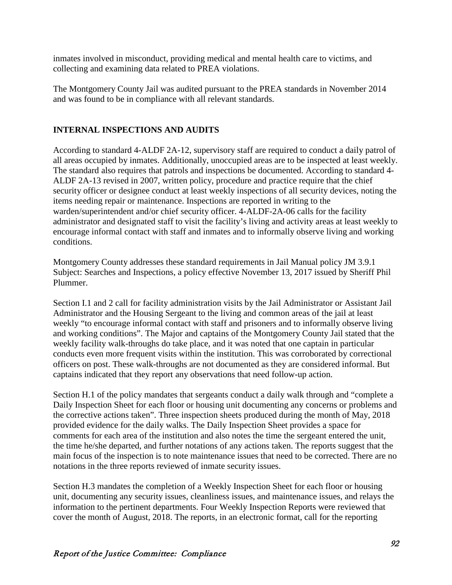inmates involved in misconduct, providing medical and mental health care to victims, and collecting and examining data related to PREA violations.

The Montgomery County Jail was audited pursuant to the PREA standards in November 2014 and was found to be in compliance with all relevant standards.

## **INTERNAL INSPECTIONS AND AUDITS**

According to standard 4-ALDF 2A-12, supervisory staff are required to conduct a daily patrol of all areas occupied by inmates. Additionally, unoccupied areas are to be inspected at least weekly. The standard also requires that patrols and inspections be documented. According to standard 4- ALDF 2A-13 revised in 2007, written policy, procedure and practice require that the chief security officer or designee conduct at least weekly inspections of all security devices, noting the items needing repair or maintenance. Inspections are reported in writing to the warden/superintendent and/or chief security officer. 4-ALDF-2A-06 calls for the facility administrator and designated staff to visit the facility's living and activity areas at least weekly to encourage informal contact with staff and inmates and to informally observe living and working conditions.

Montgomery County addresses these standard requirements in Jail Manual policy JM 3.9.1 Subject: Searches and Inspections, a policy effective November 13, 2017 issued by Sheriff Phil Plummer.

Section I.1 and 2 call for facility administration visits by the Jail Administrator or Assistant Jail Administrator and the Housing Sergeant to the living and common areas of the jail at least weekly "to encourage informal contact with staff and prisoners and to informally observe living and working conditions". The Major and captains of the Montgomery County Jail stated that the weekly facility walk-throughs do take place, and it was noted that one captain in particular conducts even more frequent visits within the institution. This was corroborated by correctional officers on post. These walk-throughs are not documented as they are considered informal. But captains indicated that they report any observations that need follow-up action.

Section H.1 of the policy mandates that sergeants conduct a daily walk through and "complete a Daily Inspection Sheet for each floor or housing unit documenting any concerns or problems and the corrective actions taken". Three inspection sheets produced during the month of May, 2018 provided evidence for the daily walks. The Daily Inspection Sheet provides a space for comments for each area of the institution and also notes the time the sergeant entered the unit, the time he/she departed, and further notations of any actions taken. The reports suggest that the main focus of the inspection is to note maintenance issues that need to be corrected. There are no notations in the three reports reviewed of inmate security issues.

Section H.3 mandates the completion of a Weekly Inspection Sheet for each floor or housing unit, documenting any security issues, cleanliness issues, and maintenance issues, and relays the information to the pertinent departments. Four Weekly Inspection Reports were reviewed that cover the month of August, 2018. The reports, in an electronic format, call for the reporting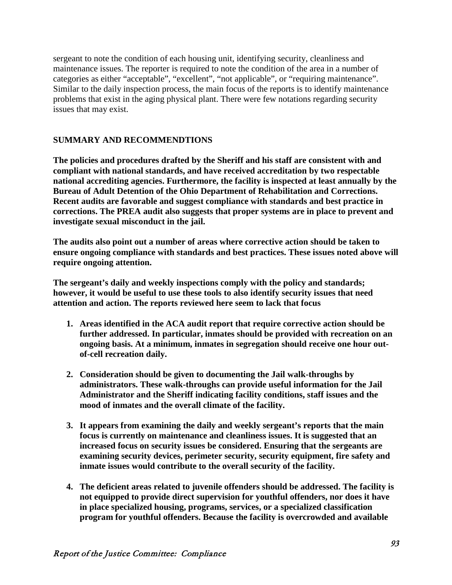sergeant to note the condition of each housing unit, identifying security, cleanliness and maintenance issues. The reporter is required to note the condition of the area in a number of categories as either "acceptable", "excellent", "not applicable", or "requiring maintenance". Similar to the daily inspection process, the main focus of the reports is to identify maintenance problems that exist in the aging physical plant. There were few notations regarding security issues that may exist.

#### **SUMMARY AND RECOMMENDTIONS**

**The policies and procedures drafted by the Sheriff and his staff are consistent with and compliant with national standards, and have received accreditation by two respectable national accrediting agencies. Furthermore, the facility is inspected at least annually by the Bureau of Adult Detention of the Ohio Department of Rehabilitation and Corrections. Recent audits are favorable and suggest compliance with standards and best practice in corrections. The PREA audit also suggests that proper systems are in place to prevent and investigate sexual misconduct in the jail.**

**The audits also point out a number of areas where corrective action should be taken to ensure ongoing compliance with standards and best practices. These issues noted above will require ongoing attention.**

**The sergeant's daily and weekly inspections comply with the policy and standards; however, it would be useful to use these tools to also identify security issues that need attention and action. The reports reviewed here seem to lack that focus**

- **1. Areas identified in the ACA audit report that require corrective action should be further addressed. In particular, inmates should be provided with recreation on an ongoing basis. At a minimum, inmates in segregation should receive one hour outof-cell recreation daily.**
- **2. Consideration should be given to documenting the Jail walk-throughs by administrators. These walk-throughs can provide useful information for the Jail Administrator and the Sheriff indicating facility conditions, staff issues and the mood of inmates and the overall climate of the facility.**
- **3. It appears from examining the daily and weekly sergeant's reports that the main focus is currently on maintenance and cleanliness issues. It is suggested that an increased focus on security issues be considered. Ensuring that the sergeants are examining security devices, perimeter security, security equipment, fire safety and inmate issues would contribute to the overall security of the facility.**
- **4. The deficient areas related to juvenile offenders should be addressed. The facility is not equipped to provide direct supervision for youthful offenders, nor does it have in place specialized housing, programs, services, or a specialized classification program for youthful offenders. Because the facility is overcrowded and available**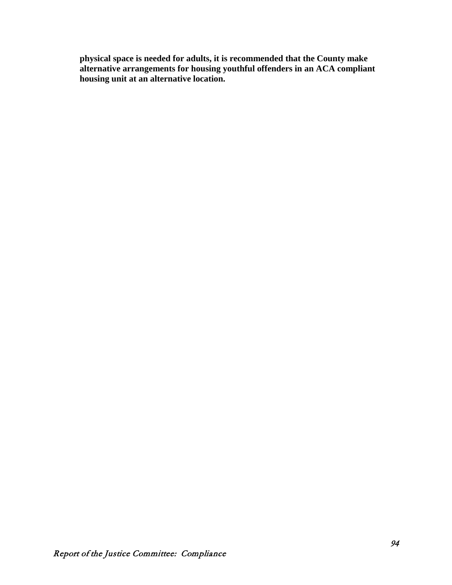**physical space is needed for adults, it is recommended that the County make alternative arrangements for housing youthful offenders in an ACA compliant housing unit at an alternative location.**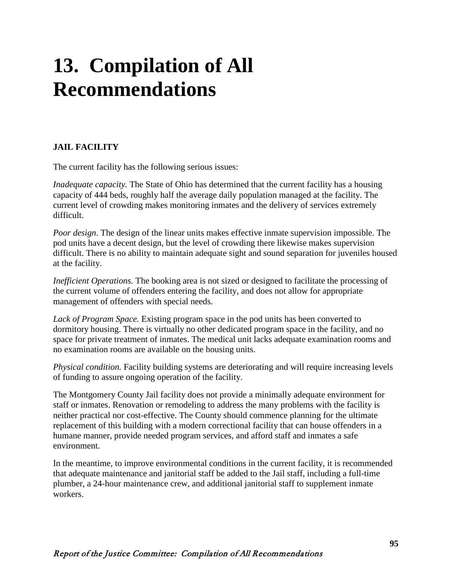# **13. Compilation of All Recommendations**

# **JAIL FACILITY**

The current facility has the following serious issues:

*Inadequate capacity.* The State of Ohio has determined that the current facility has a housing capacity of 444 beds, roughly half the average daily population managed at the facility. The current level of crowding makes monitoring inmates and the delivery of services extremely difficult.

*Poor design*. The design of the linear units makes effective inmate supervision impossible. The pod units have a decent design, but the level of crowding there likewise makes supervision difficult. There is no ability to maintain adequate sight and sound separation for juveniles housed at the facility.

*Inefficient Operations.* The booking area is not sized or designed to facilitate the processing of the current volume of offenders entering the facility, and does not allow for appropriate management of offenders with special needs.

*Lack of Program Space.* Existing program space in the pod units has been converted to dormitory housing. There is virtually no other dedicated program space in the facility, and no space for private treatment of inmates. The medical unit lacks adequate examination rooms and no examination rooms are available on the housing units.

*Physical condition.* Facility building systems are deteriorating and will require increasing levels of funding to assure ongoing operation of the facility.

The Montgomery County Jail facility does not provide a minimally adequate environment for staff or inmates. Renovation or remodeling to address the many problems with the facility is neither practical nor cost-effective. The County should commence planning for the ultimate replacement of this building with a modern correctional facility that can house offenders in a humane manner, provide needed program services, and afford staff and inmates a safe environment.

In the meantime, to improve environmental conditions in the current facility, it is recommended that adequate maintenance and janitorial staff be added to the Jail staff, including a full-time plumber, a 24-hour maintenance crew, and additional janitorial staff to supplement inmate workers.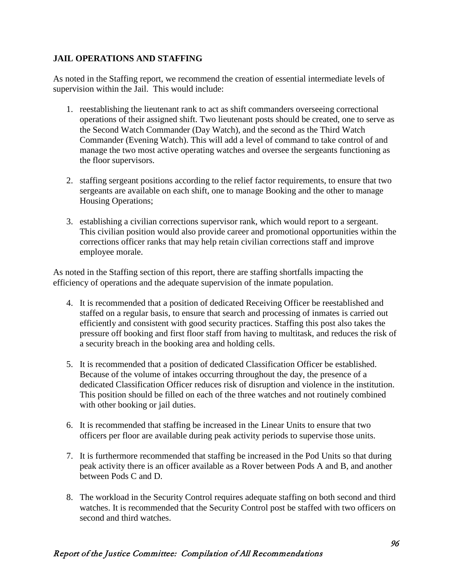#### **JAIL OPERATIONS AND STAFFING**

As noted in the Staffing report, we recommend the creation of essential intermediate levels of supervision within the Jail. This would include:

- 1. reestablishing the lieutenant rank to act as shift commanders overseeing correctional operations of their assigned shift. Two lieutenant posts should be created, one to serve as the Second Watch Commander (Day Watch), and the second as the Third Watch Commander (Evening Watch). This will add a level of command to take control of and manage the two most active operating watches and oversee the sergeants functioning as the floor supervisors.
- 2. staffing sergeant positions according to the relief factor requirements, to ensure that two sergeants are available on each shift, one to manage Booking and the other to manage Housing Operations;
- 3. establishing a civilian corrections supervisor rank, which would report to a sergeant. This civilian position would also provide career and promotional opportunities within the corrections officer ranks that may help retain civilian corrections staff and improve employee morale.

As noted in the Staffing section of this report, there are staffing shortfalls impacting the efficiency of operations and the adequate supervision of the inmate population.

- 4. It is recommended that a position of dedicated Receiving Officer be reestablished and staffed on a regular basis, to ensure that search and processing of inmates is carried out efficiently and consistent with good security practices. Staffing this post also takes the pressure off booking and first floor staff from having to multitask, and reduces the risk of a security breach in the booking area and holding cells.
- 5. It is recommended that a position of dedicated Classification Officer be established. Because of the volume of intakes occurring throughout the day, the presence of a dedicated Classification Officer reduces risk of disruption and violence in the institution. This position should be filled on each of the three watches and not routinely combined with other booking or jail duties.
- 6. It is recommended that staffing be increased in the Linear Units to ensure that two officers per floor are available during peak activity periods to supervise those units.
- 7. It is furthermore recommended that staffing be increased in the Pod Units so that during peak activity there is an officer available as a Rover between Pods A and B, and another between Pods C and D.
- 8. The workload in the Security Control requires adequate staffing on both second and third watches. It is recommended that the Security Control post be staffed with two officers on second and third watches.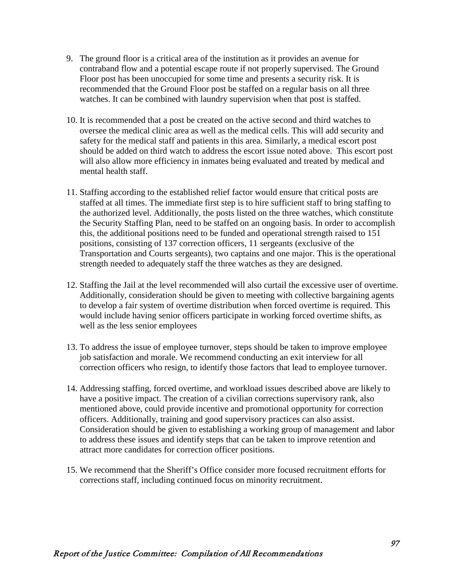- 9. The ground floor is a critical area of the institution as it provides an avenue for contraband flow and a potential escape route if not properly supervised. The Ground Floor post has been unoccupied for some time and presents a security risk. It is recommended that the Ground Floor post be staffed on a regular basis on all three watches. It can be combined with laundry supervision when that post is staffed.
- 10. It is recommended that a post be created on the active second and third watches to oversee the medical clinic area as well as the medical cells. This will add security and safety for the medical staff and patients in this area. Similarly, a medical escort post should be added on third watch to address the escort issue noted above. This escort post will also allow more efficiency in inmates being evaluated and treated by medical and mental health staff.
- 11. Staffing according to the established relief factor would ensure that critical posts are staffed at all times. The immediate first step is to hire sufficient staff to bring staffing to the authorized level. Additionally, the posts listed on the three watches, which constitute the Security Staffing Plan, need to be staffed on an ongoing basis. In order to accomplish this, the additional positions need to be funded and operational strength raised to 151 positions, consisting of 137 correction officers, 11 sergeants (exclusive of the Transportation and Courts sergeants), two captains and one major. This is the operational strength needed to adequately staff the three watches as they are designed.
- 12. Staffing the Jail at the level recommended will also curtail the excessive user of overtime. Additionally, consideration should be given to meeting with collective bargaining agents to develop a fair system of overtime distribution when forced overtime is required. This would include having senior officers participate in working forced overtime shifts, as well as the less senior employees
- 13. To address the issue of employee turnover, steps should be taken to improve employee job satisfaction and morale. We recommend conducting an exit interview for all correction officers who resign, to identify those factors that lead to employee turnover.
- 14. Addressing staffing, forced overtime, and workload issues described above are likely to have a positive impact. The creation of a civilian corrections supervisory rank, also mentioned above, could provide incentive and promotional opportunity for correction officers. Additionally, training and good supervisory practices can also assist. Consideration should be given to establishing a working group of management and labor to address these issues and identify steps that can be taken to improve retention and attract more candidates for correction officer positions.
- 15. We recommend that the Sheriff's Office consider more focused recruitment efforts for corrections staff, including continued focus on minority recruitment.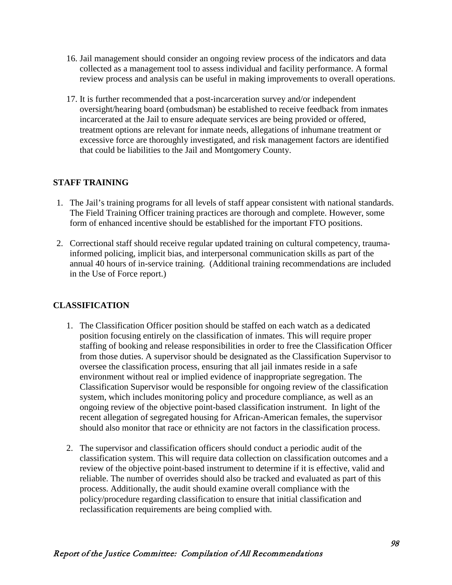- 16. Jail management should consider an ongoing review process of the indicators and data collected as a management tool to assess individual and facility performance. A formal review process and analysis can be useful in making improvements to overall operations.
- 17. It is further recommended that a post-incarceration survey and/or independent oversight/hearing board (ombudsman) be established to receive feedback from inmates incarcerated at the Jail to ensure adequate services are being provided or offered, treatment options are relevant for inmate needs, allegations of inhumane treatment or excessive force are thoroughly investigated, and risk management factors are identified that could be liabilities to the Jail and Montgomery County.

#### **STAFF TRAINING**

- 1. The Jail's training programs for all levels of staff appear consistent with national standards. The Field Training Officer training practices are thorough and complete. However, some form of enhanced incentive should be established for the important FTO positions.
- 2. Correctional staff should receive regular updated training on cultural competency, traumainformed policing, implicit bias, and interpersonal communication skills as part of the annual 40 hours of in-service training. (Additional training recommendations are included in the Use of Force report.)

#### **CLASSIFICATION**

- 1. The Classification Officer position should be staffed on each watch as a dedicated position focusing entirely on the classification of inmates. This will require proper staffing of booking and release responsibilities in order to free the Classification Officer from those duties. A supervisor should be designated as the Classification Supervisor to oversee the classification process, ensuring that all jail inmates reside in a safe environment without real or implied evidence of inappropriate segregation. The Classification Supervisor would be responsible for ongoing review of the classification system, which includes monitoring policy and procedure compliance, as well as an ongoing review of the objective point-based classification instrument. In light of the recent allegation of segregated housing for African-American females, the supervisor should also monitor that race or ethnicity are not factors in the classification process.
- 2. The supervisor and classification officers should conduct a periodic audit of the classification system. This will require data collection on classification outcomes and a review of the objective point-based instrument to determine if it is effective, valid and reliable. The number of overrides should also be tracked and evaluated as part of this process. Additionally, the audit should examine overall compliance with the policy/procedure regarding classification to ensure that initial classification and reclassification requirements are being complied with.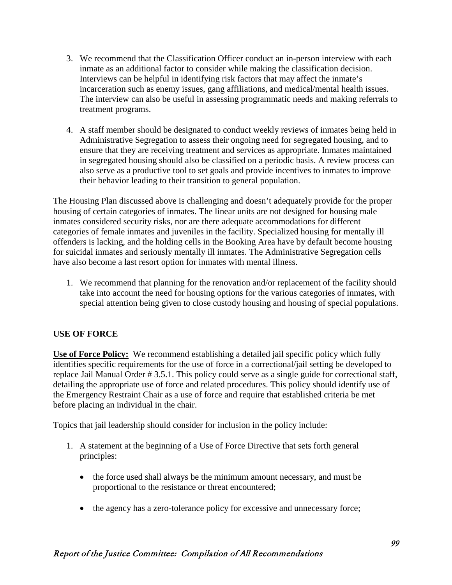- 3. We recommend that the Classification Officer conduct an in-person interview with each inmate as an additional factor to consider while making the classification decision. Interviews can be helpful in identifying risk factors that may affect the inmate's incarceration such as enemy issues, gang affiliations, and medical/mental health issues. The interview can also be useful in assessing programmatic needs and making referrals to treatment programs.
- 4. A staff member should be designated to conduct weekly reviews of inmates being held in Administrative Segregation to assess their ongoing need for segregated housing, and to ensure that they are receiving treatment and services as appropriate. Inmates maintained in segregated housing should also be classified on a periodic basis. A review process can also serve as a productive tool to set goals and provide incentives to inmates to improve their behavior leading to their transition to general population.

The Housing Plan discussed above is challenging and doesn't adequately provide for the proper housing of certain categories of inmates. The linear units are not designed for housing male inmates considered security risks, nor are there adequate accommodations for different categories of female inmates and juveniles in the facility. Specialized housing for mentally ill offenders is lacking, and the holding cells in the Booking Area have by default become housing for suicidal inmates and seriously mentally ill inmates. The Administrative Segregation cells have also become a last resort option for inmates with mental illness.

1. We recommend that planning for the renovation and/or replacement of the facility should take into account the need for housing options for the various categories of inmates, with special attention being given to close custody housing and housing of special populations.

# **USE OF FORCE**

**Use of Force Policy:** We recommend establishing a detailed jail specific policy which fully identifies specific requirements for the use of force in a correctional/jail setting be developed to replace Jail Manual Order # 3.5.1. This policy could serve as a single guide for correctional staff, detailing the appropriate use of force and related procedures. This policy should identify use of the Emergency Restraint Chair as a use of force and require that established criteria be met before placing an individual in the chair.

Topics that jail leadership should consider for inclusion in the policy include:

- 1. A statement at the beginning of a Use of Force Directive that sets forth general principles:
	- the force used shall always be the minimum amount necessary, and must be proportional to the resistance or threat encountered;
	- the agency has a zero-tolerance policy for excessive and unnecessary force;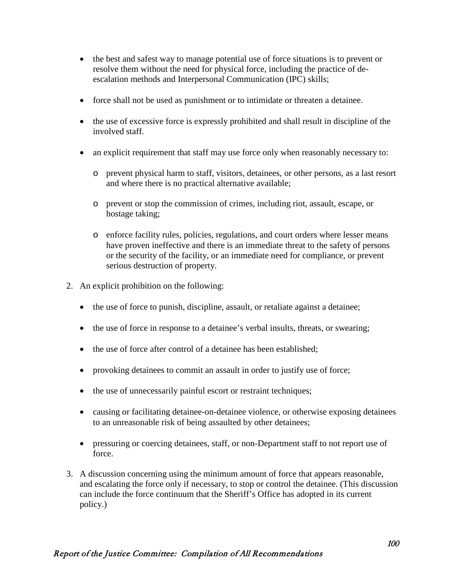- the best and safest way to manage potential use of force situations is to prevent or resolve them without the need for physical force, including the practice of deescalation methods and Interpersonal Communication (IPC) skills;
- force shall not be used as punishment or to intimidate or threaten a detainee.
- the use of excessive force is expressly prohibited and shall result in discipline of the involved staff.
- an explicit requirement that staff may use force only when reasonably necessary to:
	- o prevent physical harm to staff, visitors, detainees, or other persons, as a last resort and where there is no practical alternative available;
	- o prevent or stop the commission of crimes, including riot, assault, escape, or hostage taking;
	- o enforce facility rules, policies, regulations, and court orders where lesser means have proven ineffective and there is an immediate threat to the safety of persons or the security of the facility, or an immediate need for compliance, or prevent serious destruction of property.
- 2. An explicit prohibition on the following:
	- the use of force to punish, discipline, assault, or retaliate against a detainee;
	- the use of force in response to a detainee's verbal insults, threats, or swearing;
	- the use of force after control of a detainee has been established:
	- provoking detainees to commit an assault in order to justify use of force;
	- the use of unnecessarily painful escort or restraint techniques;
	- causing or facilitating detainee-on-detainee violence, or otherwise exposing detainees to an unreasonable risk of being assaulted by other detainees;
	- pressuring or coercing detainees, staff, or non-Department staff to not report use of force.
- 3. A discussion concerning using the minimum amount of force that appears reasonable, and escalating the force only if necessary, to stop or control the detainee. (This discussion can include the force continuum that the Sheriff's Office has adopted in its current policy.)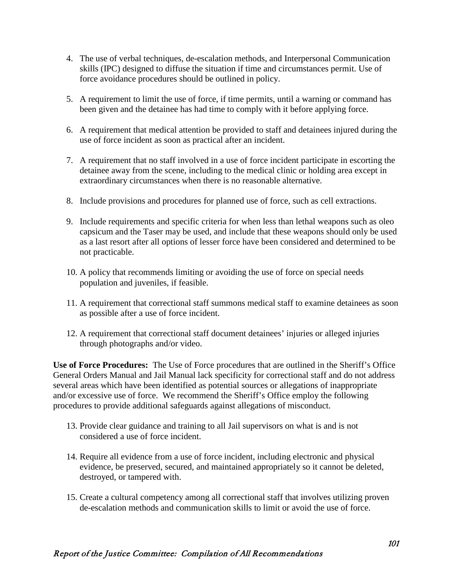- 4. The use of verbal techniques, de-escalation methods, and Interpersonal Communication skills (IPC) designed to diffuse the situation if time and circumstances permit. Use of force avoidance procedures should be outlined in policy.
- 5. A requirement to limit the use of force, if time permits, until a warning or command has been given and the detainee has had time to comply with it before applying force.
- 6. A requirement that medical attention be provided to staff and detainees injured during the use of force incident as soon as practical after an incident.
- 7. A requirement that no staff involved in a use of force incident participate in escorting the detainee away from the scene, including to the medical clinic or holding area except in extraordinary circumstances when there is no reasonable alternative.
- 8. Include provisions and procedures for planned use of force, such as cell extractions.
- 9. Include requirements and specific criteria for when less than lethal weapons such as oleo capsicum and the Taser may be used, and include that these weapons should only be used as a last resort after all options of lesser force have been considered and determined to be not practicable.
- 10. A policy that recommends limiting or avoiding the use of force on special needs population and juveniles, if feasible.
- 11. A requirement that correctional staff summons medical staff to examine detainees as soon as possible after a use of force incident.
- 12. A requirement that correctional staff document detainees' injuries or alleged injuries through photographs and/or video.

**Use of Force Procedures:** The Use of Force procedures that are outlined in the Sheriff's Office General Orders Manual and Jail Manual lack specificity for correctional staff and do not address several areas which have been identified as potential sources or allegations of inappropriate and/or excessive use of force. We recommend the Sheriff's Office employ the following procedures to provide additional safeguards against allegations of misconduct.

- 13. Provide clear guidance and training to all Jail supervisors on what is and is not considered a use of force incident.
- 14. Require all evidence from a use of force incident, including electronic and physical evidence, be preserved, secured, and maintained appropriately so it cannot be deleted, destroyed, or tampered with.
- 15. Create a cultural competency among all correctional staff that involves utilizing proven de-escalation methods and communication skills to limit or avoid the use of force.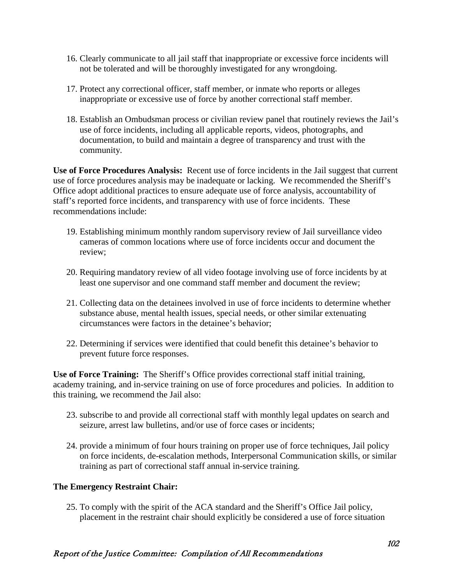- 16. Clearly communicate to all jail staff that inappropriate or excessive force incidents will not be tolerated and will be thoroughly investigated for any wrongdoing.
- 17. Protect any correctional officer, staff member, or inmate who reports or alleges inappropriate or excessive use of force by another correctional staff member.
- 18. Establish an Ombudsman process or civilian review panel that routinely reviews the Jail's use of force incidents, including all applicable reports, videos, photographs, and documentation, to build and maintain a degree of transparency and trust with the community.

**Use of Force Procedures Analysis:** Recent use of force incidents in the Jail suggest that current use of force procedures analysis may be inadequate or lacking. We recommended the Sheriff's Office adopt additional practices to ensure adequate use of force analysis, accountability of staff's reported force incidents, and transparency with use of force incidents. These recommendations include:

- 19. Establishing minimum monthly random supervisory review of Jail surveillance video cameras of common locations where use of force incidents occur and document the review;
- 20. Requiring mandatory review of all video footage involving use of force incidents by at least one supervisor and one command staff member and document the review;
- 21. Collecting data on the detainees involved in use of force incidents to determine whether substance abuse, mental health issues, special needs, or other similar extenuating circumstances were factors in the detainee's behavior;
- 22. Determining if services were identified that could benefit this detainee's behavior to prevent future force responses.

**Use of Force Training:** The Sheriff's Office provides correctional staff initial training, academy training, and in-service training on use of force procedures and policies. In addition to this training, we recommend the Jail also:

- 23. subscribe to and provide all correctional staff with monthly legal updates on search and seizure, arrest law bulletins, and/or use of force cases or incidents;
- 24. provide a minimum of four hours training on proper use of force techniques, Jail policy on force incidents, de-escalation methods, Interpersonal Communication skills, or similar training as part of correctional staff annual in-service training.

#### **The Emergency Restraint Chair:**

25. To comply with the spirit of the ACA standard and the Sheriff's Office Jail policy, placement in the restraint chair should explicitly be considered a use of force situation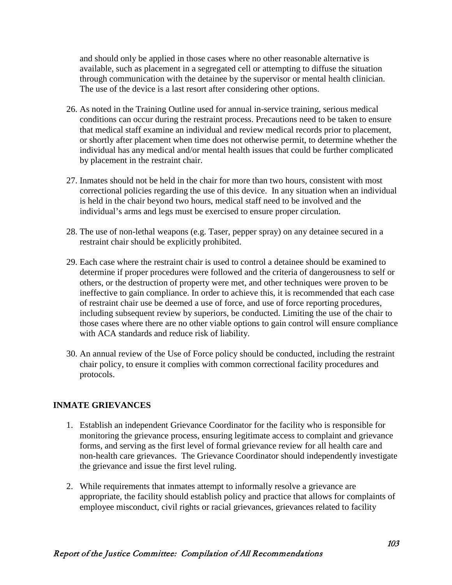and should only be applied in those cases where no other reasonable alternative is available, such as placement in a segregated cell or attempting to diffuse the situation through communication with the detainee by the supervisor or mental health clinician. The use of the device is a last resort after considering other options.

- 26. As noted in the Training Outline used for annual in-service training, serious medical conditions can occur during the restraint process. Precautions need to be taken to ensure that medical staff examine an individual and review medical records prior to placement, or shortly after placement when time does not otherwise permit, to determine whether the individual has any medical and/or mental health issues that could be further complicated by placement in the restraint chair.
- 27. Inmates should not be held in the chair for more than two hours, consistent with most correctional policies regarding the use of this device. In any situation when an individual is held in the chair beyond two hours, medical staff need to be involved and the individual's arms and legs must be exercised to ensure proper circulation.
- 28. The use of non-lethal weapons (e.g. Taser, pepper spray) on any detainee secured in a restraint chair should be explicitly prohibited.
- 29. Each case where the restraint chair is used to control a detainee should be examined to determine if proper procedures were followed and the criteria of dangerousness to self or others, or the destruction of property were met, and other techniques were proven to be ineffective to gain compliance. In order to achieve this, it is recommended that each case of restraint chair use be deemed a use of force, and use of force reporting procedures, including subsequent review by superiors, be conducted. Limiting the use of the chair to those cases where there are no other viable options to gain control will ensure compliance with ACA standards and reduce risk of liability.
- 30. An annual review of the Use of Force policy should be conducted, including the restraint chair policy, to ensure it complies with common correctional facility procedures and protocols.

#### **INMATE GRIEVANCES**

- 1. Establish an independent Grievance Coordinator for the facility who is responsible for monitoring the grievance process, ensuring legitimate access to complaint and grievance forms, and serving as the first level of formal grievance review for all health care and non-health care grievances. The Grievance Coordinator should independently investigate the grievance and issue the first level ruling.
- 2. While requirements that inmates attempt to informally resolve a grievance are appropriate, the facility should establish policy and practice that allows for complaints of employee misconduct, civil rights or racial grievances, grievances related to facility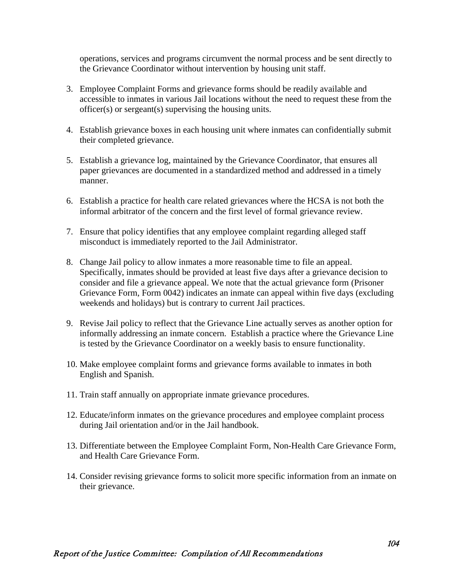operations, services and programs circumvent the normal process and be sent directly to the Grievance Coordinator without intervention by housing unit staff.

- 3. Employee Complaint Forms and grievance forms should be readily available and accessible to inmates in various Jail locations without the need to request these from the officer(s) or sergeant(s) supervising the housing units.
- 4. Establish grievance boxes in each housing unit where inmates can confidentially submit their completed grievance.
- 5. Establish a grievance log, maintained by the Grievance Coordinator, that ensures all paper grievances are documented in a standardized method and addressed in a timely manner.
- 6. Establish a practice for health care related grievances where the HCSA is not both the informal arbitrator of the concern and the first level of formal grievance review.
- 7. Ensure that policy identifies that any employee complaint regarding alleged staff misconduct is immediately reported to the Jail Administrator.
- 8. Change Jail policy to allow inmates a more reasonable time to file an appeal. Specifically, inmates should be provided at least five days after a grievance decision to consider and file a grievance appeal. We note that the actual grievance form (Prisoner Grievance Form, Form 0042) indicates an inmate can appeal within five days (excluding weekends and holidays) but is contrary to current Jail practices.
- 9. Revise Jail policy to reflect that the Grievance Line actually serves as another option for informally addressing an inmate concern. Establish a practice where the Grievance Line is tested by the Grievance Coordinator on a weekly basis to ensure functionality.
- 10. Make employee complaint forms and grievance forms available to inmates in both English and Spanish.
- 11. Train staff annually on appropriate inmate grievance procedures.
- 12. Educate/inform inmates on the grievance procedures and employee complaint process during Jail orientation and/or in the Jail handbook.
- 13. Differentiate between the Employee Complaint Form, Non-Health Care Grievance Form, and Health Care Grievance Form.
- 14. Consider revising grievance forms to solicit more specific information from an inmate on their grievance.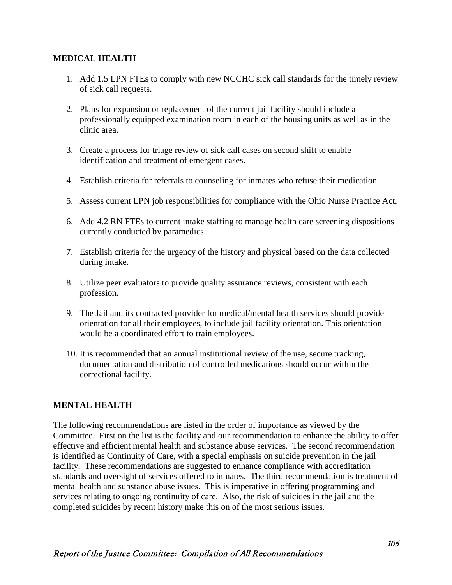#### **MEDICAL HEALTH**

- 1. Add 1.5 LPN FTEs to comply with new NCCHC sick call standards for the timely review of sick call requests.
- 2. Plans for expansion or replacement of the current jail facility should include a professionally equipped examination room in each of the housing units as well as in the clinic area.
- 3. Create a process for triage review of sick call cases on second shift to enable identification and treatment of emergent cases.
- 4. Establish criteria for referrals to counseling for inmates who refuse their medication.
- 5. Assess current LPN job responsibilities for compliance with the Ohio Nurse Practice Act.
- 6. Add 4.2 RN FTEs to current intake staffing to manage health care screening dispositions currently conducted by paramedics.
- 7. Establish criteria for the urgency of the history and physical based on the data collected during intake.
- 8. Utilize peer evaluators to provide quality assurance reviews, consistent with each profession.
- 9. The Jail and its contracted provider for medical/mental health services should provide orientation for all their employees, to include jail facility orientation. This orientation would be a coordinated effort to train employees.
- 10. It is recommended that an annual institutional review of the use, secure tracking, documentation and distribution of controlled medications should occur within the correctional facility.

## **MENTAL HEALTH**

The following recommendations are listed in the order of importance as viewed by the Committee. First on the list is the facility and our recommendation to enhance the ability to offer effective and efficient mental health and substance abuse services. The second recommendation is identified as Continuity of Care, with a special emphasis on suicide prevention in the jail facility. These recommendations are suggested to enhance compliance with accreditation standards and oversight of services offered to inmates. The third recommendation is treatment of mental health and substance abuse issues. This is imperative in offering programming and services relating to ongoing continuity of care. Also, the risk of suicides in the jail and the completed suicides by recent history make this on of the most serious issues.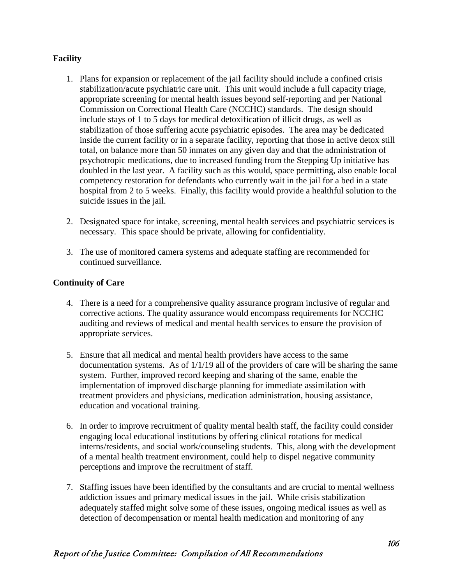### **Facility**

- 1. Plans for expansion or replacement of the jail facility should include a confined crisis stabilization/acute psychiatric care unit. This unit would include a full capacity triage, appropriate screening for mental health issues beyond self-reporting and per National Commission on Correctional Health Care (NCCHC) standards. The design should include stays of 1 to 5 days for medical detoxification of illicit drugs, as well as stabilization of those suffering acute psychiatric episodes. The area may be dedicated inside the current facility or in a separate facility, reporting that those in active detox still total, on balance more than 50 inmates on any given day and that the administration of psychotropic medications, due to increased funding from the Stepping Up initiative has doubled in the last year. A facility such as this would, space permitting, also enable local competency restoration for defendants who currently wait in the jail for a bed in a state hospital from 2 to 5 weeks. Finally, this facility would provide a healthful solution to the suicide issues in the jail.
- 2. Designated space for intake, screening, mental health services and psychiatric services is necessary. This space should be private, allowing for confidentiality.
- 3. The use of monitored camera systems and adequate staffing are recommended for continued surveillance.

#### **Continuity of Care**

- 4. There is a need for a comprehensive quality assurance program inclusive of regular and corrective actions. The quality assurance would encompass requirements for NCCHC auditing and reviews of medical and mental health services to ensure the provision of appropriate services.
- 5. Ensure that all medical and mental health providers have access to the same documentation systems. As of 1/1/19 all of the providers of care will be sharing the same system. Further, improved record keeping and sharing of the same, enable the implementation of improved discharge planning for immediate assimilation with treatment providers and physicians, medication administration, housing assistance, education and vocational training.
- 6. In order to improve recruitment of quality mental health staff, the facility could consider engaging local educational institutions by offering clinical rotations for medical interns/residents, and social work/counseling students. This, along with the development of a mental health treatment environment, could help to dispel negative community perceptions and improve the recruitment of staff.
- 7. Staffing issues have been identified by the consultants and are crucial to mental wellness addiction issues and primary medical issues in the jail. While crisis stabilization adequately staffed might solve some of these issues, ongoing medical issues as well as detection of decompensation or mental health medication and monitoring of any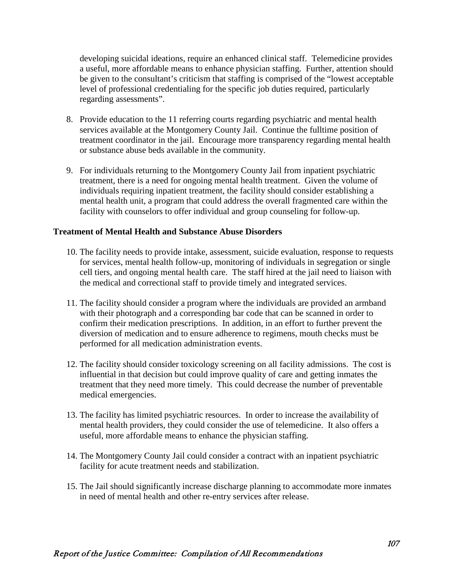developing suicidal ideations, require an enhanced clinical staff. Telemedicine provides a useful, more affordable means to enhance physician staffing. Further, attention should be given to the consultant's criticism that staffing is comprised of the "lowest acceptable level of professional credentialing for the specific job duties required, particularly regarding assessments".

- 8. Provide education to the 11 referring courts regarding psychiatric and mental health services available at the Montgomery County Jail. Continue the fulltime position of treatment coordinator in the jail. Encourage more transparency regarding mental health or substance abuse beds available in the community.
- 9. For individuals returning to the Montgomery County Jail from inpatient psychiatric treatment, there is a need for ongoing mental health treatment. Given the volume of individuals requiring inpatient treatment, the facility should consider establishing a mental health unit, a program that could address the overall fragmented care within the facility with counselors to offer individual and group counseling for follow-up.

#### **Treatment of Mental Health and Substance Abuse Disorders**

- 10. The facility needs to provide intake, assessment, suicide evaluation, response to requests for services, mental health follow-up, monitoring of individuals in segregation or single cell tiers, and ongoing mental health care. The staff hired at the jail need to liaison with the medical and correctional staff to provide timely and integrated services.
- 11. The facility should consider a program where the individuals are provided an armband with their photograph and a corresponding bar code that can be scanned in order to confirm their medication prescriptions. In addition, in an effort to further prevent the diversion of medication and to ensure adherence to regimens, mouth checks must be performed for all medication administration events.
- 12. The facility should consider toxicology screening on all facility admissions. The cost is influential in that decision but could improve quality of care and getting inmates the treatment that they need more timely. This could decrease the number of preventable medical emergencies.
- 13. The facility has limited psychiatric resources. In order to increase the availability of mental health providers, they could consider the use of telemedicine. It also offers a useful, more affordable means to enhance the physician staffing.
- 14. The Montgomery County Jail could consider a contract with an inpatient psychiatric facility for acute treatment needs and stabilization.
- 15. The Jail should significantly increase discharge planning to accommodate more inmates in need of mental health and other re-entry services after release.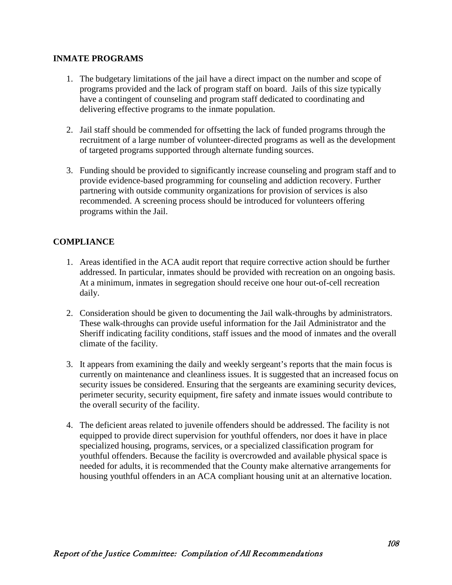#### **INMATE PROGRAMS**

- 1. The budgetary limitations of the jail have a direct impact on the number and scope of programs provided and the lack of program staff on board. Jails of this size typically have a contingent of counseling and program staff dedicated to coordinating and delivering effective programs to the inmate population.
- 2. Jail staff should be commended for offsetting the lack of funded programs through the recruitment of a large number of volunteer-directed programs as well as the development of targeted programs supported through alternate funding sources.
- 3. Funding should be provided to significantly increase counseling and program staff and to provide evidence-based programming for counseling and addiction recovery. Further partnering with outside community organizations for provision of services is also recommended. A screening process should be introduced for volunteers offering programs within the Jail.

# **COMPLIANCE**

- 1. Areas identified in the ACA audit report that require corrective action should be further addressed. In particular, inmates should be provided with recreation on an ongoing basis. At a minimum, inmates in segregation should receive one hour out-of-cell recreation daily.
- 2. Consideration should be given to documenting the Jail walk-throughs by administrators. These walk-throughs can provide useful information for the Jail Administrator and the Sheriff indicating facility conditions, staff issues and the mood of inmates and the overall climate of the facility.
- 3. It appears from examining the daily and weekly sergeant's reports that the main focus is currently on maintenance and cleanliness issues. It is suggested that an increased focus on security issues be considered. Ensuring that the sergeants are examining security devices, perimeter security, security equipment, fire safety and inmate issues would contribute to the overall security of the facility.
- 4. The deficient areas related to juvenile offenders should be addressed. The facility is not equipped to provide direct supervision for youthful offenders, nor does it have in place specialized housing, programs, services, or a specialized classification program for youthful offenders. Because the facility is overcrowded and available physical space is needed for adults, it is recommended that the County make alternative arrangements for housing youthful offenders in an ACA compliant housing unit at an alternative location.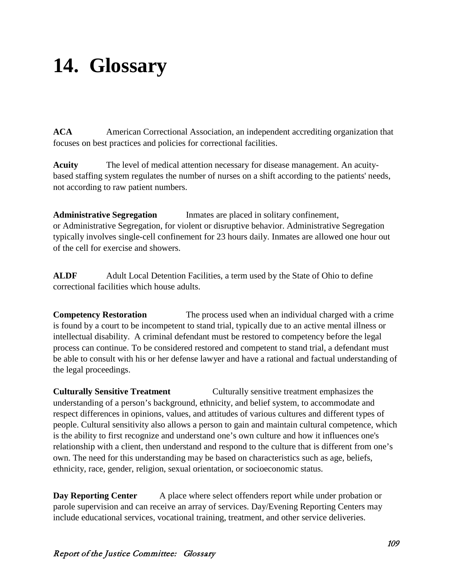# **14. Glossary**

**ACA** American Correctional Association, an independent accrediting organization that focuses on best practices and policies for correctional facilities.

**Acuity** The level of medical attention necessary for disease management. An acuitybased staffing system regulates the number of nurses on a shift according to the patients' needs, not according to raw patient numbers.

**Administrative Segregation** Inmates are placed in solitary confinement, or Administrative Segregation, for violent or disruptive behavior. Administrative Segregation typically involves single-cell confinement for 23 hours daily. Inmates are allowed one hour out of the cell for exercise and showers.

**ALDF** Adult Local Detention Facilities, a term used by the State of Ohio to define correctional facilities which house adults.

**Competency Restoration** The process used when an individual charged with a crime is found by a court to be incompetent to stand trial, typically due to an active mental illness or intellectual disability. A criminal defendant must be restored to competency before the legal process can continue. To be considered restored and competent to stand trial, a defendant must be able to consult with his or her defense lawyer and have a rational and factual understanding of the legal proceedings.

**Culturally Sensitive Treatment** Culturally sensitive treatment emphasizes the [understanding](https://www.psychologytoday.com/us/basics/empathy) of a person's background, ethnicity, and [belief](https://www.psychologytoday.com/us/basics/spirituality) system, to accommodate and respect differences in opinions, values, and attitudes of various cultures and different types of people. Cultural sensitivity also allows a person to gain and maintain cultural competence, which is the ability to first recognize and understand one's own culture and how it influences one's relationship with a client, then understand and respond to the culture that is different from one's own. The need for this understanding may be based on characteristics such as age, beliefs, ethnicity, race, [gender,](https://www.psychologytoday.com/us/basics/gender) religion, [sexual orientation,](https://www.psychologytoday.com/us/basics/homosexuality) or socioeconomic status.

**Day Reporting Center** A place where select offenders report while under probation or parole supervision and can receive an array of services. Day/Evening Reporting Centers may include educational services, vocational training, treatment, and other service deliveries.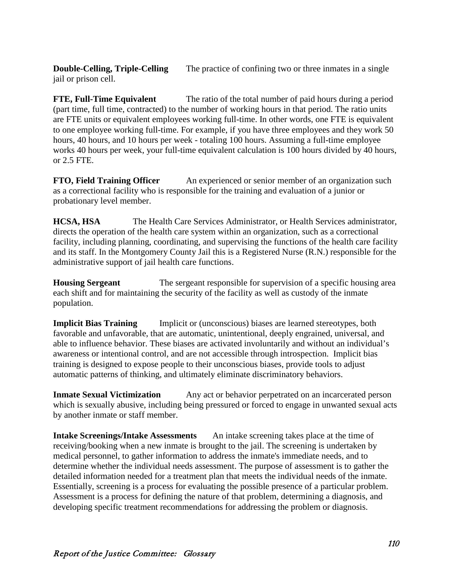**Double-Celling, Triple-Celling** The practice of confining two or three inmates in a single jail or prison cell.

**FTE, Full-Time Equivalent** The ratio of the total number of paid hours during a period (part time, full time, contracted) to the number of working hours in that period. The ratio units are FTE units or equivalent employees working full-time. In other words, one FTE is equivalent to one employee working full-time. For example, if you have three employees and they work 50 hours, 40 hours, and 10 hours per week - totaling 100 hours. Assuming a full-time employee works 40 hours per week, your full-time equivalent calculation is 100 hours divided by 40 hours, or 2.5 FTE.

**FTO, Field Training Officer** An experienced or senior member of an organization such as a correctional facility who is responsible for the training and evaluation of a junior or probationary level member.

**HCSA, HSA** The Health Care Services Administrator, or Health Services administrator, directs the operation of the health care system within an organization, such as a correctional facility, including planning, coordinating, and supervising the functions of the health care facility and its staff. In the Montgomery County Jail this is a Registered Nurse (R.N.) responsible for the administrative support of jail health care functions.

**Housing Sergeant** The sergeant responsible for supervision of a specific housing area each shift and for maintaining the security of the facility as well as custody of the inmate population.

**Implicit Bias Training** Implicit or ([unconscious\) biases](https://en.wikipedia.org/wiki/Implicit_stereotype) are learned stereotypes, both favorable and unfavorable, that are automatic, unintentional, deeply engrained, universal, and able to influence behavior. These biases are activated involuntarily and without an individual's awareness or intentional control, and are not accessible through introspection. Implicit bias training is designed to expose people to their unconscious biases, provide tools to adjust automatic patterns of thinking, and ultimately eliminate discriminatory behaviors.

**Inmate Sexual Victimization** Any act or behavior perpetrated on an incarcerated person which is sexually abusive, including being pressured or forced to engage in unwanted sexual acts by another inmate or staff member.

**Intake Screenings/Intake Assessments** An intake screening takes place at the time of receiving/booking when a new inmate is brought to the jail. The screening is undertaken by medical personnel, to gather information to address the inmate's immediate needs, and to determine whether the individual needs assessment. The purpose of assessment is to gather the detailed information needed for a treatment plan that meets the individual needs of the inmate. Essentially, screening is a process for evaluating the possible presence of a particular problem. Assessment is a process for defining the nature of that problem, determining a diagnosis, and developing specific treatment recommendations for addressing the problem or diagnosis.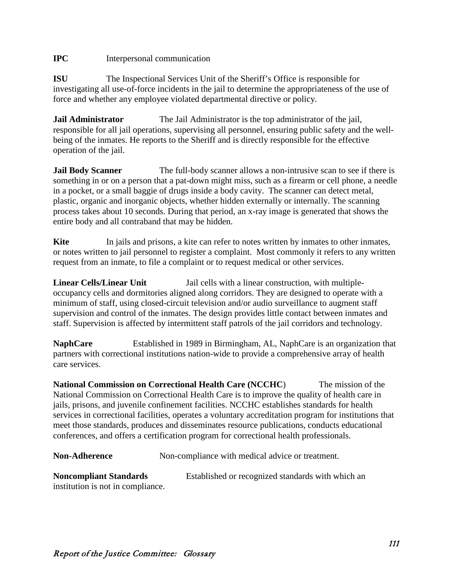# **IPC** Interpersonal communication

**ISU** The Inspectional Services Unit of the Sheriff's Office is responsible for investigating all use-of-force incidents in the jail to determine the appropriateness of the use of force and whether any employee violated departmental directive or policy.

**Jail Administrator** The Jail Administrator is the top administrator of the jail, responsible for all jail operations, supervising all personnel, ensuring public safety and the wellbeing of the inmates. He reports to the Sheriff and is directly responsible for the effective operation of the jail.

**Jail Body Scanner** The full-body scanner allows a non-intrusive scan to see if there is something in or on a person that a pat-down might miss, such as a firearm or cell phone, a needle in a pocket, or a small baggie of drugs inside a body cavity. The scanner can detect metal, plastic, organic and inorganic objects, whether hidden externally or internally. The scanning process takes about 10 seconds. During that period, an x-ray image is generated that shows the entire body and all contraband that may be hidden.

**Kite** In jails and prisons, a kite can refer to notes written by inmates to other inmates, or notes written to jail personnel to register a complaint. Most commonly it refers to any written request from an inmate, to file a complaint or to request medical or other services.

**Linear Cells/Linear Unit** Jail cells with a linear construction, with multipleoccupancy cells and dormitories aligned along corridors. They are designed to operate with a minimum of staff, using closed-circuit television and/or audio surveillance to augment staff supervision and control of the inmates. The design provides little contact between inmates and staff. Supervision is affected by intermittent staff patrols of the jail corridors and technology.

**NaphCare** Established in 1989 in Birmingham, AL, NaphCare is an organization that partners with correctional institutions nation-wide to provide a comprehensive array of health care services.

**National Commission on Correctional Health Care (NCCHC**) The mission of the National Commission on Correctional Health Care is to improve the quality of health care in jails, prisons, and juvenile confinement facilities. NCCHC establishes standards for health services in correctional facilities, operates a voluntary accreditation program for institutions that meet those standards, produces and disseminates resource publications, conducts educational conferences, and offers a certification program for correctional health professionals.

| <b>Non-Adherence</b> | Non-compliance with medical advice or treatment. |
|----------------------|--------------------------------------------------|
|----------------------|--------------------------------------------------|

**Noncompliant Standards** Established or recognized standards with which an institution is not in compliance.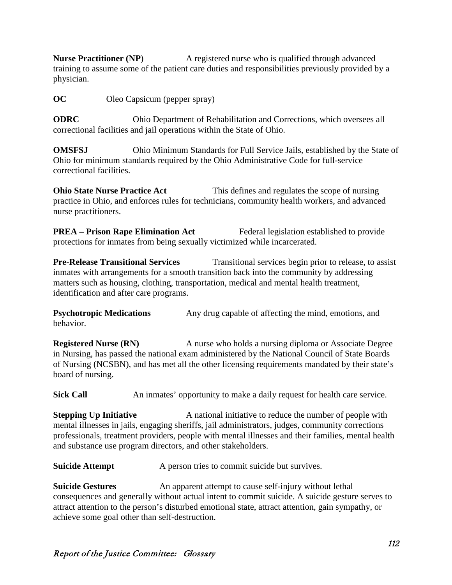**Nurse Practitioner (NP)** A registered nurse who is qualified through advanced training to assume some of the patient care duties and responsibilities previously provided by a physician.

**OC** Oleo Capsicum (pepper spray)

**ODRC** Ohio Department of Rehabilitation and Corrections, which oversees all correctional facilities and jail operations within the State of Ohio.

**OMSFSJ** Ohio Minimum Standards for Full Service Jails, established by the State of Ohio for minimum standards required by the Ohio Administrative Code for full-service correctional facilities.

**Ohio State Nurse Practice Act** This defines and regulates the scope of nursing practice in Ohio, and enforces rules for technicians, community health workers, and advanced nurse practitioners.

**PREA** – **Prison Rape Elimination Act** Federal legislation established to provide protections for inmates from being sexually victimized while incarcerated.

**Pre-Release Transitional Services** Transitional services begin prior to release, to assist inmates with arrangements for a smooth transition back into the community by addressing matters such as housing, clothing, transportation, medical and mental health treatment, identification and after care programs.

**Psychotropic Medications** Any drug capable of affecting the mind, emotions, and behavior.

**Registered Nurse (RN)** A nurse who holds a nursing diploma or Associate Degree in Nursing, has passed the national exam administered by the National Council of State Boards of Nursing (NCSBN), and has met all the other licensing requirements mandated by their state's board of nursing.

**Sick Call** An inmates' opportunity to make a daily request for health care service.

**Stepping Up Initiative** A national initiative to reduce the number of people with mental illnesses in jails, engaging sheriffs, jail administrators, judges, community corrections professionals, treatment providers, people with mental illnesses and their families, mental health and substance use program directors, and other stakeholders.

**Suicide Attempt** A person tries to commit suicide but survives.

**Suicide Gestures** An apparent attempt to cause self-injury without lethal consequences and generally without actual intent to commit suicide. A suicide gesture serves to attract attention to the person's disturbed emotional state, attract attention, gain sympathy, or achieve some goal other than self-destruction.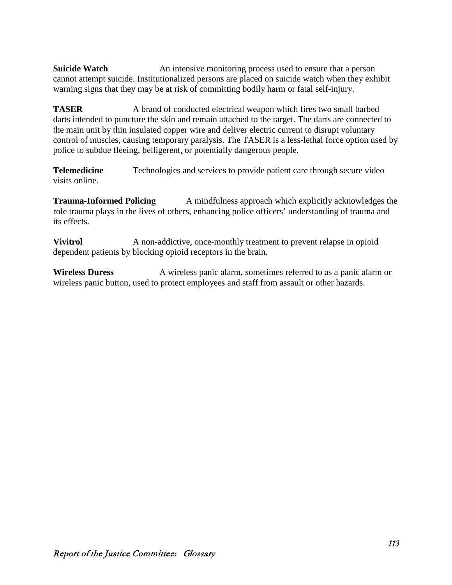**Suicide Watch** An intensive monitoring process used to ensure that a person cannot attempt [suicide.](https://en.wikipedia.org/wiki/Suicide) Institutionalized persons are placed on suicide watch when they exhibit warning signs that they may be at risk of committing bodily harm or fatal self-injury.

**TASER** A brand of [conducted electrical weapon](https://en.wikipedia.org/wiki/Electroshock_weapon) which fires two small barbed darts intended to puncture the skin and remain attached to the target. The darts are connected to the main unit by thin insulated copper wire and deliver [electric current](https://en.wikipedia.org/wiki/Electric_current) to disrupt voluntary control of muscles, causing temporary paralysis. The TASER is a less-lethal force option used by police to subdue fleeing, belligerent, or potentially dangerous people.

**Telemedicine** Technologies and services to provide patient care through secure video visits online.

**Trauma-Informed Policing** A mindfulness approach which explicitly acknowledges the role trauma plays in the lives of others, enhancing police officers' understanding of trauma and its effects.

**Vivitrol** A non-addictive, once-monthly treatment to prevent relapse in opioid dependent patients by blocking opioid receptors in the brain.

**Wireless Duress** A wireless panic alarm, sometimes referred to as a panic alarm or wireless panic button, used to protect employees and staff from assault or other hazards.